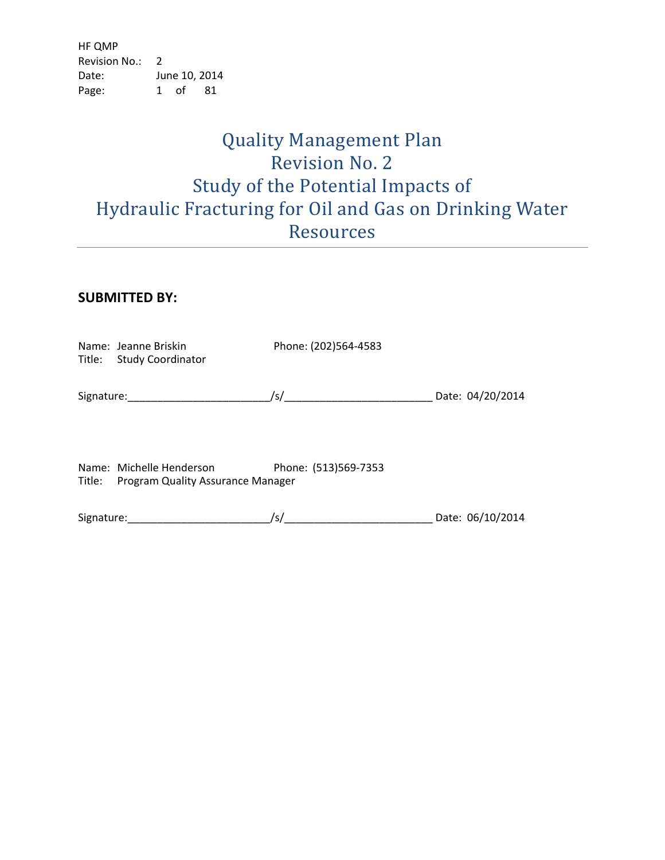HF QMP Revision No.: 2 Date: June 10, 2014 Page: 1 of 81

# Quality Management Plan Revision No. 2 Study of the Potential Impacts of Hydraulic Fracturing for Oil and Gas on Drinking Water Resources

### **SUBMITTED BY:**

| Name: Jeanne Briskin<br>Title: Study Coordinator                                                                | Phone: (202)564-4583 |                  |
|-----------------------------------------------------------------------------------------------------------------|----------------------|------------------|
| Signature: Management Control Control Control Control Control Control Control Control Control Control Control C | /s/                  | Date: 04/20/2014 |
| Name: Michelle Henderson<br>Title: Program Quality Assurance Manager                                            | Phone: (513)569-7353 |                  |
| Signature:                                                                                                      | /s/                  | Date: 06/10/2014 |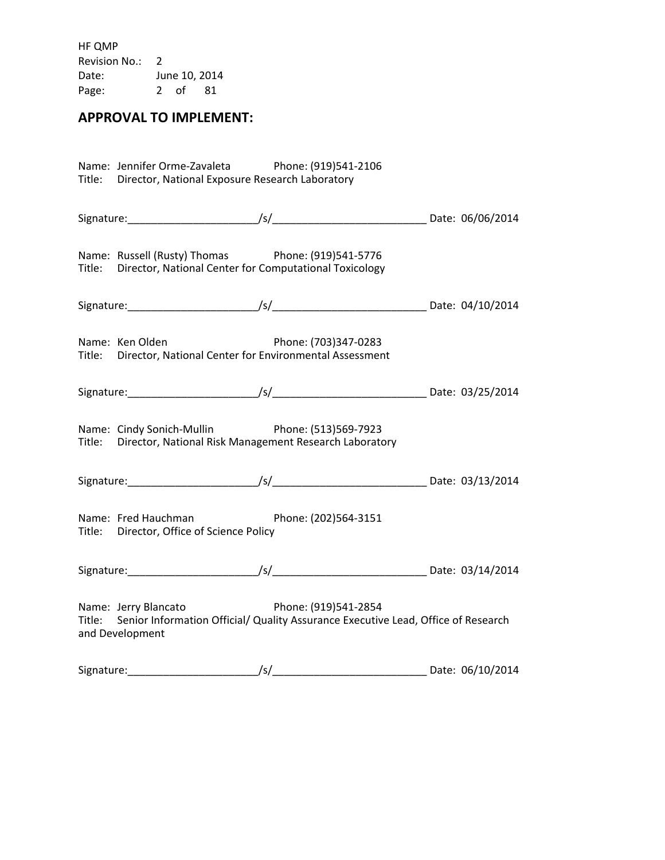HF QMP Revision No.: 2 Date: June 10, 2014 Page: 2 of 81

### **APPROVAL TO IMPLEMENT:**

| Name: Jennifer Orme-Zavaleta Phone: (919)541-2106<br>Title: Director, National Exposure Research Laboratory        |                                                                                                                  |  |
|--------------------------------------------------------------------------------------------------------------------|------------------------------------------------------------------------------------------------------------------|--|
|                                                                                                                    |                                                                                                                  |  |
| Name: Russell (Rusty) Thomas Phone: (919)541-5776<br>Title: Director, National Center for Computational Toxicology |                                                                                                                  |  |
|                                                                                                                    |                                                                                                                  |  |
| Name: Ken Olden Phone: (703)347-0283<br>Title: Director, National Center for Environmental Assessment              |                                                                                                                  |  |
|                                                                                                                    |                                                                                                                  |  |
| Name: Cindy Sonich-Mullin Phone: (513)569-7923<br>Title: Director, National Risk Management Research Laboratory    |                                                                                                                  |  |
|                                                                                                                    |                                                                                                                  |  |
| Name: Fred Hauchman Phone: (202)564-3151<br>Title: Director, Office of Science Policy                              |                                                                                                                  |  |
|                                                                                                                    |                                                                                                                  |  |
| Name: Jerry Blancato<br>and Development                                                                            | Phone: (919)541-2854<br>Title: Senior Information Official/ Quality Assurance Executive Lead, Office of Research |  |
|                                                                                                                    |                                                                                                                  |  |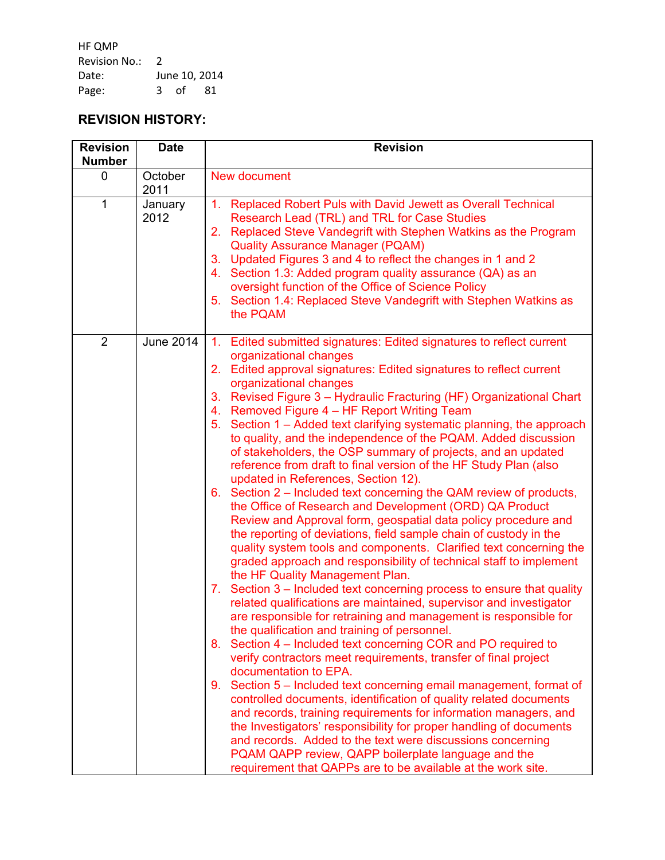HF QMP Revision No.: 2 Date: June 10, 2014 Page: 3 of 81

# **REVISION HISTORY:**

| <b>Revision</b> | <b>Date</b>      | <b>Revision</b>                                                                                                                                                                                                                                                                                                                                                                                                                                                                                                                                                                                                                                                                                                                                                                                                                                                                                                                                                                                                                                                                                                                                                                                                                                                                                                                                                                                                                                                                                                                                                                                                                                                                                                                                                                                                                                                                                                                                                                                                                       |  |  |
|-----------------|------------------|---------------------------------------------------------------------------------------------------------------------------------------------------------------------------------------------------------------------------------------------------------------------------------------------------------------------------------------------------------------------------------------------------------------------------------------------------------------------------------------------------------------------------------------------------------------------------------------------------------------------------------------------------------------------------------------------------------------------------------------------------------------------------------------------------------------------------------------------------------------------------------------------------------------------------------------------------------------------------------------------------------------------------------------------------------------------------------------------------------------------------------------------------------------------------------------------------------------------------------------------------------------------------------------------------------------------------------------------------------------------------------------------------------------------------------------------------------------------------------------------------------------------------------------------------------------------------------------------------------------------------------------------------------------------------------------------------------------------------------------------------------------------------------------------------------------------------------------------------------------------------------------------------------------------------------------------------------------------------------------------------------------------------------------|--|--|
| <b>Number</b>   |                  |                                                                                                                                                                                                                                                                                                                                                                                                                                                                                                                                                                                                                                                                                                                                                                                                                                                                                                                                                                                                                                                                                                                                                                                                                                                                                                                                                                                                                                                                                                                                                                                                                                                                                                                                                                                                                                                                                                                                                                                                                                       |  |  |
| $\mathbf 0$     | October<br>2011  | New document                                                                                                                                                                                                                                                                                                                                                                                                                                                                                                                                                                                                                                                                                                                                                                                                                                                                                                                                                                                                                                                                                                                                                                                                                                                                                                                                                                                                                                                                                                                                                                                                                                                                                                                                                                                                                                                                                                                                                                                                                          |  |  |
| 1               | January<br>2012  | 1. Replaced Robert Puls with David Jewett as Overall Technical<br>Research Lead (TRL) and TRL for Case Studies<br>2. Replaced Steve Vandegrift with Stephen Watkins as the Program<br><b>Quality Assurance Manager (PQAM)</b><br>3. Updated Figures 3 and 4 to reflect the changes in 1 and 2<br>4. Section 1.3: Added program quality assurance (QA) as an<br>oversight function of the Office of Science Policy<br>5. Section 1.4: Replaced Steve Vandegrift with Stephen Watkins as<br>the PQAM                                                                                                                                                                                                                                                                                                                                                                                                                                                                                                                                                                                                                                                                                                                                                                                                                                                                                                                                                                                                                                                                                                                                                                                                                                                                                                                                                                                                                                                                                                                                    |  |  |
| $\overline{2}$  | <b>June 2014</b> | Edited submitted signatures: Edited signatures to reflect current<br>1 <sub>1</sub><br>organizational changes<br>2. Edited approval signatures: Edited signatures to reflect current<br>organizational changes<br>3. Revised Figure 3 - Hydraulic Fracturing (HF) Organizational Chart<br>4. Removed Figure 4 - HF Report Writing Team<br>5. Section 1 - Added text clarifying systematic planning, the approach<br>to quality, and the independence of the PQAM. Added discussion<br>of stakeholders, the OSP summary of projects, and an updated<br>reference from draft to final version of the HF Study Plan (also<br>updated in References, Section 12).<br>6. Section 2 – Included text concerning the QAM review of products,<br>the Office of Research and Development (ORD) QA Product<br>Review and Approval form, geospatial data policy procedure and<br>the reporting of deviations, field sample chain of custody in the<br>quality system tools and components. Clarified text concerning the<br>graded approach and responsibility of technical staff to implement<br>the HF Quality Management Plan.<br>7. Section 3 - Included text concerning process to ensure that quality<br>related qualifications are maintained, supervisor and investigator<br>are responsible for retraining and management is responsible for<br>the qualification and training of personnel.<br>Section 4 – Included text concerning COR and PO required to<br>8.<br>verify contractors meet requirements, transfer of final project<br>documentation to EPA.<br>9. Section 5 – Included text concerning email management, format of<br>controlled documents, identification of quality related documents<br>and records, training requirements for information managers, and<br>the Investigators' responsibility for proper handling of documents<br>and records. Added to the text were discussions concerning<br>PQAM QAPP review, QAPP boilerplate language and the<br>requirement that QAPPs are to be available at the work site. |  |  |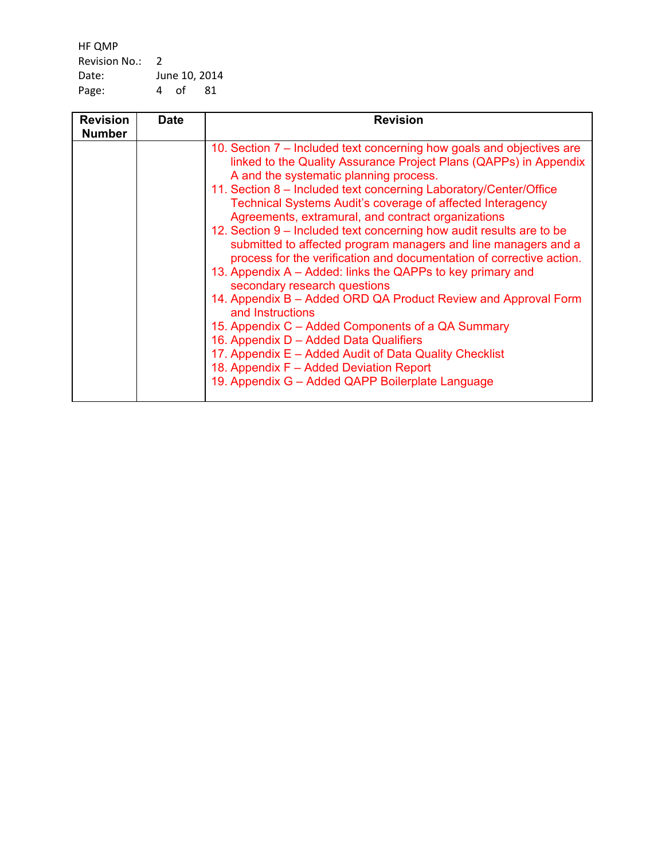HF QMP Revision No.: 2 Date: June 10, 2014 Page: 4 of 81

| <b>Revision</b><br><b>Number</b> | <b>Date</b> | <b>Revision</b>                                                                                                                                                                                                                                                                                                                                                                                                                                                                                                                                                                                                                                                                                                                                                                                                                                                                                                                                                                                                                             |
|----------------------------------|-------------|---------------------------------------------------------------------------------------------------------------------------------------------------------------------------------------------------------------------------------------------------------------------------------------------------------------------------------------------------------------------------------------------------------------------------------------------------------------------------------------------------------------------------------------------------------------------------------------------------------------------------------------------------------------------------------------------------------------------------------------------------------------------------------------------------------------------------------------------------------------------------------------------------------------------------------------------------------------------------------------------------------------------------------------------|
|                                  |             | 10. Section 7 – Included text concerning how goals and objectives are<br>linked to the Quality Assurance Project Plans (QAPPs) in Appendix<br>A and the systematic planning process.<br>11. Section 8 - Included text concerning Laboratory/Center/Office<br>Technical Systems Audit's coverage of affected Interagency<br>Agreements, extramural, and contract organizations<br>12. Section 9 – Included text concerning how audit results are to be<br>submitted to affected program managers and line managers and a<br>process for the verification and documentation of corrective action.<br>13. Appendix A – Added: links the QAPPs to key primary and<br>secondary research questions<br>14. Appendix B – Added ORD QA Product Review and Approval Form<br>and Instructions<br>15. Appendix C – Added Components of a QA Summary<br>16. Appendix D - Added Data Qualifiers<br>17. Appendix E - Added Audit of Data Quality Checklist<br>18. Appendix F - Added Deviation Report<br>19. Appendix G - Added QAPP Boilerplate Language |
|                                  |             |                                                                                                                                                                                                                                                                                                                                                                                                                                                                                                                                                                                                                                                                                                                                                                                                                                                                                                                                                                                                                                             |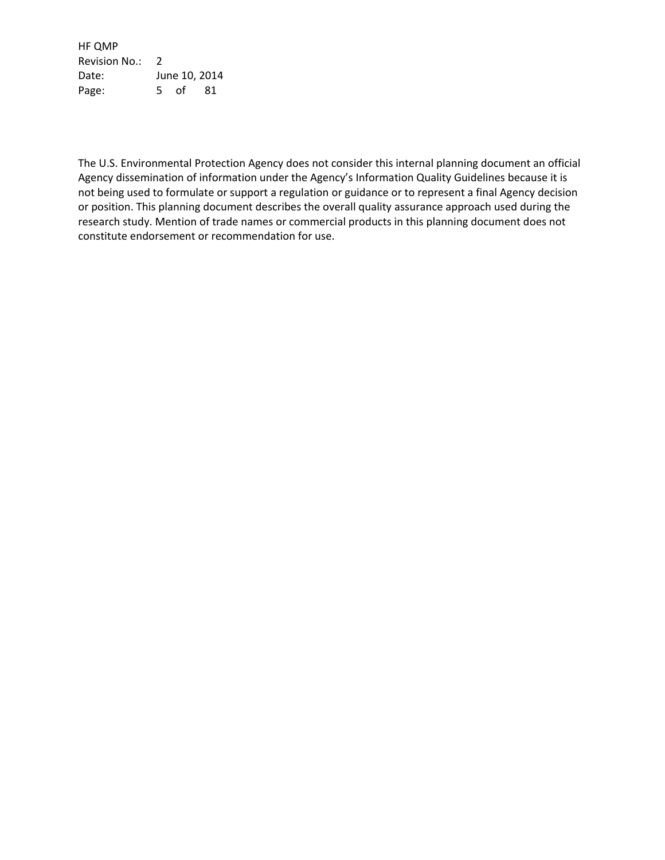HF QMP Revision No.: 2 Date: June 10, 2014 Page: 5 of 81

The U.S. Environmental Protection Agency does not consider this internal planning document an official Agency dissemination of information under the Agency's Information Quality Guidelines because it is not being used to formulate or support a regulation or guidance or to represent a final Agency decision or position. This planning document describes the overall quality assurance approach used during the research study. Mention of trade names or commercial products in this planning document does not constitute endorsement or recommendation for use.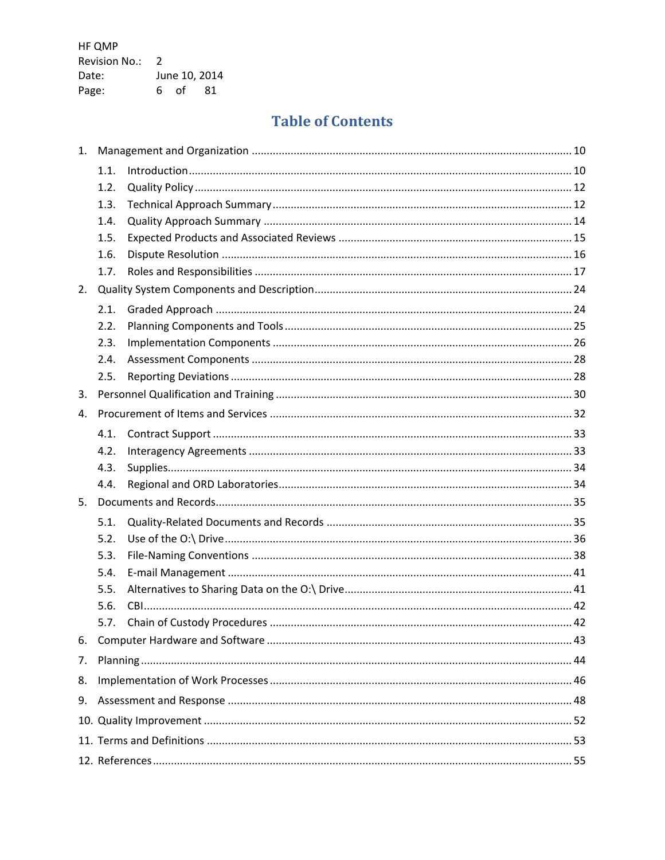HF QMP Revision No.: 2 Date: June 10, 2014 Page: 6 of 81

# **Table of Contents**

| 1. |      |  |  |  |
|----|------|--|--|--|
|    | 1.1. |  |  |  |
|    | 1.2. |  |  |  |
|    | 1.3. |  |  |  |
|    | 1.4. |  |  |  |
|    | 1.5. |  |  |  |
|    | 1.6. |  |  |  |
|    | 1.7. |  |  |  |
| 2. |      |  |  |  |
|    | 2.1. |  |  |  |
|    | 2.2. |  |  |  |
|    | 2.3. |  |  |  |
|    | 2.4. |  |  |  |
|    | 2.5. |  |  |  |
| 3. |      |  |  |  |
| 4. |      |  |  |  |
|    | 4.1. |  |  |  |
|    | 4.2. |  |  |  |
|    | 4.3. |  |  |  |
|    | 4.4. |  |  |  |
| 5. |      |  |  |  |
|    | 5.1. |  |  |  |
|    | 5.2. |  |  |  |
|    | 5.3. |  |  |  |
|    | 5.4. |  |  |  |
|    | 5.5. |  |  |  |
|    | 5.6. |  |  |  |
|    | 5.7. |  |  |  |
| 6. |      |  |  |  |
| 7. |      |  |  |  |
| 8. |      |  |  |  |
|    |      |  |  |  |
|    |      |  |  |  |
|    |      |  |  |  |
|    |      |  |  |  |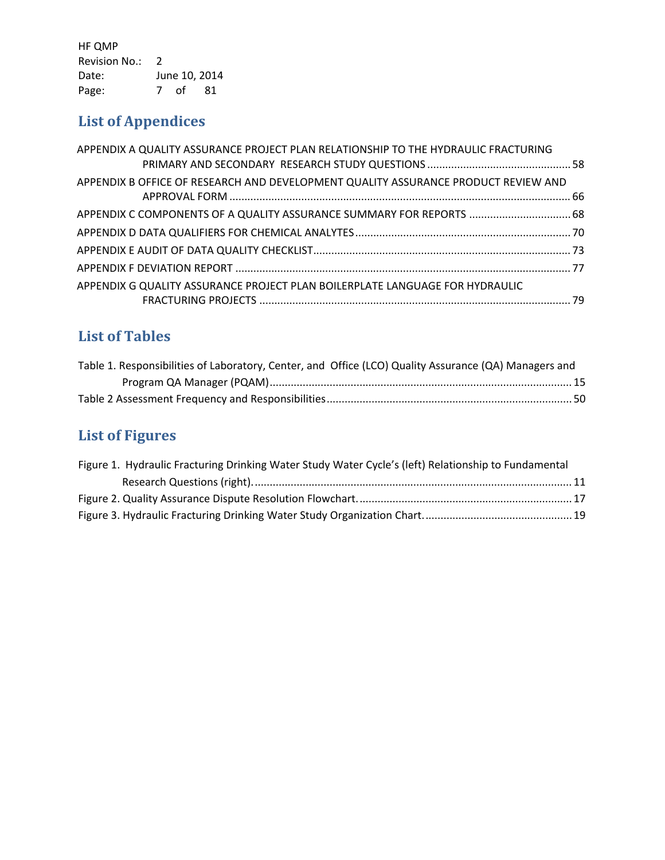HF QMP Revision No.: 2 Date: June 10, 2014 Page: 7 of 81

# **List of Appendices**

| APPENDIX A QUALITY ASSURANCE PROJECT PLAN RELATIONSHIP TO THE HYDRAULIC FRACTURING |  |
|------------------------------------------------------------------------------------|--|
|                                                                                    |  |
| APPENDIX B OFFICE OF RESEARCH AND DEVELOPMENT QUALITY ASSURANCE PRODUCT REVIEW AND |  |
| APPENDIX C COMPONENTS OF A QUALITY ASSURANCE SUMMARY FOR REPORTS  68               |  |
|                                                                                    |  |
|                                                                                    |  |
|                                                                                    |  |
| APPENDIX G QUALITY ASSURANCE PROJECT PLAN BOILERPLATE LANGUAGE FOR HYDRAULIC       |  |
|                                                                                    |  |

# **List of Tables**

| Table 1. Responsibilities of Laboratory, Center, and Office (LCO) Quality Assurance (QA) Managers and |  |
|-------------------------------------------------------------------------------------------------------|--|
|                                                                                                       |  |
|                                                                                                       |  |

# **List of Figures**

| Figure 1. Hydraulic Fracturing Drinking Water Study Water Cycle's (left) Relationship to Fundamental |  |
|------------------------------------------------------------------------------------------------------|--|
|                                                                                                      |  |
|                                                                                                      |  |
|                                                                                                      |  |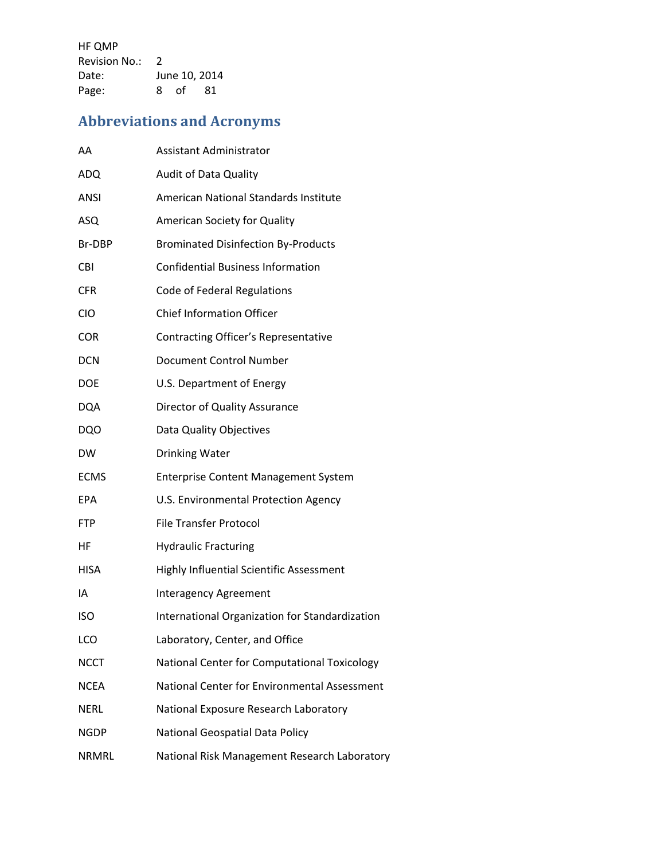HF QMP Revision No.: 2 Date: June 10, 2014 Page: 8 of 81

# **Abbreviations and Acronyms**

| AA           | <b>Assistant Administrator</b>                 |
|--------------|------------------------------------------------|
| <b>ADQ</b>   | Audit of Data Quality                          |
| ANSI         | American National Standards Institute          |
| ASQ          | American Society for Quality                   |
| Br-DBP       | <b>Brominated Disinfection By-Products</b>     |
| CBI          | <b>Confidential Business Information</b>       |
| <b>CFR</b>   | Code of Federal Regulations                    |
| <b>CIO</b>   | <b>Chief Information Officer</b>               |
| <b>COR</b>   | Contracting Officer's Representative           |
| <b>DCN</b>   | Document Control Number                        |
| <b>DOE</b>   | U.S. Department of Energy                      |
| <b>DQA</b>   | Director of Quality Assurance                  |
| <b>DQO</b>   | Data Quality Objectives                        |
| <b>DW</b>    | <b>Drinking Water</b>                          |
| <b>ECMS</b>  | <b>Enterprise Content Management System</b>    |
| EPA          | U.S. Environmental Protection Agency           |
| <b>FTP</b>   | <b>File Transfer Protocol</b>                  |
| ΗF           | <b>Hydraulic Fracturing</b>                    |
| <b>HISA</b>  | Highly Influential Scientific Assessment       |
| IA           | <b>Interagency Agreement</b>                   |
| <b>ISO</b>   | International Organization for Standardization |
| LCO          | Laboratory, Center, and Office                 |
| <b>NCCT</b>  | National Center for Computational Toxicology   |
| <b>NCEA</b>  | National Center for Environmental Assessment   |
| <b>NERL</b>  | National Exposure Research Laboratory          |
| <b>NGDP</b>  | National Geospatial Data Policy                |
| <b>NRMRL</b> | National Risk Management Research Laboratory   |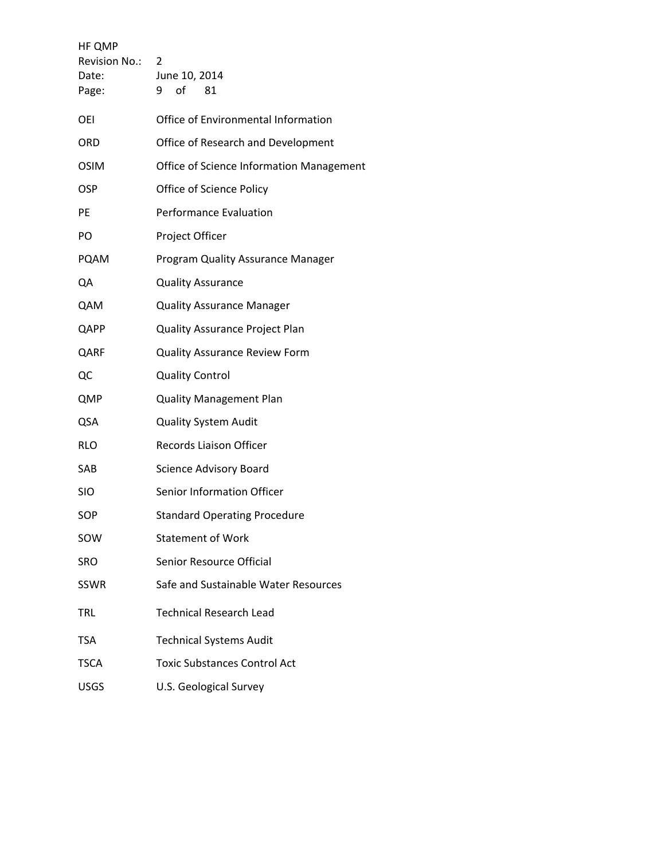| HF QMP<br>Revision No.:<br>Date:<br>Page: | 2<br>June 10, 2014<br>of<br>9<br>81      |
|-------------------------------------------|------------------------------------------|
| <b>OEI</b>                                | Office of Environmental Information      |
| <b>ORD</b>                                | Office of Research and Development       |
| <b>OSIM</b>                               | Office of Science Information Management |
| OSP                                       | Office of Science Policy                 |
| <b>PE</b>                                 | <b>Performance Evaluation</b>            |
| PO                                        | Project Officer                          |
| <b>PQAM</b>                               | Program Quality Assurance Manager        |
| QA                                        | <b>Quality Assurance</b>                 |
| QAM                                       | <b>Quality Assurance Manager</b>         |
| QAPP                                      | <b>Quality Assurance Project Plan</b>    |
| QARF                                      | <b>Quality Assurance Review Form</b>     |
| QC                                        | <b>Quality Control</b>                   |
| QMP                                       | <b>Quality Management Plan</b>           |
| QSA                                       | <b>Quality System Audit</b>              |
| <b>RLO</b>                                | Records Liaison Officer                  |
| SAB                                       | Science Advisory Board                   |
| <b>SIO</b>                                | <b>Senior Information Officer</b>        |
| SOP                                       | <b>Standard Operating Procedure</b>      |
| sow                                       | <b>Statement of Work</b>                 |
| <b>SRO</b>                                | Senior Resource Official                 |
| <b>SSWR</b>                               | Safe and Sustainable Water Resources     |
| <b>TRL</b>                                | <b>Technical Research Lead</b>           |
| <b>TSA</b>                                | <b>Technical Systems Audit</b>           |
| <b>TSCA</b>                               | <b>Toxic Substances Control Act</b>      |
| <b>USGS</b>                               | U.S. Geological Survey                   |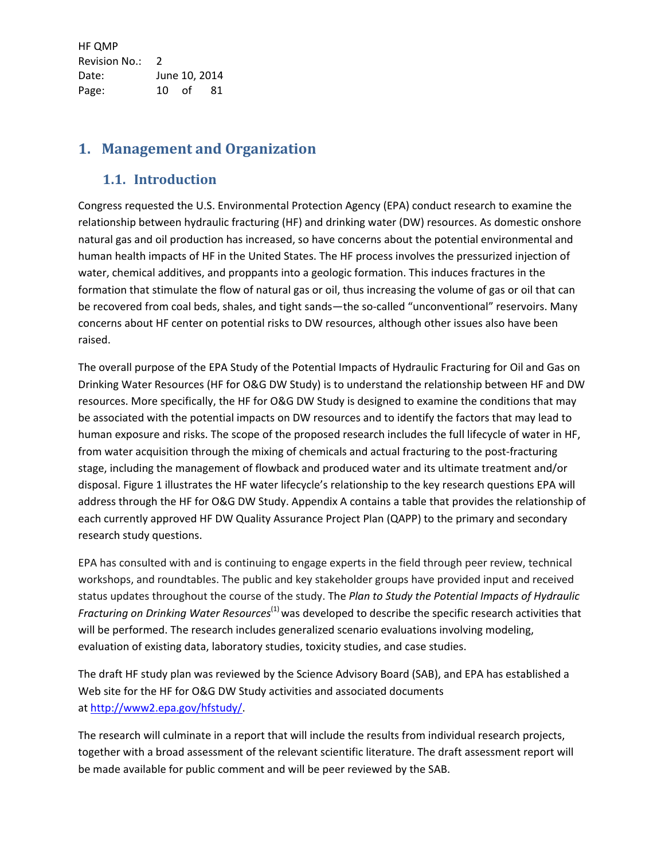HF QMP Revision No.: 2 Date: June 10, 2014 Page: 10 of 81

# <span id="page-9-0"></span>**1. Management and Organization**

### <span id="page-9-1"></span>**1.1. Introduction**

Congress requested the U.S. Environmental Protection Agency (EPA) conduct research to examine the relationship between hydraulic fracturing (HF) and drinking water (DW) resources. As domestic onshore natural gas and oil production has increased, so have concerns about the potential environmental and human health impacts of HF in the United States. The HF process involves the pressurized injection of water, chemical additives, and proppants into a geologic formation. This induces fractures in the formation that stimulate the flow of natural gas or oil, thus increasing the volume of gas or oil that can be recovered from coal beds, shales, and tight sands—the so-called "unconventional" reservoirs. Many concerns about HF center on potential risks to DW resources, although other issues also have been raised.

The overall purpose of the EPA Study of the Potential Impacts of Hydraulic Fracturing for Oil and Gas on Drinking Water Resources (HF for O&G DW Study) is to understand the relationship between HF and DW resources. More specifically, the HF for O&G DW Study is designed to examine the conditions that may be associated with the potential impacts on DW resources and to identify the factors that may lead to human exposure and risks. The scope of the proposed research includes the full lifecycle of water in HF, from water acquisition through the mixing of chemicals and actual fracturing to the post-fracturing stage, including the management of flowback and produced water and its ultimate treatment and/or disposal. Figure 1 illustrates the HF water lifecycle's relationship to the key research questions EPA will address through the HF for O&G DW Study. Appendix A contains a table that provides the relationship of each currently approved HF DW Quality Assurance Project Plan (QAPP) to the primary and secondary research study questions.

EPA has consulted with and is continuing to engage experts in the field through peer review, technical workshops, and roundtables. The public and key stakeholder groups have provided input and received status updates throughout the course of the study. The *Plan to Study the Potential Impacts of Hydraulic Fracturing on Drinking Water Resources*(1) was developed to describe the specific research activities that will be performed. The research includes generalized scenario evaluations involving modeling, evaluation of existing data, laboratory studies, toxicity studies, and case studies.

The draft HF study plan was reviewed by the Science Advisory Board (SAB), and EPA has established a Web site for the HF for O&G DW Study activities and associated documents at [http://www2.epa.gov/hfstudy/.](http://www2.epa.gov/hfstudy/)

The research will culminate in a report that will include the results from individual research projects, together with a broad assessment of the relevant scientific literature. The draft assessment report will be made available for public comment and will be peer reviewed by the SAB.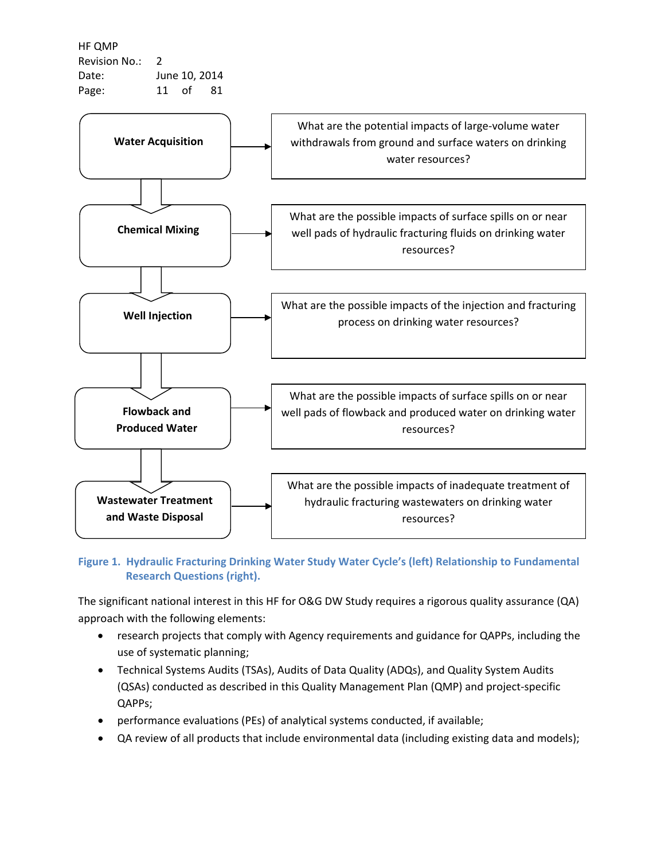HF QMP Revision No.: 2 Date: June 10, 2014 Page: 11 of 81



#### <span id="page-10-0"></span>**Figure 1. Hydraulic Fracturing Drinking Water Study Water Cycle's (left) Relationship to Fundamental Research Questions (right).**

The significant national interest in this HF for O&G DW Study requires a rigorous quality assurance (QA) approach with the following elements:

- research projects that comply with Agency requirements and guidance for QAPPs, including the use of systematic planning;
- Technical Systems Audits (TSAs), Audits of Data Quality (ADQs), and Quality System Audits (QSAs) conducted as described in this Quality Management Plan (QMP) and project-specific QAPPs;
- performance evaluations (PEs) of analytical systems conducted, if available;
- QA review of all products that include environmental data (including existing data and models);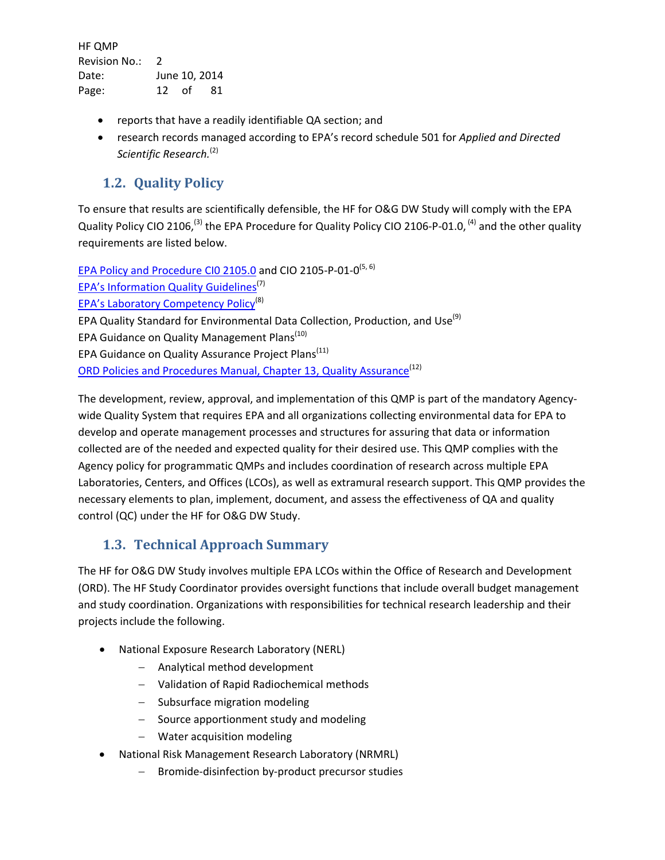HF QMP Revision No.: 2 Date: June 10, 2014 Page: 12 of 81

- reports that have a readily identifiable QA section; and
- research records managed according to EPA's record schedule 501 for *Applied and Directed Scientific Research.* (2)

# <span id="page-11-0"></span>**1.2. Quality Policy**

To ensure that results are scientifically defensible, the HF for O&G DW Study will comply with the EPA Quality Policy CIO 2106,<sup>(3)</sup> the EPA Procedure for Quality Policy CIO 2106-P-01.0, <sup>(4)</sup> and the other quality requirements are listed below.

[EPA Policy and Procedure CI0](http://www.epa.gov/irmpoli8/policies/21050.pdf) 2105.0 and CIO 2105-P-01-0<sup>(5, 6)</sup> [EPA's Information Quality Guidelines](http://www.epa.gov/quality/informationguidelines/documents/EPA_InfoQualityGuidelines.pdf)<sup>(7)</sup> [EPA's Laboratory Competency Policy](http://epa.gov/osa/fem/pdfs/labdirective.pdf)(8) EPA Quality Standard for Environmental Data Collection, Production, and Use<sup>(9)</sup> EPA Guidance on Quality Management Plans<sup>(10)</sup> EPA Guidance on Quality Assurance Project Plans<sup>(11)</sup> [ORD Policies and Procedures Manual, Chapter 13, Quality Assurance](http://dcordhqapps1.epa.gov:9876/orma/policies.nsf/webPolicy)<sup>(12)</sup>

The development, review, approval, and implementation of this QMP is part of the mandatory Agencywide Quality System that requires EPA and all organizations collecting environmental data for EPA to develop and operate management processes and structures for assuring that data or information collected are of the needed and expected quality for their desired use. This QMP complies with the Agency policy for programmatic QMPs and includes coordination of research across multiple EPA Laboratories, Centers, and Offices (LCOs), as well as extramural research support. This QMP provides the necessary elements to plan, implement, document, and assess the effectiveness of QA and quality control (QC) under the HF for O&G DW Study.

# <span id="page-11-1"></span>**1.3. Technical Approach Summary**

The HF for O&G DW Study involves multiple EPA LCOs within the Office of Research and Development (ORD). The HF Study Coordinator provides oversight functions that include overall budget management and study coordination. Organizations with responsibilities for technical research leadership and their projects include the following.

- National Exposure Research Laboratory (NERL)
	- − Analytical method development
	- − Validation of Rapid Radiochemical methods
	- − Subsurface migration modeling
	- − Source apportionment study and modeling
	- − Water acquisition modeling
- National Risk Management Research Laboratory (NRMRL)
	- Bromide-disinfection by-product precursor studies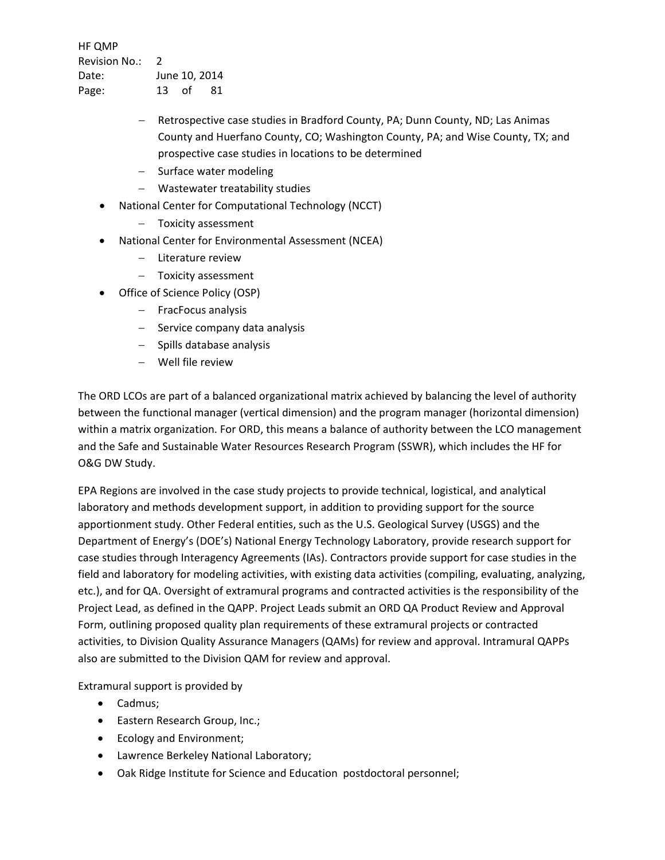HF QMP Revision No.: 2 Date: June 10, 2014 Page: 13 of 81

- Retrospective case studies in Bradford County, PA; Dunn County, ND; Las Animas County and Huerfano County, CO; Washington County, PA; and Wise County, TX; and prospective case studies in locations to be determined
- − Surface water modeling
- − Wastewater treatability studies
- National Center for Computational Technology (NCCT)
	- − Toxicity assessment
- National Center for Environmental Assessment (NCEA)
	- − Literature review
	- − Toxicity assessment
- Office of Science Policy (OSP)
	- − FracFocus analysis
	- − Service company data analysis
	- − Spills database analysis
	- − Well file review

The ORD LCOs are part of a balanced organizational matrix achieved by balancing the level of authority between the functional manager (vertical dimension) and the program manager (horizontal dimension) within a matrix organization. For ORD, this means a balance of authority between the LCO management and the Safe and Sustainable Water Resources Research Program (SSWR), which includes the HF for O&G DW Study.

EPA Regions are involved in the case study projects to provide technical, logistical, and analytical laboratory and methods development support, in addition to providing support for the source apportionment study. Other Federal entities, such as the U.S. Geological Survey (USGS) and the Department of Energy's (DOE's) National Energy Technology Laboratory, provide research support for case studies through Interagency Agreements (IAs). Contractors provide support for case studies in the field and laboratory for modeling activities, with existing data activities (compiling, evaluating, analyzing, etc.), and for QA. Oversight of extramural programs and contracted activities is the responsibility of the Project Lead, as defined in the QAPP. Project Leads submit an ORD QA Product Review and Approval Form, outlining proposed quality plan requirements of these extramural projects or contracted activities, to Division Quality Assurance Managers (QAMs) for review and approval. Intramural QAPPs also are submitted to the Division QAM for review and approval.

Extramural support is provided by

- Cadmus;
- Eastern Research Group, Inc.;
- Ecology and Environment;
- Lawrence Berkeley National Laboratory;
- Oak Ridge Institute for Science and Education postdoctoral personnel;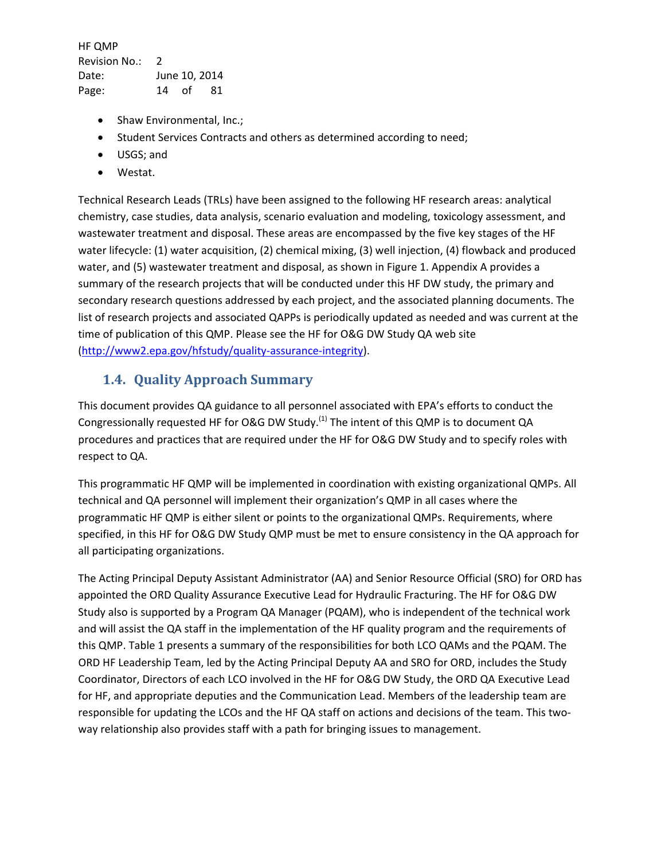HF QMP Revision No.: 2 Date: June 10, 2014 Page: 14 of 81

- Shaw Environmental, Inc.;
- Student Services Contracts and others as determined according to need;
- USGS; and
- Westat.

Technical Research Leads (TRLs) have been assigned to the following HF research areas: analytical chemistry, case studies, data analysis, scenario evaluation and modeling, toxicology assessment, and wastewater treatment and disposal. These areas are encompassed by the five key stages of the HF water lifecycle: (1) water acquisition, (2) chemical mixing, (3) well injection, (4) flowback and produced water, and (5) wastewater treatment and disposal, as shown in Figure 1. Appendix A provides a summary of the research projects that will be conducted under this HF DW study, the primary and secondary research questions addressed by each project, and the associated planning documents. The list of research projects and associated QAPPs is periodically updated as needed and was current at the time of publication of this QMP. Please see the HF for O&G DW Study QA web site [\(http://www2.epa.gov/hfstudy/quality-assurance-integrity\)](http://www2.epa.gov/hfstudy/quality-assurance-integrity).

### <span id="page-13-0"></span>**1.4. Quality Approach Summary**

This document provides QA guidance to all personnel associated with EPA's efforts to conduct the Congressionally requested HF for O&G DW Study.<sup>(1)</sup> The intent of this QMP is to document QA procedures and practices that are required under the HF for O&G DW Study and to specify roles with respect to QA.

This programmatic HF QMP will be implemented in coordination with existing organizational QMPs. All technical and QA personnel will implement their organization's QMP in all cases where the programmatic HF QMP is either silent or points to the organizational QMPs. Requirements, where specified, in this HF for O&G DW Study QMP must be met to ensure consistency in the QA approach for all participating organizations.

The Acting Principal Deputy Assistant Administrator (AA) and Senior Resource Official (SRO) for ORD has appointed the ORD Quality Assurance Executive Lead for Hydraulic Fracturing. The HF for O&G DW Study also is supported by a Program QA Manager (PQAM), who is independent of the technical work and will assist the QA staff in the implementation of the HF quality program and the requirements of this QMP. Table 1 presents a summary of the responsibilities for both LCO QAMs and the PQAM. The ORD HF Leadership Team, led by the Acting Principal Deputy AA and SRO for ORD, includes the Study Coordinator, Directors of each LCO involved in the HF for O&G DW Study, the ORD QA Executive Lead for HF, and appropriate deputies and the Communication Lead. Members of the leadership team are responsible for updating the LCOs and the HF QA staff on actions and decisions of the team. This twoway relationship also provides staff with a path for bringing issues to management.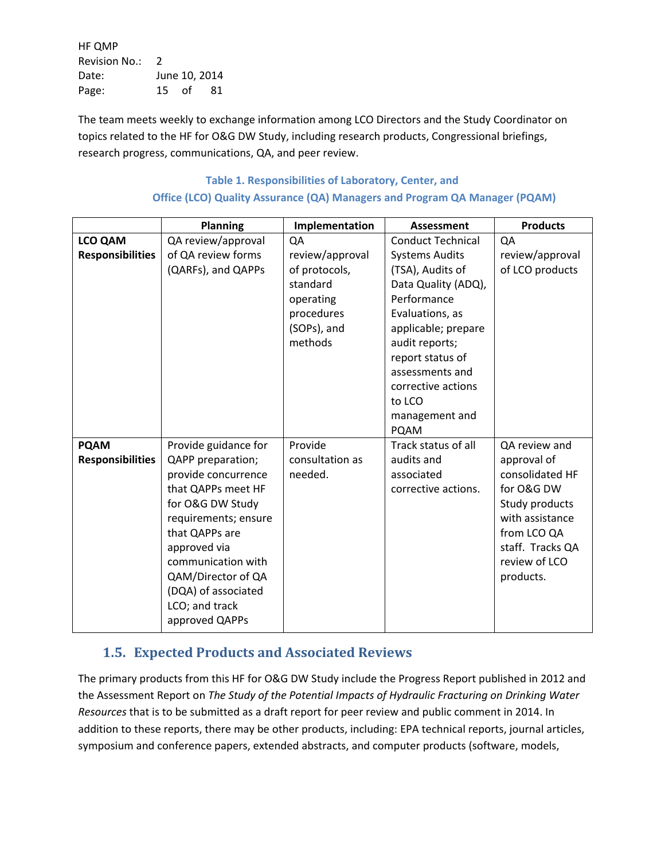HF QMP Revision No.: 2 Date: June 10, 2014 Page: 15 of 81

The team meets weekly to exchange information among LCO Directors and the Study Coordinator on topics related to the HF for O&G DW Study, including research products, Congressional briefings, research progress, communications, QA, and peer review.

### **Table 1. Responsibilities of Laboratory, Center, and Office (LCO) Quality Assurance (QA) Managers and Program QA Manager (PQAM)**

<span id="page-14-1"></span>

|                         | <b>Planning</b>      | Implementation  | <b>Assessment</b>        | <b>Products</b>  |
|-------------------------|----------------------|-----------------|--------------------------|------------------|
| LCO QAM                 | QA review/approval   | QA              | <b>Conduct Technical</b> | QA               |
| <b>Responsibilities</b> | of QA review forms   | review/approval | <b>Systems Audits</b>    | review/approval  |
|                         | (QARFs), and QAPPs   | of protocols,   | (TSA), Audits of         | of LCO products  |
|                         |                      | standard        | Data Quality (ADQ),      |                  |
|                         |                      | operating       | Performance              |                  |
|                         |                      | procedures      | Evaluations, as          |                  |
|                         |                      | (SOPs), and     | applicable; prepare      |                  |
|                         |                      | methods         | audit reports;           |                  |
|                         |                      |                 | report status of         |                  |
|                         |                      |                 | assessments and          |                  |
|                         |                      |                 | corrective actions       |                  |
|                         |                      |                 | to LCO                   |                  |
|                         |                      |                 | management and           |                  |
|                         |                      |                 | <b>PQAM</b>              |                  |
| <b>PQAM</b>             | Provide guidance for | Provide         | Track status of all      | QA review and    |
| <b>Responsibilities</b> | QAPP preparation;    | consultation as | audits and               | approval of      |
|                         | provide concurrence  | needed.         | associated               | consolidated HF  |
|                         | that QAPPs meet HF   |                 | corrective actions.      | for O&G DW       |
|                         | for O&G DW Study     |                 |                          | Study products   |
|                         | requirements; ensure |                 |                          | with assistance  |
|                         | that QAPPs are       |                 |                          | from LCO QA      |
|                         | approved via         |                 |                          | staff. Tracks QA |
|                         | communication with   |                 |                          | review of LCO    |
|                         | QAM/Director of QA   |                 |                          | products.        |
|                         | (DQA) of associated  |                 |                          |                  |
|                         | LCO; and track       |                 |                          |                  |
|                         | approved QAPPs       |                 |                          |                  |

# <span id="page-14-0"></span>**1.5. Expected Products and Associated Reviews**

The primary products from this HF for O&G DW Study include the Progress Report published in 2012 and the Assessment Report on *The Study of the Potential Impacts of Hydraulic Fracturing on Drinking Water Resources* that is to be submitted as a draft report for peer review and public comment in 2014. In addition to these reports, there may be other products, including: EPA technical reports, journal articles, symposium and conference papers, extended abstracts, and computer products (software, models,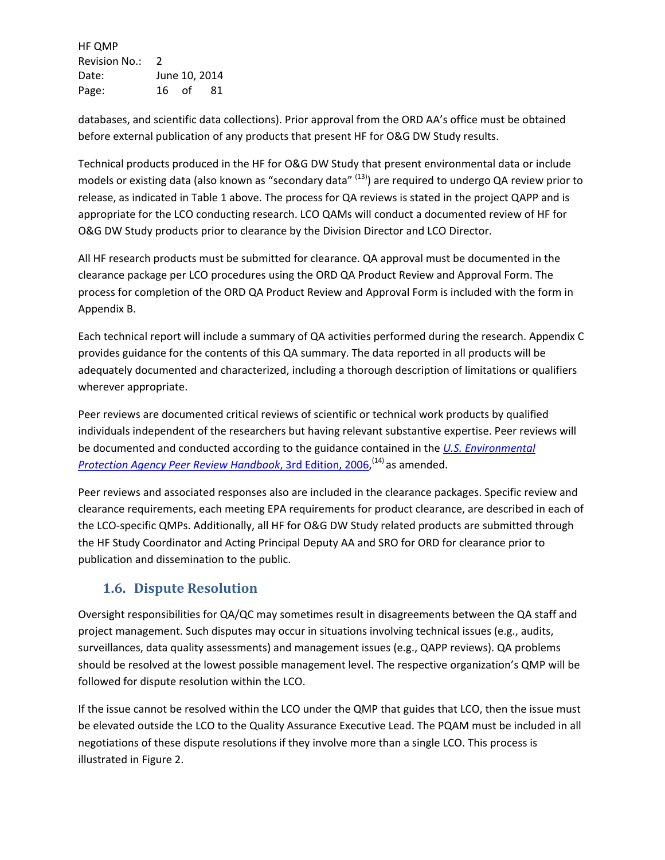HF QMP Revision No.: 2 Date: June 10, 2014 Page: 16 of 81

databases, and scientific data collections). Prior approval from the ORD AA's office must be obtained before external publication of any products that present HF for O&G DW Study results.

Technical products produced in the HF for O&G DW Study that present environmental data or include models or existing data (also known as "secondary data" <sup>(13)</sup>) are required to undergo QA review prior to release, as indicated in Table 1 above. The process for QA reviews is stated in the project QAPP and is appropriate for the LCO conducting research. LCO QAMs will conduct a documented review of HF for O&G DW Study products prior to clearance by the Division Director and LCO Director.

All HF research products must be submitted for clearance. QA approval must be documented in the clearance package per LCO procedures using the ORD QA Product Review and Approval Form. The process for completion of the ORD QA Product Review and Approval Form is included with the form in Appendix B.

Each technical report will include a summary of QA activities performed during the research. Appendix C provides guidance for the contents of this QA summary. The data reported in all products will be adequately documented and characterized, including a thorough description of limitations or qualifiers wherever appropriate.

Peer reviews are documented critical reviews of scientific or technical work products by qualified individuals independent of the researchers but having relevant substantive expertise. Peer reviews will be documented and conducted according to the guidance contained in the *[U.S. Environmental](http://www.epa.gov/peerreview/pdfs/Peer%20Review%20HandbookMay06.pdf)  [Protection Agency Peer Review Handbook](http://www.epa.gov/peerreview/pdfs/Peer%20Review%20HandbookMay06.pdf)*, 3rd Edition, 2006, (14) as amended.

Peer reviews and associated responses also are included in the clearance packages. Specific review and clearance requirements, each meeting EPA requirements for product clearance, are described in each of the LCO-specific QMPs. Additionally, all HF for O&G DW Study related products are submitted through the HF Study Coordinator and Acting Principal Deputy AA and SRO for ORD for clearance prior to publication and dissemination to the public.

### <span id="page-15-0"></span>**1.6. Dispute Resolution**

Oversight responsibilities for QA/QC may sometimes result in disagreements between the QA staff and project management. Such disputes may occur in situations involving technical issues (e.g., audits, surveillances, data quality assessments) and management issues (e.g., QAPP reviews). QA problems should be resolved at the lowest possible management level. The respective organization's QMP will be followed for dispute resolution within the LCO.

If the issue cannot be resolved within the LCO under the QMP that guides that LCO, then the issue must be elevated outside the LCO to the Quality Assurance Executive Lead. The PQAM must be included in all negotiations of these dispute resolutions if they involve more than a single LCO. This process is illustrated in Figure 2.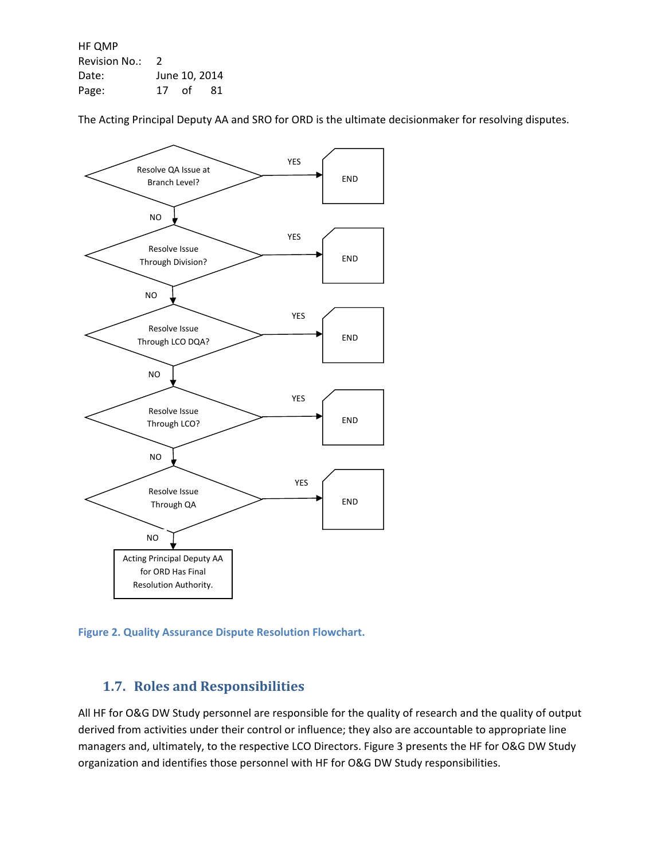HF QMP Revision No.: 2 Date: June 10, 2014 Page: 17 of 81

The Acting Principal Deputy AA and SRO for ORD is the ultimate decisionmaker for resolving disputes.



<span id="page-16-1"></span>

### <span id="page-16-0"></span>**1.7. Roles and Responsibilities**

All HF for O&G DW Study personnel are responsible for the quality of research and the quality of output derived from activities under their control or influence; they also are accountable to appropriate line managers and, ultimately, to the respective LCO Directors. Figure 3 presents the HF for O&G DW Study organization and identifies those personnel with HF for O&G DW Study responsibilities.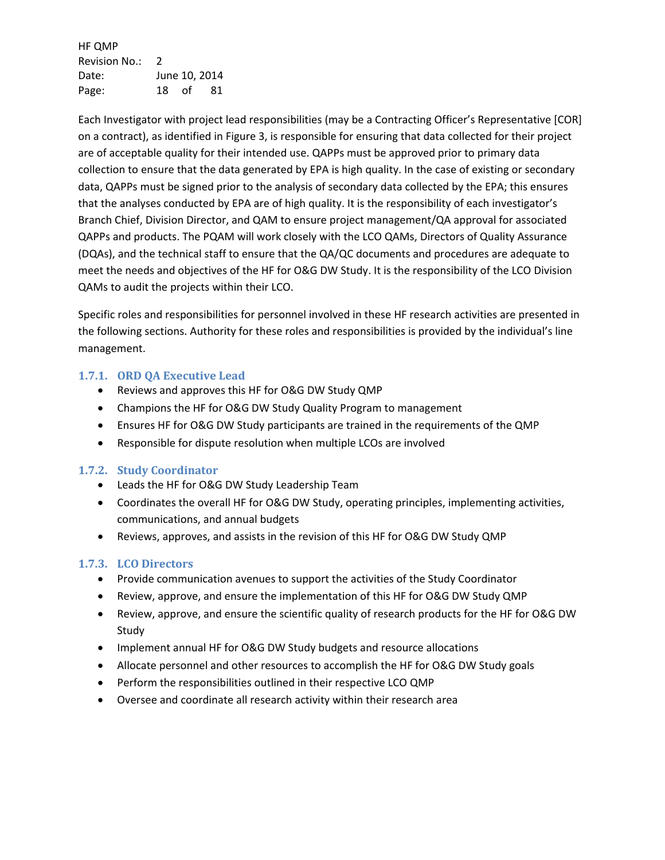HF QMP Revision No.: 2 Date: June 10, 2014 Page: 18 of 81

Each Investigator with project lead responsibilities (may be a Contracting Officer's Representative [COR] on a contract), as identified in Figure 3, is responsible for ensuring that data collected for their project are of acceptable quality for their intended use. QAPPs must be approved prior to primary data collection to ensure that the data generated by EPA is high quality. In the case of existing or secondary data, QAPPs must be signed prior to the analysis of secondary data collected by the EPA; this ensures that the analyses conducted by EPA are of high quality. It is the responsibility of each investigator's Branch Chief, Division Director, and QAM to ensure project management/QA approval for associated QAPPs and products. The PQAM will work closely with the LCO QAMs, Directors of Quality Assurance (DQAs), and the technical staff to ensure that the QA/QC documents and procedures are adequate to meet the needs and objectives of the HF for O&G DW Study. It is the responsibility of the LCO Division QAMs to audit the projects within their LCO.

Specific roles and responsibilities for personnel involved in these HF research activities are presented in the following sections. Authority for these roles and responsibilities is provided by the individual's line management.

#### **1.7.1. ORD QA Executive Lead**

- Reviews and approves this HF for O&G DW Study QMP
- Champions the HF for O&G DW Study Quality Program to management
- Ensures HF for O&G DW Study participants are trained in the requirements of the QMP
- Responsible for dispute resolution when multiple LCOs are involved

#### **1.7.2. Study Coordinator**

- Leads the HF for O&G DW Study Leadership Team
- Coordinates the overall HF for O&G DW Study, operating principles, implementing activities, communications, and annual budgets
- Reviews, approves, and assists in the revision of this HF for O&G DW Study QMP

#### **1.7.3. LCO Directors**

- Provide communication avenues to support the activities of the Study Coordinator
- Review, approve, and ensure the implementation of this HF for O&G DW Study QMP
- Review, approve, and ensure the scientific quality of research products for the HF for O&G DW Study
- Implement annual HF for O&G DW Study budgets and resource allocations
- Allocate personnel and other resources to accomplish the HF for O&G DW Study goals
- Perform the responsibilities outlined in their respective LCO QMP
- Oversee and coordinate all research activity within their research area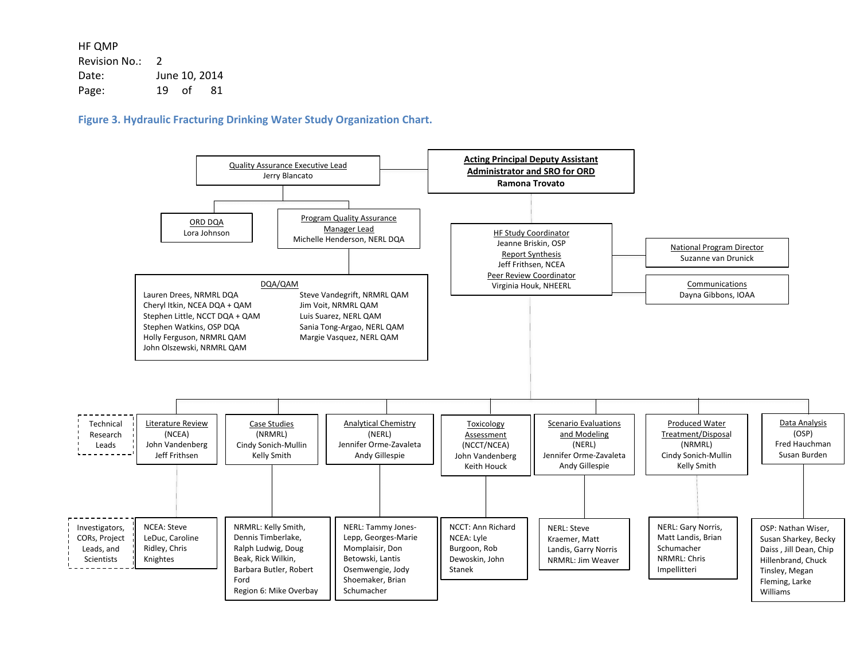HF QMP Revision No.: 2 Date: June 10, 2014 Page: 19 of 81

**Figure 3. Hydraulic Fracturing Drinking Water Study Organization Chart.**

<span id="page-18-0"></span>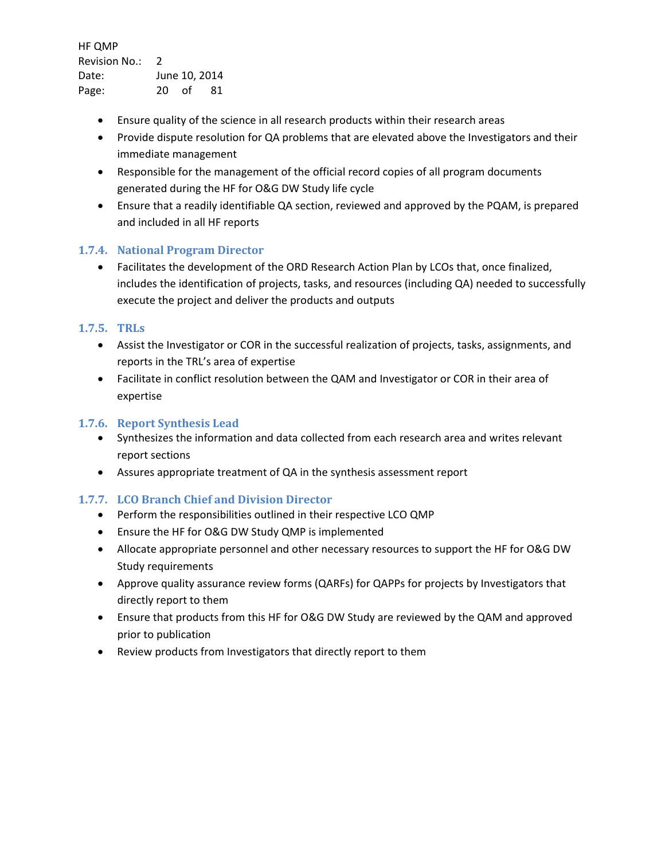HF QMP Revision No.: 2 Date: June 10, 2014 Page: 20 of 81

- Ensure quality of the science in all research products within their research areas
- Provide dispute resolution for QA problems that are elevated above the Investigators and their immediate management
- Responsible for the management of the official record copies of all program documents generated during the HF for O&G DW Study life cycle
- Ensure that a readily identifiable QA section, reviewed and approved by the PQAM, is prepared and included in all HF reports

#### **1.7.4. National Program Director**

• Facilitates the development of the ORD Research Action Plan by LCOs that, once finalized, includes the identification of projects, tasks, and resources (including QA) needed to successfully execute the project and deliver the products and outputs

#### **1.7.5. TRLs**

- Assist the Investigator or COR in the successful realization of projects, tasks, assignments, and reports in the TRL's area of expertise
- Facilitate in conflict resolution between the QAM and Investigator or COR in their area of expertise

#### **1.7.6. Report Synthesis Lead**

- Synthesizes the information and data collected from each research area and writes relevant report sections
- Assures appropriate treatment of QA in the synthesis assessment report

### **1.7.7. LCO Branch Chief and Division Director**

- Perform the responsibilities outlined in their respective LCO QMP
- Ensure the HF for O&G DW Study QMP is implemented
- Allocate appropriate personnel and other necessary resources to support the HF for O&G DW Study requirements
- Approve quality assurance review forms (QARFs) for QAPPs for projects by Investigators that directly report to them
- Ensure that products from this HF for O&G DW Study are reviewed by the QAM and approved prior to publication
- Review products from Investigators that directly report to them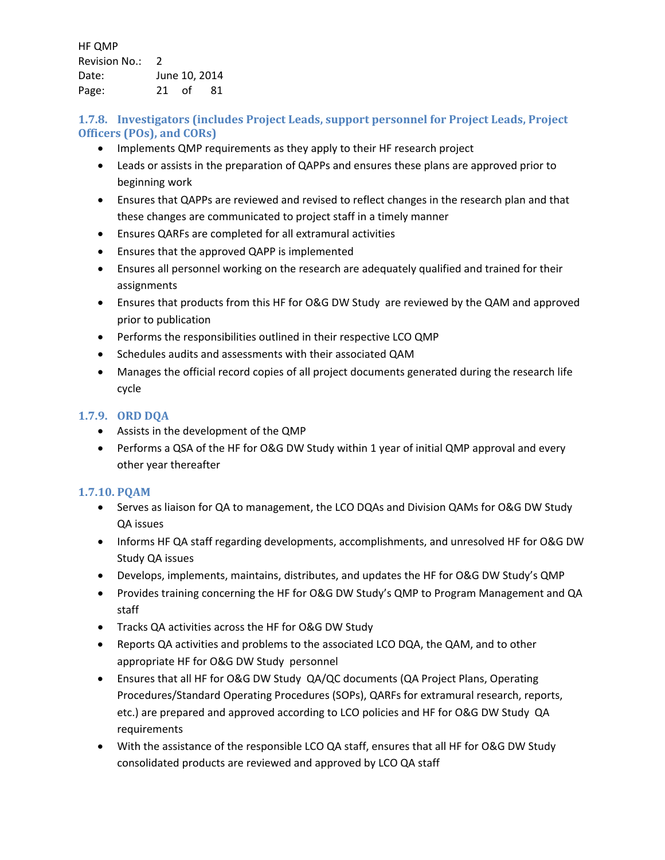HF QMP Revision No.: 2 Date: June 10, 2014 Page: 21 of 81

**1.7.8. Investigators (includes Project Leads, support personnel for Project Leads, Project Officers (POs), and CORs)**

- Implements QMP requirements as they apply to their HF research project
- Leads or assists in the preparation of QAPPs and ensures these plans are approved prior to beginning work
- Ensures that QAPPs are reviewed and revised to reflect changes in the research plan and that these changes are communicated to project staff in a timely manner
- Ensures QARFs are completed for all extramural activities
- Ensures that the approved QAPP is implemented
- Ensures all personnel working on the research are adequately qualified and trained for their assignments
- Ensures that products from this HF for O&G DW Study are reviewed by the QAM and approved prior to publication
- Performs the responsibilities outlined in their respective LCO QMP
- Schedules audits and assessments with their associated QAM
- Manages the official record copies of all project documents generated during the research life cycle

#### **1.7.9. ORD DQA**

- Assists in the development of the QMP
- Performs a QSA of the HF for O&G DW Study within 1 year of initial QMP approval and every other year thereafter

### **1.7.10. PQAM**

- Serves as liaison for QA to management, the LCO DQAs and Division QAMs for O&G DW Study QA issues
- Informs HF QA staff regarding developments, accomplishments, and unresolved HF for O&G DW Study QA issues
- Develops, implements, maintains, distributes, and updates the HF for O&G DW Study's QMP
- Provides training concerning the HF for O&G DW Study's QMP to Program Management and QA staff
- Tracks QA activities across the HF for O&G DW Study
- Reports QA activities and problems to the associated LCO DQA, the QAM, and to other appropriate HF for O&G DW Study personnel
- Ensures that all HF for O&G DW Study QA/QC documents (QA Project Plans, Operating Procedures/Standard Operating Procedures (SOPs), QARFs for extramural research, reports, etc.) are prepared and approved according to LCO policies and HF for O&G DW Study QA requirements
- With the assistance of the responsible LCO QA staff, ensures that all HF for O&G DW Study consolidated products are reviewed and approved by LCO QA staff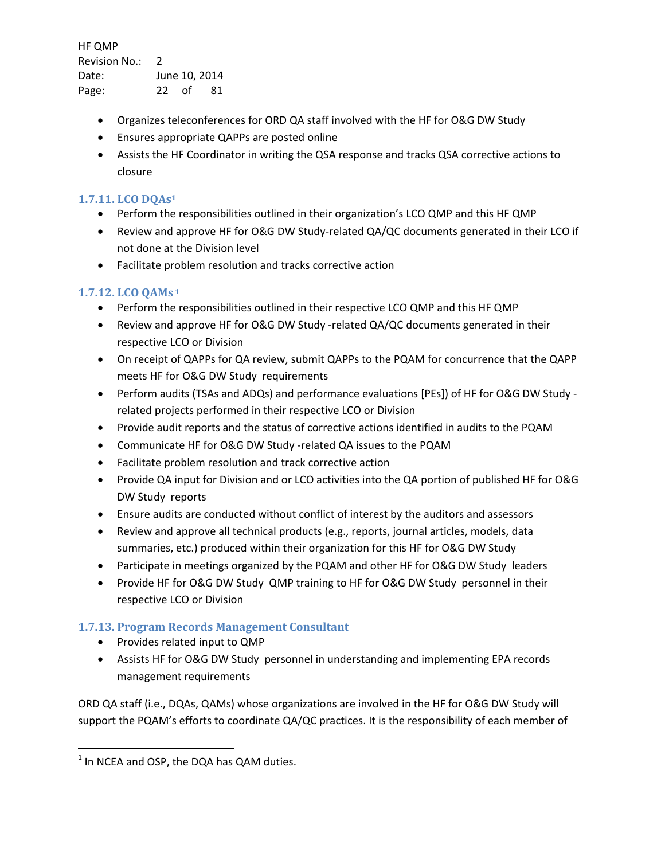HF QMP Revision No.: 2 Date: June 10, 2014 Page: 22 of 81

- Organizes teleconferences for ORD QA staff involved with the HF for O&G DW Study
- Ensures appropriate QAPPs are posted online
- Assists the HF Coordinator in writing the QSA response and tracks QSA corrective actions to closure

### **1.7.11. LCO DQAs1**

- Perform the responsibilities outlined in their organization's LCO QMP and this HF QMP
- Review and approve HF for O&G DW Study-related QA/QC documents generated in their LCO if not done at the Division level
- Facilitate problem resolution and tracks corrective action

### **1.7.12. LCO QAMs [1](#page-21-0)**

- Perform the responsibilities outlined in their respective LCO QMP and this HF QMP
- Review and approve HF for O&G DW Study -related QA/QC documents generated in their respective LCO or Division
- On receipt of QAPPs for QA review, submit QAPPs to the PQAM for concurrence that the QAPP meets HF for O&G DW Study requirements
- Perform audits (TSAs and ADQs) and performance evaluations [PEs]) of HF for O&G DW Study related projects performed in their respective LCO or Division
- Provide audit reports and the status of corrective actions identified in audits to the PQAM
- Communicate HF for O&G DW Study -related QA issues to the PQAM
- Facilitate problem resolution and track corrective action
- Provide QA input for Division and or LCO activities into the QA portion of published HF for O&G DW Study reports
- Ensure audits are conducted without conflict of interest by the auditors and assessors
- Review and approve all technical products (e.g., reports, journal articles, models, data summaries, etc.) produced within their organization for this HF for O&G DW Study
- Participate in meetings organized by the PQAM and other HF for O&G DW Study leaders
- Provide HF for O&G DW Study QMP training to HF for O&G DW Study personnel in their respective LCO or Division

### **1.7.13. Program Records Management Consultant**

- Provides related input to QMP
- Assists HF for O&G DW Study personnel in understanding and implementing EPA records management requirements

ORD QA staff (i.e., DQAs, QAMs) whose organizations are involved in the HF for O&G DW Study will support the PQAM's efforts to coordinate QA/QC practices. It is the responsibility of each member of

l

<span id="page-21-0"></span> $1$  In NCEA and OSP, the DQA has QAM duties.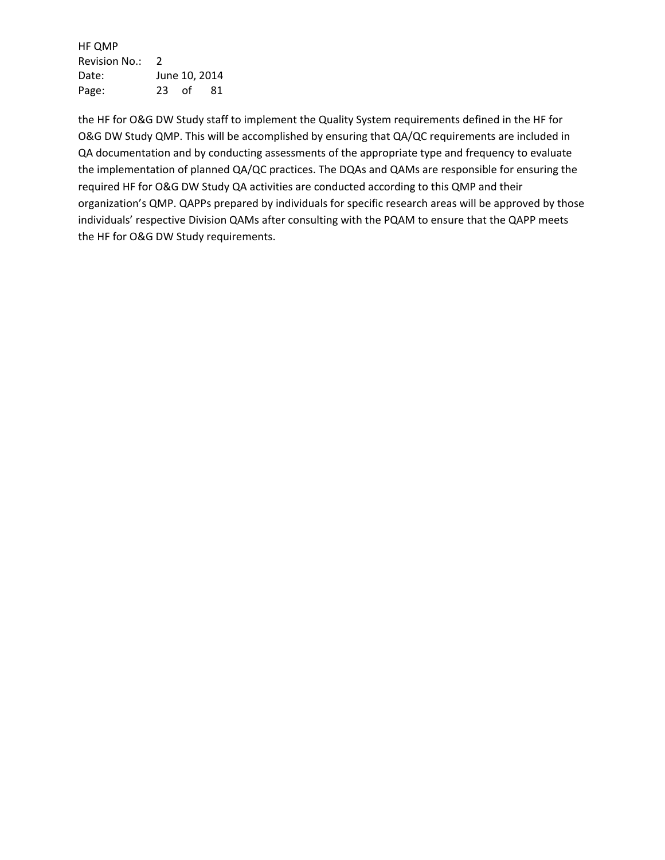HF QMP Revision No.: 2 Date: June 10, 2014 Page: 23 of 81

the HF for O&G DW Study staff to implement the Quality System requirements defined in the HF for O&G DW Study QMP. This will be accomplished by ensuring that QA/QC requirements are included in QA documentation and by conducting assessments of the appropriate type and frequency to evaluate the implementation of planned QA/QC practices. The DQAs and QAMs are responsible for ensuring the required HF for O&G DW Study QA activities are conducted according to this QMP and their organization's QMP. QAPPs prepared by individuals for specific research areas will be approved by those individuals' respective Division QAMs after consulting with the PQAM to ensure that the QAPP meets the HF for O&G DW Study requirements.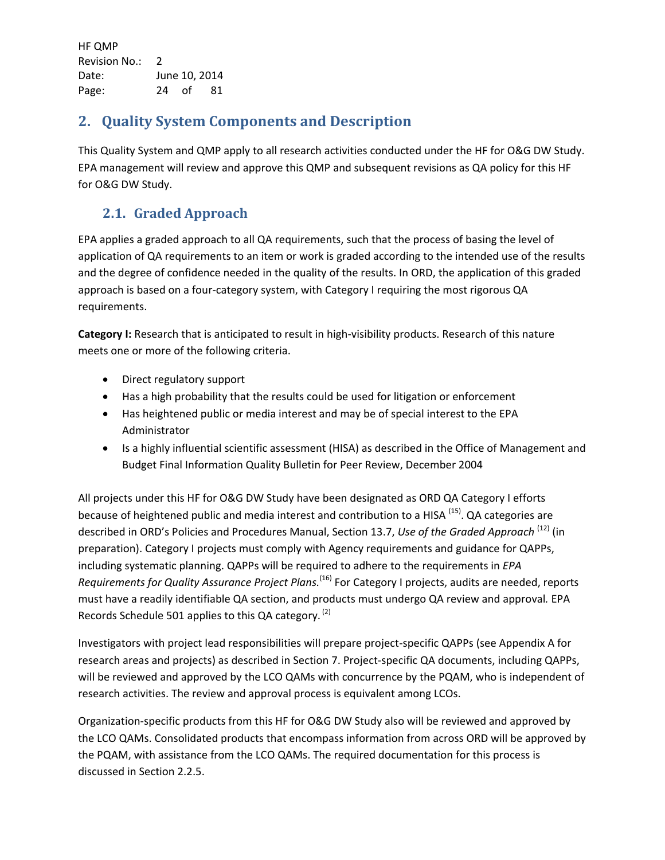HF QMP Revision No.: 2 Date: June 10, 2014 Page: 24 of 81

# <span id="page-23-0"></span>**2. Quality System Components and Description**

This Quality System and QMP apply to all research activities conducted under the HF for O&G DW Study. EPA management will review and approve this QMP and subsequent revisions as QA policy for this HF for O&G DW Study.

# <span id="page-23-1"></span>**2.1. Graded Approach**

EPA applies a graded approach to all QA requirements, such that the process of basing the level of application of QA requirements to an item or work is graded according to the intended use of the results and the degree of confidence needed in the quality of the results. In ORD, the application of this graded approach is based on a four-category system, with Category I requiring the most rigorous QA requirements.

**Category I:** Research that is anticipated to result in high-visibility products. Research of this nature meets one or more of the following criteria.

- Direct regulatory support
- Has a high probability that the results could be used for litigation or enforcement
- Has heightened public or media interest and may be of special interest to the EPA Administrator
- Is a highly influential scientific assessment (HISA) as described in the Office of Management and Budget Final Information Quality Bulletin for Peer Review, December 2004

All projects under this HF for O&G DW Study have been designated as ORD QA Category I efforts because of heightened public and media interest and contribution to a HISA <sup>(15)</sup>. QA categories are described in ORD's Policies and Procedures Manual, Section 13.7, *Use of the Graded Approach* (12) (in preparation). Category I projects must comply with Agency requirements and guidance for QAPPs, including systematic planning. QAPPs will be required to adhere to the requirements in *EPA Requirements for Quality Assurance Project Plans.*(16) For Category I projects, audits are needed, reports must have a readily identifiable QA section, and products must undergo QA review and approval*.* EPA Records Schedule 501 applies to this QA category.<sup>(2)</sup>

Investigators with project lead responsibilities will prepare project-specific QAPPs (see Appendix A for research areas and projects) as described in Section 7. Project-specific QA documents, including QAPPs, will be reviewed and approved by the LCO QAMs with concurrence by the PQAM, who is independent of research activities. The review and approval process is equivalent among LCOs.

Organization-specific products from this HF for O&G DW Study also will be reviewed and approved by the LCO QAMs. Consolidated products that encompass information from across ORD will be approved by the PQAM, with assistance from the LCO QAMs. The required documentation for this process is discussed in Section 2.2.5.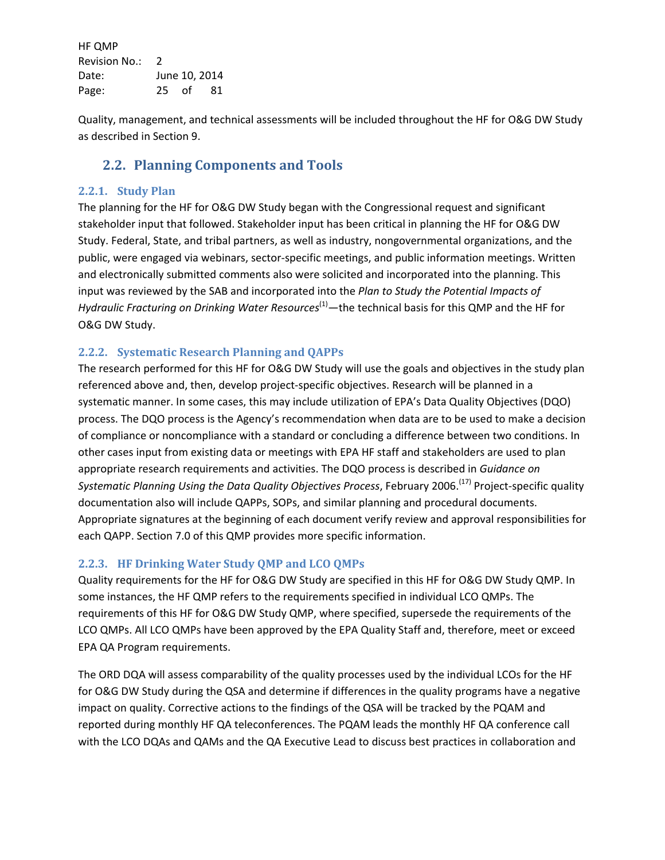HF QMP Revision No.: 2 Date: June 10, 2014 Page: 25 of 81

Quality, management, and technical assessments will be included throughout the HF for O&G DW Study as described in Section 9.

### <span id="page-24-0"></span>**2.2. Planning Components and Tools**

### **2.2.1. Study Plan**

The planning for the HF for O&G DW Study began with the Congressional request and significant stakeholder input that followed. Stakeholder input has been critical in planning the HF for O&G DW Study. Federal, State, and tribal partners, as well as industry, nongovernmental organizations, and the public, were engaged via webinars, sector-specific meetings, and public information meetings. Written and electronically submitted comments also were solicited and incorporated into the planning. This input was reviewed by the SAB and incorporated into the *Plan to Study the Potential Impacts of Hydraulic Fracturing on Drinking Water Resources*<sup>(1)</sup>—the technical basis for this QMP and the HF for O&G DW Study.

### **2.2.2. Systematic Research Planning and QAPPs**

The research performed for this HF for O&G DW Study will use the goals and objectives in the study plan referenced above and, then, develop project-specific objectives. Research will be planned in a systematic manner. In some cases, this may include utilization of EPA's Data Quality Objectives (DQO) process. The DQO process is the Agency's recommendation when data are to be used to make a decision of compliance or noncompliance with a standard or concluding a difference between two conditions. In other cases input from existing data or meetings with EPA HF staff and stakeholders are used to plan appropriate research requirements and activities. The DQO process is described in *Guidance on*  Systematic Planning Using the Data Quality Objectives Process, February 2006.<sup>(17)</sup> Project-specific quality documentation also will include QAPPs, SOPs, and similar planning and procedural documents. Appropriate signatures at the beginning of each document verify review and approval responsibilities for each QAPP. Section 7.0 of this QMP provides more specific information.

### **2.2.3. HF Drinking Water Study QMP and LCO QMPs**

Quality requirements for the HF for O&G DW Study are specified in this HF for O&G DW Study QMP. In some instances, the HF QMP refers to the requirements specified in individual LCO QMPs. The requirements of this HF for O&G DW Study QMP, where specified, supersede the requirements of the LCO QMPs. All LCO QMPs have been approved by the EPA Quality Staff and, therefore, meet or exceed EPA QA Program requirements.

The ORD DQA will assess comparability of the quality processes used by the individual LCOs for the HF for O&G DW Study during the QSA and determine if differences in the quality programs have a negative impact on quality. Corrective actions to the findings of the QSA will be tracked by the PQAM and reported during monthly HF QA teleconferences. The PQAM leads the monthly HF QA conference call with the LCO DQAs and QAMs and the QA Executive Lead to discuss best practices in collaboration and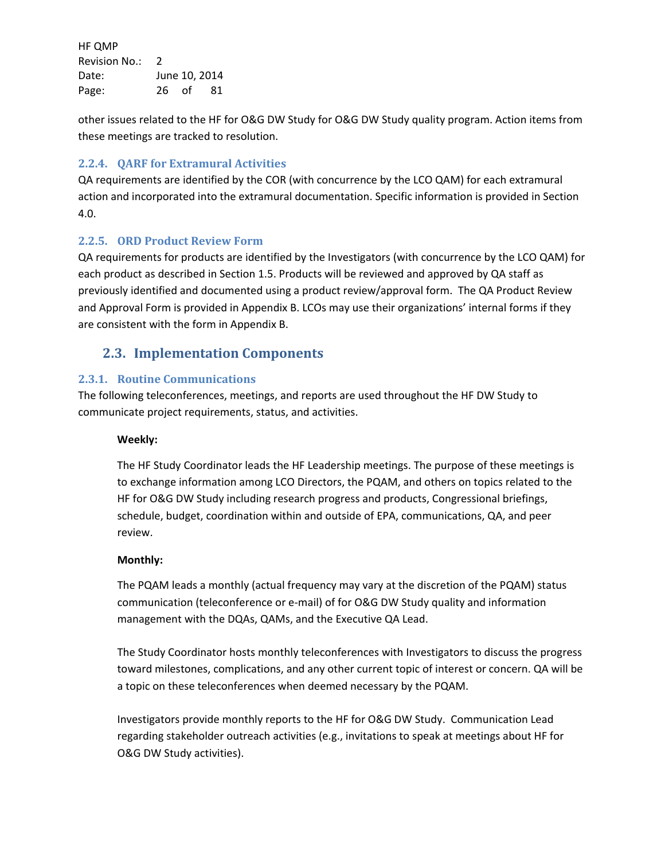HF QMP Revision No.: 2 Date: June 10, 2014 Page: 26 of 81

other issues related to the HF for O&G DW Study for O&G DW Study quality program. Action items from these meetings are tracked to resolution.

### **2.2.4. QARF for Extramural Activities**

QA requirements are identified by the COR (with concurrence by the LCO QAM) for each extramural action and incorporated into the extramural documentation. Specific information is provided in Section 4.0.

### **2.2.5. ORD Product Review Form**

QA requirements for products are identified by the Investigators (with concurrence by the LCO QAM) for each product as described in Section 1.5. Products will be reviewed and approved by QA staff as previously identified and documented using a product review/approval form. The QA Product Review and Approval Form is provided in Appendix B. LCOs may use their organizations' internal forms if they are consistent with the form in Appendix B.

### <span id="page-25-0"></span>**2.3. Implementation Components**

### **2.3.1. Routine Communications**

The following teleconferences, meetings, and reports are used throughout the HF DW Study to communicate project requirements, status, and activities.

#### **Weekly:**

The HF Study Coordinator leads the HF Leadership meetings. The purpose of these meetings is to exchange information among LCO Directors, the PQAM, and others on topics related to the HF for O&G DW Study including research progress and products, Congressional briefings, schedule, budget, coordination within and outside of EPA, communications, QA, and peer review.

#### **Monthly:**

The PQAM leads a monthly (actual frequency may vary at the discretion of the PQAM) status communication (teleconference or e-mail) of for O&G DW Study quality and information management with the DQAs, QAMs, and the Executive QA Lead.

The Study Coordinator hosts monthly teleconferences with Investigators to discuss the progress toward milestones, complications, and any other current topic of interest or concern. QA will be a topic on these teleconferences when deemed necessary by the PQAM.

Investigators provide monthly reports to the HF for O&G DW Study. Communication Lead regarding stakeholder outreach activities (e.g., invitations to speak at meetings about HF for O&G DW Study activities).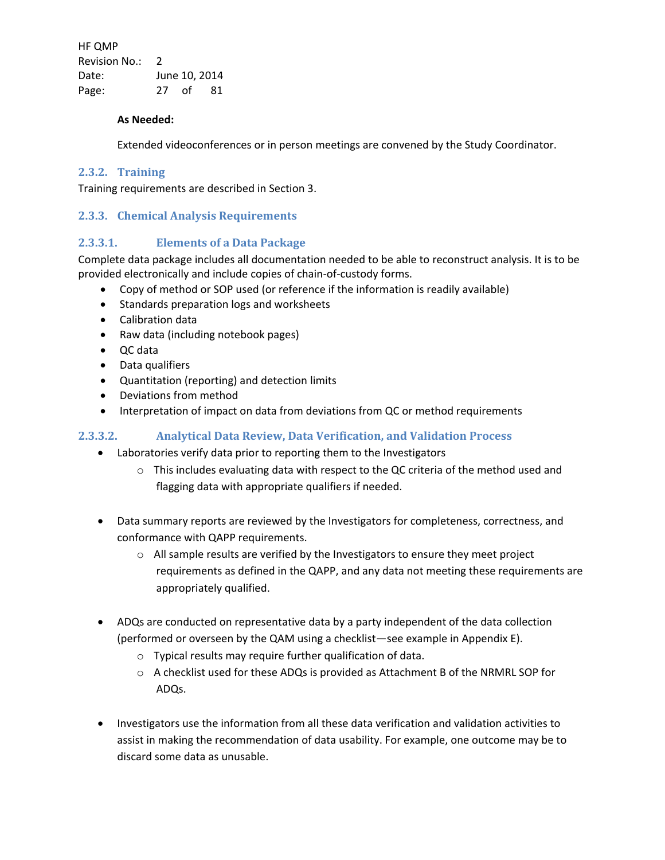HF QMP Revision No.: 2 Date: June 10, 2014 Page: 27 of 81

#### **As Needed:**

Extended videoconferences or in person meetings are convened by the Study Coordinator.

#### **2.3.2. Training**

Training requirements are described in Section 3.

### **2.3.3. Chemical Analysis Requirements**

### **2.3.3.1. Elements of a Data Package**

Complete data package includes all documentation needed to be able to reconstruct analysis. It is to be provided electronically and include copies of chain-of-custody forms.

- Copy of method or SOP used (or reference if the information is readily available)
- Standards preparation logs and worksheets
- Calibration data
- Raw data (including notebook pages)
- QC data
- Data qualifiers
- Quantitation (reporting) and detection limits
- Deviations from method
- Interpretation of impact on data from deviations from QC or method requirements

### **2.3.3.2. Analytical Data Review, Data Verification, and Validation Process**

- Laboratories verify data prior to reporting them to the Investigators
	- o This includes evaluating data with respect to the QC criteria of the method used and flagging data with appropriate qualifiers if needed.
- Data summary reports are reviewed by the Investigators for completeness, correctness, and conformance with QAPP requirements.
	- o All sample results are verified by the Investigators to ensure they meet project requirements as defined in the QAPP, and any data not meeting these requirements are appropriately qualified.
- ADQs are conducted on representative data by a party independent of the data collection (performed or overseen by the QAM using a checklist—see example in Appendix E).
	- o Typical results may require further qualification of data.
	- o A checklist used for these ADQs is provided as Attachment B of the NRMRL SOP for ADQs.
- Investigators use the information from all these data verification and validation activities to assist in making the recommendation of data usability. For example, one outcome may be to discard some data as unusable.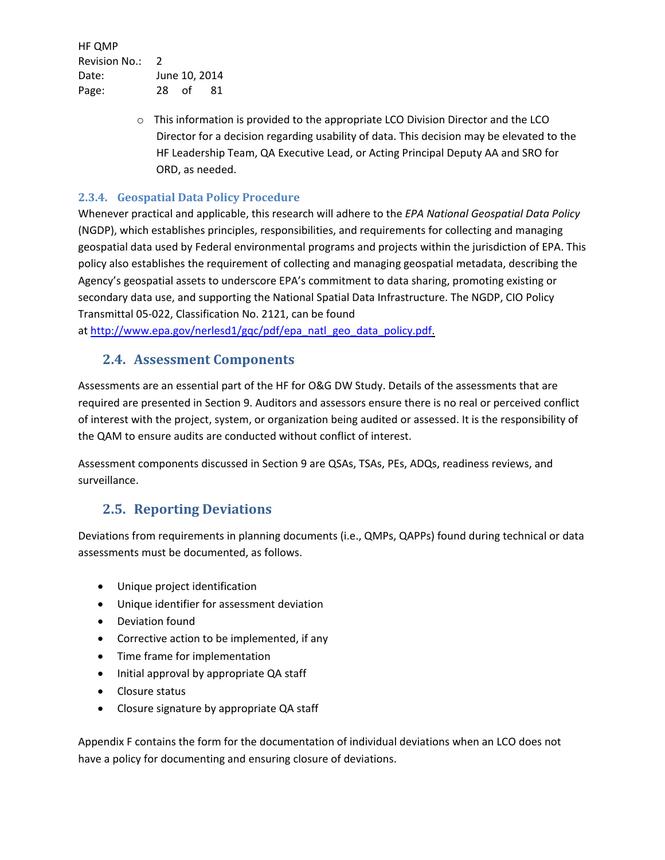HF QMP Revision No.: 2 Date: June 10, 2014 Page: 28 of 81

> $\circ$  This information is provided to the appropriate LCO Division Director and the LCO Director for a decision regarding usability of data. This decision may be elevated to the HF Leadership Team, QA Executive Lead, or Acting Principal Deputy AA and SRO for ORD, as needed.

### **2.3.4. Geospatial Data Policy Procedure**

Whenever practical and applicable, this research will adhere to the *EPA National Geospatial Data Policy* (NGDP), which establishes principles, responsibilities, and requirements for collecting and managing geospatial data used by Federal environmental programs and projects within the jurisdiction of EPA. This policy also establishes the requirement of collecting and managing geospatial metadata, describing the Agency's geospatial assets to underscore EPA's commitment to data sharing, promoting existing or secondary data use, and supporting the National Spatial Data Infrastructure. The NGDP, CIO Policy Transmittal 05-022, Classification No. 2121, can be found

<span id="page-27-0"></span>at [http://www.epa.gov/nerlesd1/gqc/pdf/epa\\_natl\\_geo\\_data\\_policy.pdf.](http://www.epa.gov/nerlesd1/gqc/pdf/epa_natl_geo_data_policy.pdf)

### **2.4. Assessment Components**

Assessments are an essential part of the HF for O&G DW Study. Details of the assessments that are required are presented in Section 9. Auditors and assessors ensure there is no real or perceived conflict of interest with the project, system, or organization being audited or assessed. It is the responsibility of the QAM to ensure audits are conducted without conflict of interest.

Assessment components discussed in Section 9 are QSAs, TSAs, PEs, ADQs, readiness reviews, and surveillance.

### <span id="page-27-1"></span>**2.5. Reporting Deviations**

Deviations from requirements in planning documents (i.e., QMPs, QAPPs) found during technical or data assessments must be documented, as follows.

- Unique project identification
- Unique identifier for assessment deviation
- Deviation found
- Corrective action to be implemented, if any
- Time frame for implementation
- Initial approval by appropriate QA staff
- Closure status
- Closure signature by appropriate QA staff

Appendix F contains the form for the documentation of individual deviations when an LCO does not have a policy for documenting and ensuring closure of deviations.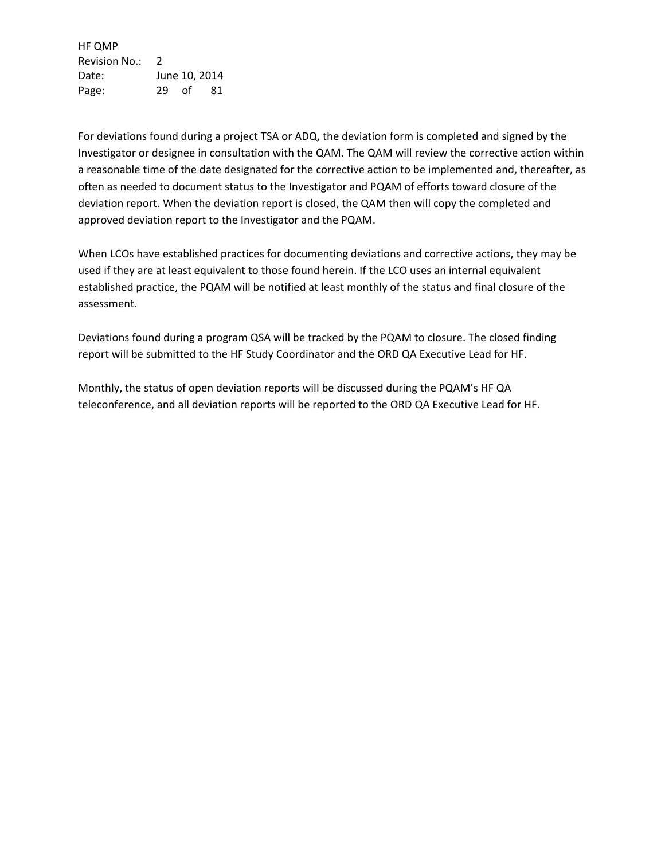HF QMP Revision No.: 2 Date: June 10, 2014 Page: 29 of 81

For deviations found during a project TSA or ADQ, the deviation form is completed and signed by the Investigator or designee in consultation with the QAM. The QAM will review the corrective action within a reasonable time of the date designated for the corrective action to be implemented and, thereafter, as often as needed to document status to the Investigator and PQAM of efforts toward closure of the deviation report. When the deviation report is closed, the QAM then will copy the completed and approved deviation report to the Investigator and the PQAM.

When LCOs have established practices for documenting deviations and corrective actions, they may be used if they are at least equivalent to those found herein. If the LCO uses an internal equivalent established practice, the PQAM will be notified at least monthly of the status and final closure of the assessment.

Deviations found during a program QSA will be tracked by the PQAM to closure. The closed finding report will be submitted to the HF Study Coordinator and the ORD QA Executive Lead for HF.

Monthly, the status of open deviation reports will be discussed during the PQAM's HF QA teleconference, and all deviation reports will be reported to the ORD QA Executive Lead for HF.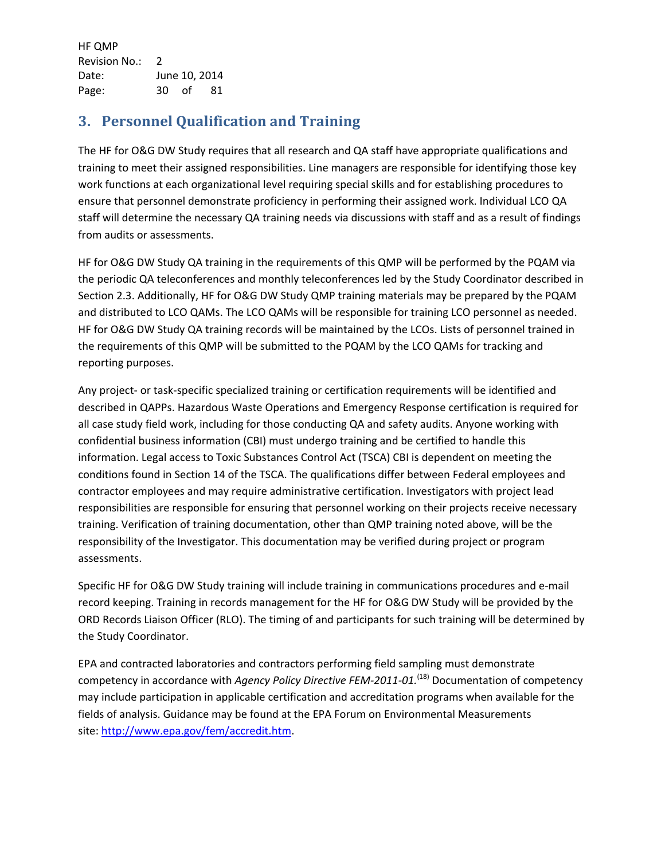HF QMP Revision No.: 2 Date: June 10, 2014 Page: 30 of 81

# <span id="page-29-0"></span>**3. Personnel Qualification and Training**

The HF for O&G DW Study requires that all research and QA staff have appropriate qualifications and training to meet their assigned responsibilities. Line managers are responsible for identifying those key work functions at each organizational level requiring special skills and for establishing procedures to ensure that personnel demonstrate proficiency in performing their assigned work. Individual LCO QA staff will determine the necessary QA training needs via discussions with staff and as a result of findings from audits or assessments.

HF for O&G DW Study QA training in the requirements of this QMP will be performed by the PQAM via the periodic QA teleconferences and monthly teleconferences led by the Study Coordinator described in Section 2.3. Additionally, HF for O&G DW Study QMP training materials may be prepared by the PQAM and distributed to LCO QAMs. The LCO QAMs will be responsible for training LCO personnel as needed. HF for O&G DW Study QA training records will be maintained by the LCOs. Lists of personnel trained in the requirements of this QMP will be submitted to the PQAM by the LCO QAMs for tracking and reporting purposes.

Any project- or task-specific specialized training or certification requirements will be identified and described in QAPPs. Hazardous Waste Operations and Emergency Response certification is required for all case study field work, including for those conducting QA and safety audits. Anyone working with confidential business information (CBI) must undergo training and be certified to handle this information. Legal access to Toxic Substances Control Act (TSCA) CBI is dependent on meeting the conditions found in Section 14 of the TSCA. The qualifications differ between Federal employees and contractor employees and may require administrative certification. Investigators with project lead responsibilities are responsible for ensuring that personnel working on their projects receive necessary training. Verification of training documentation, other than QMP training noted above, will be the responsibility of the Investigator. This documentation may be verified during project or program assessments.

Specific HF for O&G DW Study training will include training in communications procedures and e-mail record keeping. Training in records management for the HF for O&G DW Study will be provided by the ORD Records Liaison Officer (RLO). The timing of and participants for such training will be determined by the Study Coordinator.

EPA and contracted laboratories and contractors performing field sampling must demonstrate competency in accordance with *Agency Policy Directive FEM-2011-01.* (18) Documentation of competency may include participation in applicable certification and accreditation programs when available for the fields of analysis. Guidance may be found at the EPA Forum on Environmental Measurements site: [http://www.epa.gov/fem/accredit.htm.](http://www.epa.gov/fem/accredit.htm)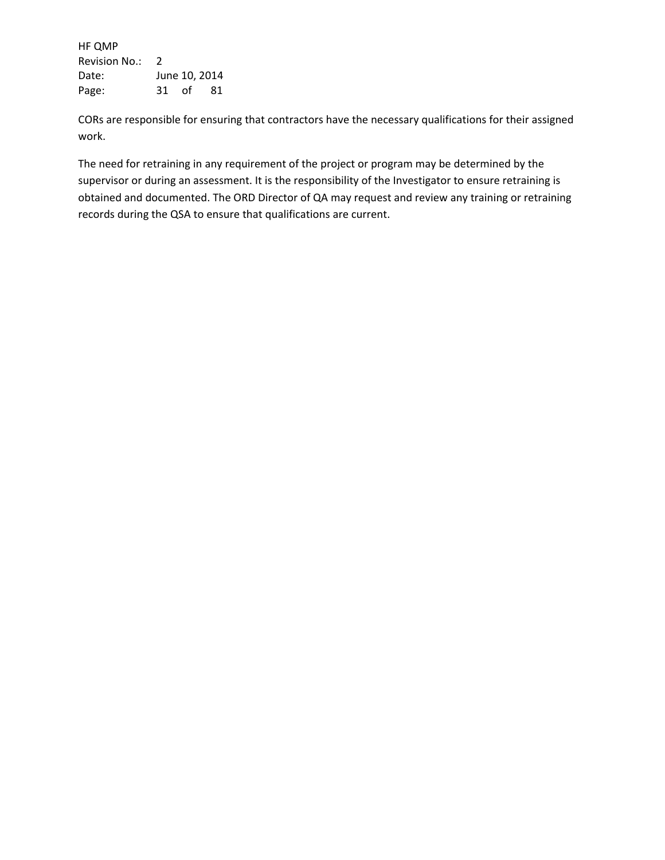HF QMP Revision No.: 2 Date: June 10, 2014 Page: 31 of 81

CORs are responsible for ensuring that contractors have the necessary qualifications for their assigned work.

The need for retraining in any requirement of the project or program may be determined by the supervisor or during an assessment. It is the responsibility of the Investigator to ensure retraining is obtained and documented. The ORD Director of QA may request and review any training or retraining records during the QSA to ensure that qualifications are current.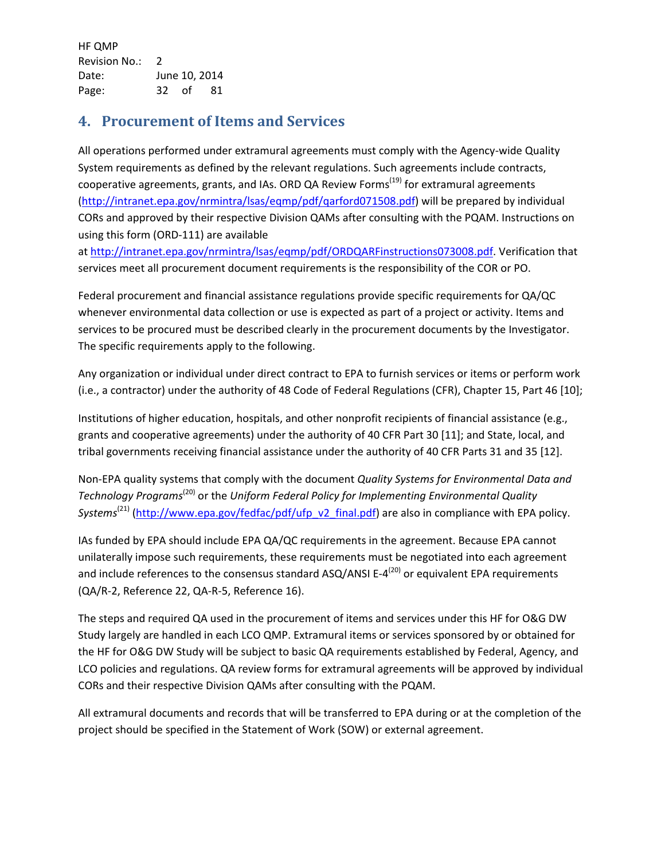# <span id="page-31-0"></span>**4. Procurement of Items and Services**

All operations performed under extramural agreements must comply with the Agency-wide Quality System requirements as defined by the relevant regulations. Such agreements include contracts, cooperative agreements, grants, and IAs. ORD QA Review Forms<sup>(19)</sup> for extramural agreements [\(http://intranet.epa.gov/nrmintra/lsas/eqmp/pdf/qarford071508.pdf\)](http://intranet.epa.gov/nrmintra/lsas/eqmp/pdf/qarford071508.pdf) will be prepared by individual CORs and approved by their respective Division QAMs after consulting with the PQAM. Instructions on using this form (ORD-111) are available

at [http://intranet.epa.gov/nrmintra/lsas/eqmp/pdf/ORDQARFinstructions073008.pdf.](http://intranet.epa.gov/nrmintra/lsas/eqmp/pdf/ORDQARFinstructions073008.pdf) Verification that services meet all procurement document requirements is the responsibility of the COR or PO.

Federal procurement and financial assistance regulations provide specific requirements for QA/QC whenever environmental data collection or use is expected as part of a project or activity. Items and services to be procured must be described clearly in the procurement documents by the Investigator. The specific requirements apply to the following.

Any organization or individual under direct contract to EPA to furnish services or items or perform work (i.e., a contractor) under the authority of 48 Code of Federal Regulations (CFR), Chapter 15, Part 46 [10];

Institutions of higher education, hospitals, and other nonprofit recipients of financial assistance (e.g., grants and cooperative agreements) under the authority of 40 CFR Part 30 [11]; and State, local, and tribal governments receiving financial assistance under the authority of 40 CFR Parts 31 and 35 [12].

Non-EPA quality systems that comply with the document *Quality Systems for Environmental Data and*  Technology Programs<sup>(20)</sup> or the Uniform Federal Policy for Implementing Environmental Quality Systems<sup>(21)</sup> [\(http://www.epa.gov/fedfac/pdf/ufp\\_v2\\_final.pdf\)](http://www.epa.gov/fedfac/pdf/ufp_v2_final.pdf) are also in compliance with EPA policy.

IAs funded by EPA should include EPA QA/QC requirements in the agreement. Because EPA cannot unilaterally impose such requirements, these requirements must be negotiated into each agreement and include references to the consensus standard ASQ/ANSI E-4<sup>(20)</sup> or equivalent EPA requirements (QA/R-2, Reference 22, QA-R-5, Reference 16).

The steps and required QA used in the procurement of items and services under this HF for O&G DW Study largely are handled in each LCO QMP. Extramural items or services sponsored by or obtained for the HF for O&G DW Study will be subject to basic QA requirements established by Federal, Agency, and LCO policies and regulations. QA review forms for extramural agreements will be approved by individual CORs and their respective Division QAMs after consulting with the PQAM.

All extramural documents and records that will be transferred to EPA during or at the completion of the project should be specified in the Statement of Work (SOW) or external agreement.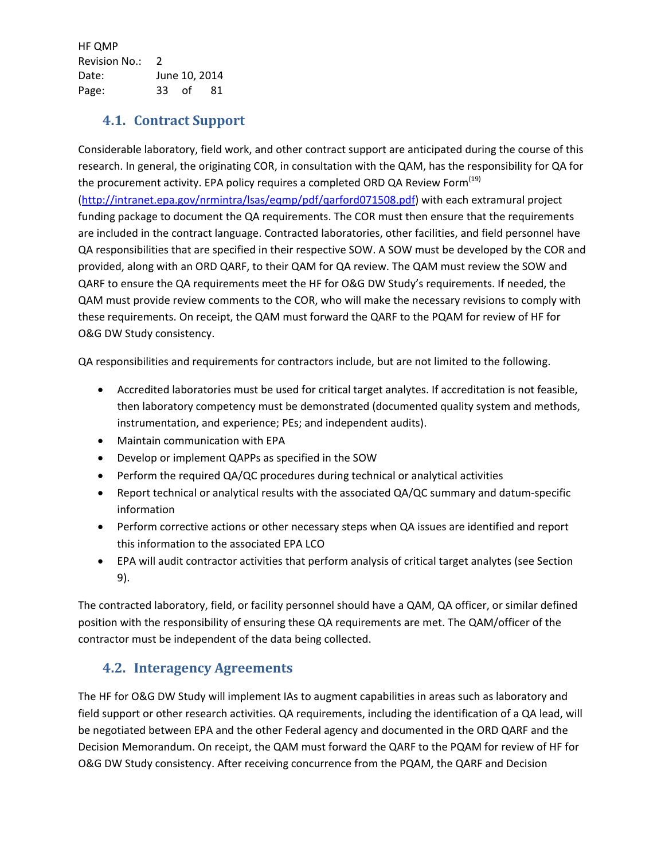HF QMP Revision No.: 2 Date: June 10, 2014 Page: 33 of 81

# <span id="page-32-0"></span>**4.1. Contract Support**

Considerable laboratory, field work, and other contract support are anticipated during the course of this research. In general, the originating COR, in consultation with the QAM, has the responsibility for QA for the procurement activity. EPA policy requires a completed ORD QA Review Form<sup>(19)</sup> [\(http://intranet.epa.gov/nrmintra/lsas/eqmp/pdf/qarford071508.pdf\)](http://intranet.epa.gov/nrmintra/lsas/eqmp/pdf/qarford071508.pdf) with each extramural project funding package to document the QA requirements. The COR must then ensure that the requirements are included in the contract language. Contracted laboratories, other facilities, and field personnel have QA responsibilities that are specified in their respective SOW. A SOW must be developed by the COR and provided, along with an ORD QARF, to their QAM for QA review. The QAM must review the SOW and QARF to ensure the QA requirements meet the HF for O&G DW Study's requirements. If needed, the QAM must provide review comments to the COR, who will make the necessary revisions to comply with these requirements. On receipt, the QAM must forward the QARF to the PQAM for review of HF for O&G DW Study consistency.

QA responsibilities and requirements for contractors include, but are not limited to the following.

- Accredited laboratories must be used for critical target analytes. If accreditation is not feasible, then laboratory competency must be demonstrated (documented quality system and methods, instrumentation, and experience; PEs; and independent audits).
- Maintain communication with EPA
- Develop or implement QAPPs as specified in the SOW
- Perform the required QA/QC procedures during technical or analytical activities
- Report technical or analytical results with the associated QA/QC summary and datum-specific information
- Perform corrective actions or other necessary steps when QA issues are identified and report this information to the associated EPA LCO
- EPA will audit contractor activities that perform analysis of critical target analytes (see Section 9).

The contracted laboratory, field, or facility personnel should have a QAM, QA officer, or similar defined position with the responsibility of ensuring these QA requirements are met. The QAM/officer of the contractor must be independent of the data being collected.

# <span id="page-32-1"></span>**4.2. Interagency Agreements**

The HF for O&G DW Study will implement IAs to augment capabilities in areas such as laboratory and field support or other research activities. QA requirements, including the identification of a QA lead, will be negotiated between EPA and the other Federal agency and documented in the ORD QARF and the Decision Memorandum. On receipt, the QAM must forward the QARF to the PQAM for review of HF for O&G DW Study consistency. After receiving concurrence from the PQAM, the QARF and Decision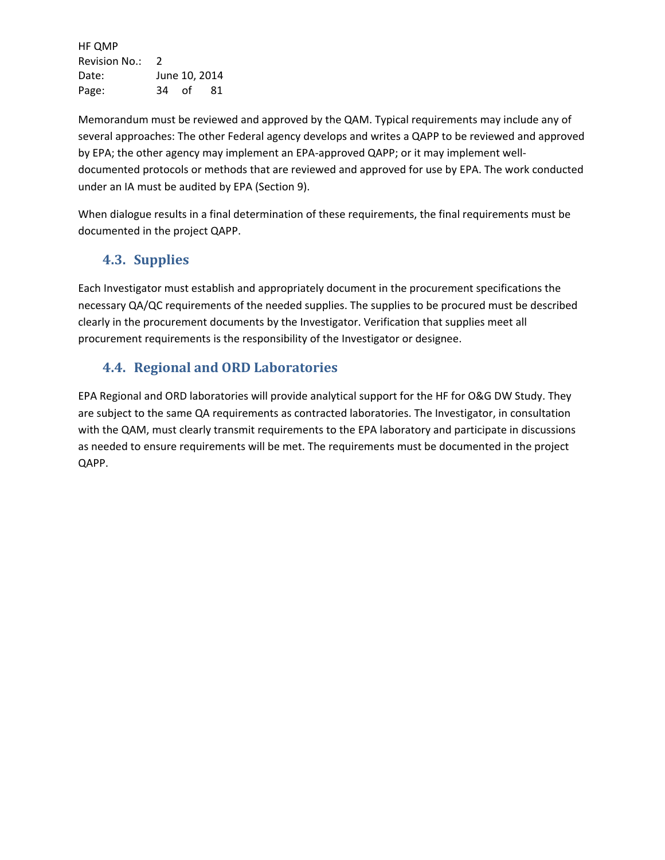HF QMP Revision No.: 2 Date: June 10, 2014 Page: 34 of 81

Memorandum must be reviewed and approved by the QAM. Typical requirements may include any of several approaches: The other Federal agency develops and writes a QAPP to be reviewed and approved by EPA; the other agency may implement an EPA-approved QAPP; or it may implement welldocumented protocols or methods that are reviewed and approved for use by EPA. The work conducted under an IA must be audited by EPA (Section 9).

When dialogue results in a final determination of these requirements, the final requirements must be documented in the project QAPP.

# <span id="page-33-0"></span>**4.3. Supplies**

Each Investigator must establish and appropriately document in the procurement specifications the necessary QA/QC requirements of the needed supplies. The supplies to be procured must be described clearly in the procurement documents by the Investigator. Verification that supplies meet all procurement requirements is the responsibility of the Investigator or designee.

### <span id="page-33-1"></span>**4.4. Regional and ORD Laboratories**

EPA Regional and ORD laboratories will provide analytical support for the HF for O&G DW Study. They are subject to the same QA requirements as contracted laboratories. The Investigator, in consultation with the QAM, must clearly transmit requirements to the EPA laboratory and participate in discussions as needed to ensure requirements will be met. The requirements must be documented in the project QAPP.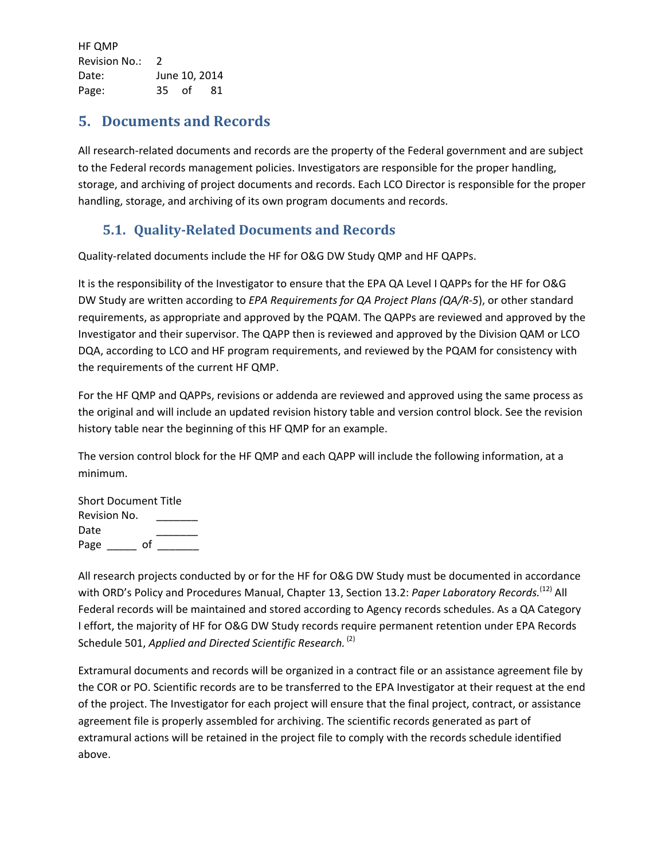HF QMP Revision No.: 2 Date: June 10, 2014 Page: 35 of 81

# <span id="page-34-0"></span>**5. Documents and Records**

All research-related documents and records are the property of the Federal government and are subject to the Federal records management policies. Investigators are responsible for the proper handling, storage, and archiving of project documents and records. Each LCO Director is responsible for the proper handling, storage, and archiving of its own program documents and records.

### <span id="page-34-1"></span>**5.1. Quality-Related Documents and Records**

Quality-related documents include the HF for O&G DW Study QMP and HF QAPPs.

It is the responsibility of the Investigator to ensure that the EPA QA Level I QAPPs for the HF for O&G DW Study are written according to *EPA Requirements for QA Project Plans (QA/R-5*), or other standard requirements, as appropriate and approved by the PQAM. The QAPPs are reviewed and approved by the Investigator and their supervisor. The QAPP then is reviewed and approved by the Division QAM or LCO DQA, according to LCO and HF program requirements, and reviewed by the PQAM for consistency with the requirements of the current HF QMP.

For the HF QMP and QAPPs, revisions or addenda are reviewed and approved using the same process as the original and will include an updated revision history table and version control block. See the revision history table near the beginning of this HF QMP for an example.

The version control block for the HF QMP and each QAPP will include the following information, at a minimum.

Short Document Title Revision No. Date Page of

All research projects conducted by or for the HF for O&G DW Study must be documented in accordance with ORD's Policy and Procedures Manual, Chapter 13, Section 13.2: Paper Laboratory Records.<sup>(12)</sup> All Federal records will be maintained and stored according to Agency records schedules. As a QA Category I effort, the majority of HF for O&G DW Study records require permanent retention under EPA Records Schedule 501, *Applied and Directed Scientific Research. <sup>(2)</sup>* 

Extramural documents and records will be organized in a contract file or an assistance agreement file by the COR or PO. Scientific records are to be transferred to the EPA Investigator at their request at the end of the project. The Investigator for each project will ensure that the final project, contract, or assistance agreement file is properly assembled for archiving. The scientific records generated as part of extramural actions will be retained in the project file to comply with the records schedule identified above.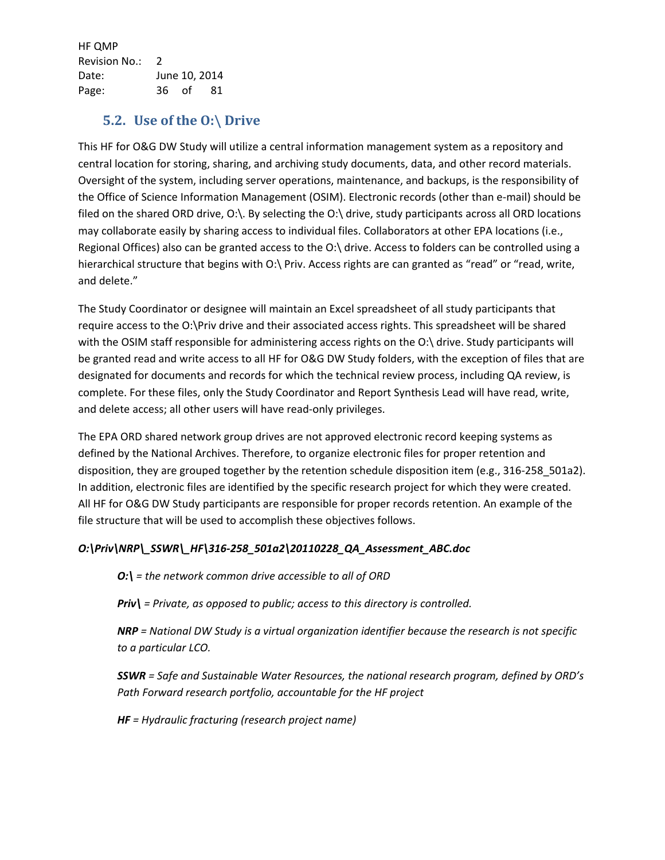HF QMP Revision No.: 2 Date: June 10, 2014 Page: 36 of 81

# <span id="page-35-0"></span>**5.2. Use of the O:\ Drive**

This HF for O&G DW Study will utilize a central information management system as a repository and central location for storing, sharing, and archiving study documents, data, and other record materials. Oversight of the system, including server operations, maintenance, and backups, is the responsibility of the Office of Science Information Management (OSIM). Electronic records (other than e-mail) should be filed on the shared ORD drive, O:\. By selecting the O:\ drive, study participants across all ORD locations may collaborate easily by sharing access to individual files. Collaborators at other EPA locations (i.e., Regional Offices) also can be granted access to the O:\ drive. Access to folders can be controlled using a hierarchical structure that begins with O:\ Priv. Access rights are can granted as "read" or "read, write, and delete."

The Study Coordinator or designee will maintain an Excel spreadsheet of all study participants that require access to the O:\Priv drive and their associated access rights. This spreadsheet will be shared with the OSIM staff responsible for administering access rights on the O:\ drive. Study participants will be granted read and write access to all HF for O&G DW Study folders, with the exception of files that are designated for documents and records for which the technical review process, including QA review, is complete. For these files, only the Study Coordinator and Report Synthesis Lead will have read, write, and delete access; all other users will have read-only privileges.

The EPA ORD shared network group drives are not approved electronic record keeping systems as defined by the National Archives. Therefore, to organize electronic files for proper retention and disposition, they are grouped together by the retention schedule disposition item (e.g., 316-258 501a2). In addition, electronic files are identified by the specific research project for which they were created. All HF for O&G DW Study participants are responsible for proper records retention. An example of the file structure that will be used to accomplish these objectives follows.

### *O:\Priv\NRP\\_SSWR\\_HF\316-258\_501a2\20110228\_QA\_Assessment\_ABC.doc*

*O:\ = the network common drive accessible to all of ORD*

*Priv\ = Private, as opposed to public; access to this directory is controlled.*

*NRP = National DW Study is a virtual organization identifier because the research is not specific to a particular LCO.* 

*SSWR = Safe and Sustainable Water Resources, the national research program, defined by ORD's Path Forward research portfolio, accountable for the HF project*

*HF = Hydraulic fracturing (research project name)*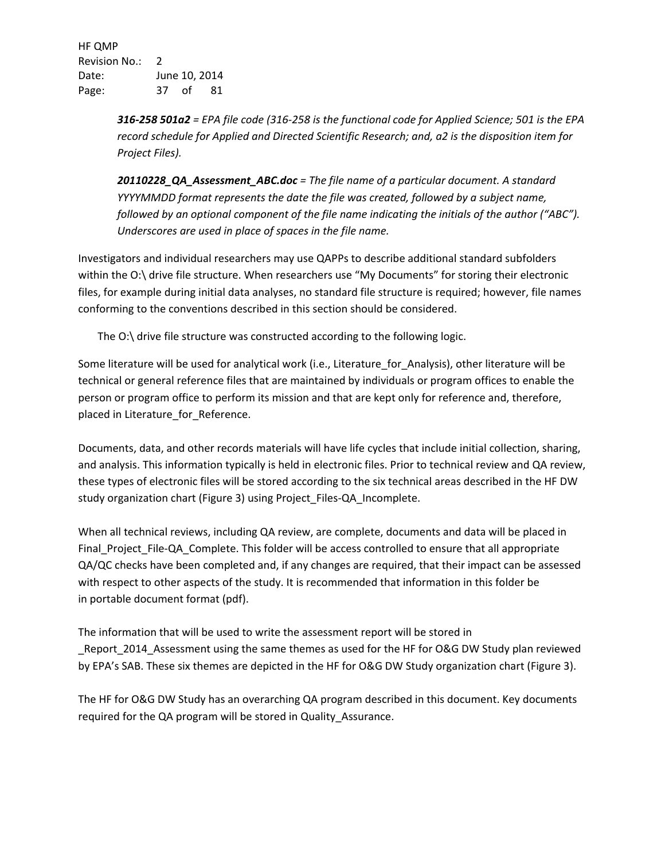HF QMP Revision No.: 2 Date: June 10, 2014 Page: 37 of 81

> *316-258 501a2 = EPA file code (316-258 is the functional code for Applied Science; 501 is the EPA record schedule for Applied and Directed Scientific Research; and, a2 is the disposition item for Project Files).*

> *20110228\_QA\_Assessment\_ABC.doc = The file name of a particular document. A standard YYYYMMDD format represents the date the file was created, followed by a subject name, followed by an optional component of the file name indicating the initials of the author ("ABC"). Underscores are used in place of spaces in the file name.*

Investigators and individual researchers may use QAPPs to describe additional standard subfolders within the O:\ drive file structure. When researchers use "My Documents" for storing their electronic files, for example during initial data analyses, no standard file structure is required; however, file names conforming to the conventions described in this section should be considered.

The O:\ drive file structure was constructed according to the following logic.

Some literature will be used for analytical work (i.e., Literature\_for\_Analysis), other literature will be technical or general reference files that are maintained by individuals or program offices to enable the person or program office to perform its mission and that are kept only for reference and, therefore, placed in Literature for Reference.

Documents, data, and other records materials will have life cycles that include initial collection, sharing, and analysis. This information typically is held in electronic files. Prior to technical review and QA review, these types of electronic files will be stored according to the six technical areas described in the HF DW study organization chart (Figure 3) using Project Files-QA Incomplete.

When all technical reviews, including QA review, are complete, documents and data will be placed in Final Project File-QA Complete. This folder will be access controlled to ensure that all appropriate QA/QC checks have been completed and, if any changes are required, that their impact can be assessed with respect to other aspects of the study. It is recommended that information in this folder be in portable document format (pdf).

The information that will be used to write the assessment report will be stored in \_Report\_2014\_Assessment using the same themes as used for the HF for O&G DW Study plan reviewed by EPA's SAB. These six themes are depicted in the HF for O&G DW Study organization chart (Figure 3).

The HF for O&G DW Study has an overarching QA program described in this document. Key documents required for the QA program will be stored in Quality\_Assurance.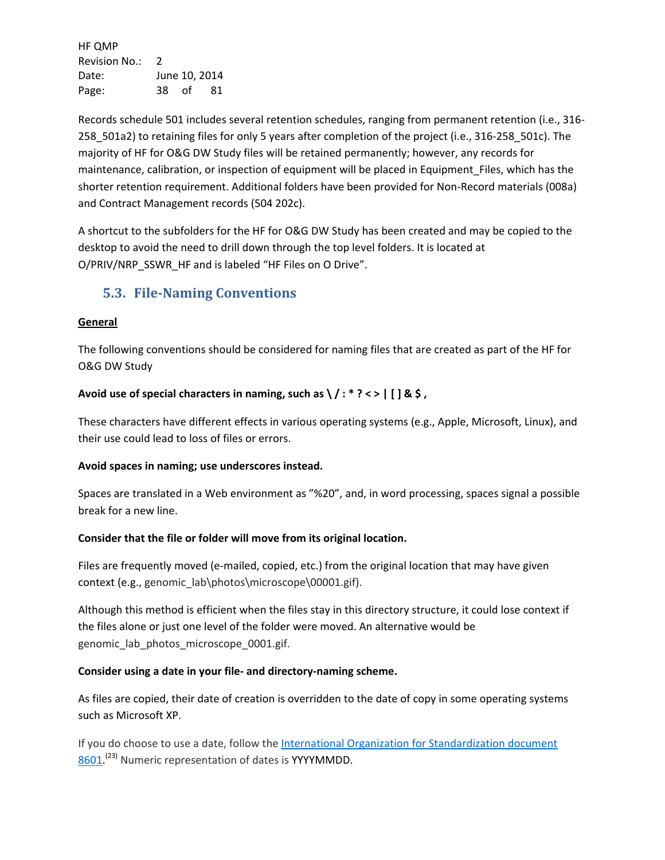HF QMP Revision No.: 2 Date: June 10, 2014 Page: 38 of 81

Records schedule 501 includes several retention schedules, ranging from permanent retention (i.e., 316- 258\_501a2) to retaining files for only 5 years after completion of the project (i.e., 316-258\_501c). The majority of HF for O&G DW Study files will be retained permanently; however, any records for maintenance, calibration, or inspection of equipment will be placed in Equipment\_Files, which has the shorter retention requirement. Additional folders have been provided for Non-Record materials (008a) and Contract Management records (504 202c).

A shortcut to the subfolders for the HF for O&G DW Study has been created and may be copied to the desktop to avoid the need to drill down through the top level folders. It is located at O/PRIV/NRP\_SSWR\_HF and is labeled "HF Files on O Drive".

### **5.3. File-Naming Conventions**

### **General**

The following conventions should be considered for naming files that are created as part of the HF for O&G DW Study

### **Avoid use of special characters in naming, such as \ / : \* ? < > | [ ] & \$ ,**

These characters have different effects in various operating systems (e.g., Apple, Microsoft, Linux), and their use could lead to loss of files or errors.

### **Avoid spaces in naming; use underscores instead.**

Spaces are translated in a Web environment as "%20", and, in word processing, spaces signal a possible break for a new line.

### **Consider that the file or folder will move from its original location.**

Files are frequently moved (e-mailed, copied, etc.) from the original location that may have given context (e.g., genomic\_lab\photos\microscope\00001.gif).

Although this method is efficient when the files stay in this directory structure, it could lose context if the files alone or just one level of the folder were moved. An alternative would be genomic\_lab\_photos\_microscope\_0001.gif.

### **Consider using a date in your file- and directory-naming scheme.**

As files are copied, their date of creation is overridden to the date of copy in some operating systems such as Microsoft XP.

If you do choose to use a date, follow the [International Organization for Standardization document](http://www.iso.org/iso/support/faqs/faqs_widely_used_standards/widely_used_standards_other/date_and_time_format.htm)  [8601.](http://www.iso.org/iso/support/faqs/faqs_widely_used_standards/widely_used_standards_other/date_and_time_format.htm)<sup>(23)</sup> Numeric representation of dates is YYYYMMDD.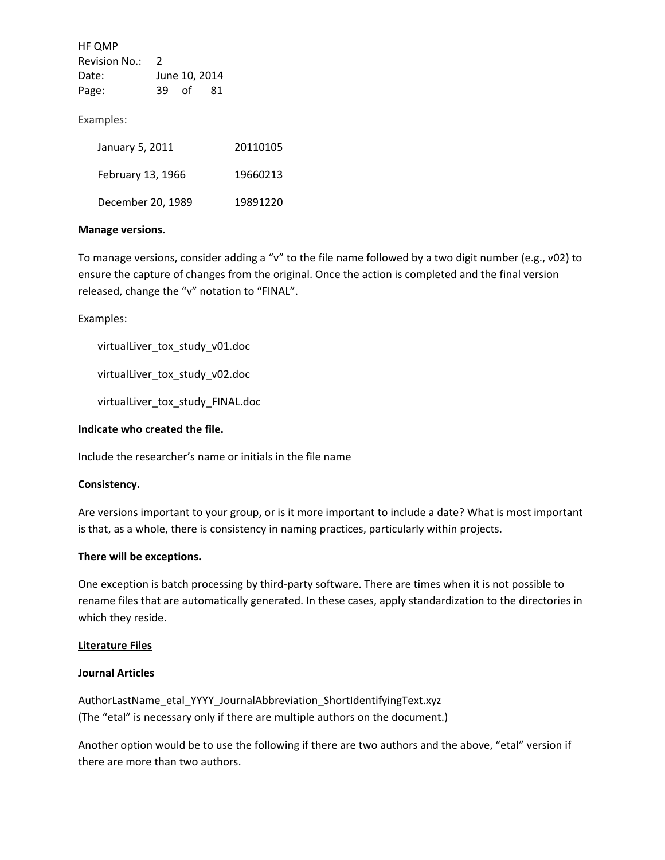HF QMP Revision No.: 2 Date: June 10, 2014 Page: 39 of 81

Examples:

| January 5, 2011   | 20110105 |
|-------------------|----------|
| February 13, 1966 | 19660213 |
| December 20, 1989 | 19891220 |

### **Manage versions.**

To manage versions, consider adding a "v" to the file name followed by a two digit number (e.g., v02) to ensure the capture of changes from the original. Once the action is completed and the final version released, change the "v" notation to "FINAL".

Examples:

virtualLiver\_tox\_study\_v01.doc

virtualLiver\_tox\_study\_v02.doc

virtualLiver\_tox\_study\_FINAL.doc

### **Indicate who created the file.**

Include the researcher's name or initials in the file name

#### **Consistency.**

Are versions important to your group, or is it more important to include a date? What is most important is that, as a whole, there is consistency in naming practices, particularly within projects.

#### **There will be exceptions.**

One exception is batch processing by third-party software. There are times when it is not possible to rename files that are automatically generated. In these cases, apply standardization to the directories in which they reside.

#### **Literature Files**

#### **Journal Articles**

AuthorLastName\_etal\_YYYY\_JournalAbbreviation\_ShortIdentifyingText.xyz (The "etal" is necessary only if there are multiple authors on the document.)

Another option would be to use the following if there are two authors and the above, "etal" version if there are more than two authors.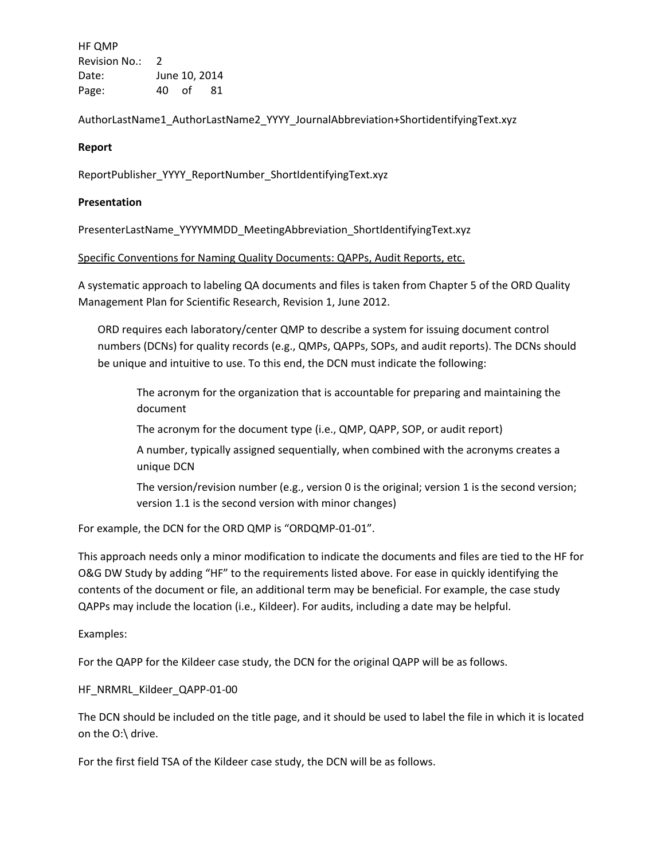HF QMP Revision No.: 2 Date: June 10, 2014 Page: 40 of 81

AuthorLastName1\_AuthorLastName2\_YYYY\_JournalAbbreviation+ShortidentifyingText.xyz

### **Report**

ReportPublisher\_YYYY\_ReportNumber\_ShortIdentifyingText.xyz

### **Presentation**

PresenterLastName\_YYYYMMDD\_MeetingAbbreviation\_ShortIdentifyingText.xyz

#### Specific Conventions for Naming Quality Documents: QAPPs, Audit Reports, etc.

A systematic approach to labeling QA documents and files is taken from Chapter 5 of the ORD Quality Management Plan for Scientific Research, Revision 1, June 2012.

ORD requires each laboratory/center QMP to describe a system for issuing document control numbers (DCNs) for quality records (e.g., QMPs, QAPPs, SOPs, and audit reports). The DCNs should be unique and intuitive to use. To this end, the DCN must indicate the following:

The acronym for the organization that is accountable for preparing and maintaining the document

The acronym for the document type (i.e., QMP, QAPP, SOP, or audit report)

A number, typically assigned sequentially, when combined with the acronyms creates a unique DCN

The version/revision number (e.g., version 0 is the original; version 1 is the second version; version 1.1 is the second version with minor changes)

For example, the DCN for the ORD QMP is "ORDQMP-01-01".

This approach needs only a minor modification to indicate the documents and files are tied to the HF for O&G DW Study by adding "HF" to the requirements listed above. For ease in quickly identifying the contents of the document or file, an additional term may be beneficial. For example, the case study QAPPs may include the location (i.e., Kildeer). For audits, including a date may be helpful.

Examples:

For the QAPP for the Kildeer case study, the DCN for the original QAPP will be as follows.

HF\_NRMRL\_Kildeer\_QAPP-01-00

The DCN should be included on the title page, and it should be used to label the file in which it is located on the O:\ drive.

For the first field TSA of the Kildeer case study, the DCN will be as follows.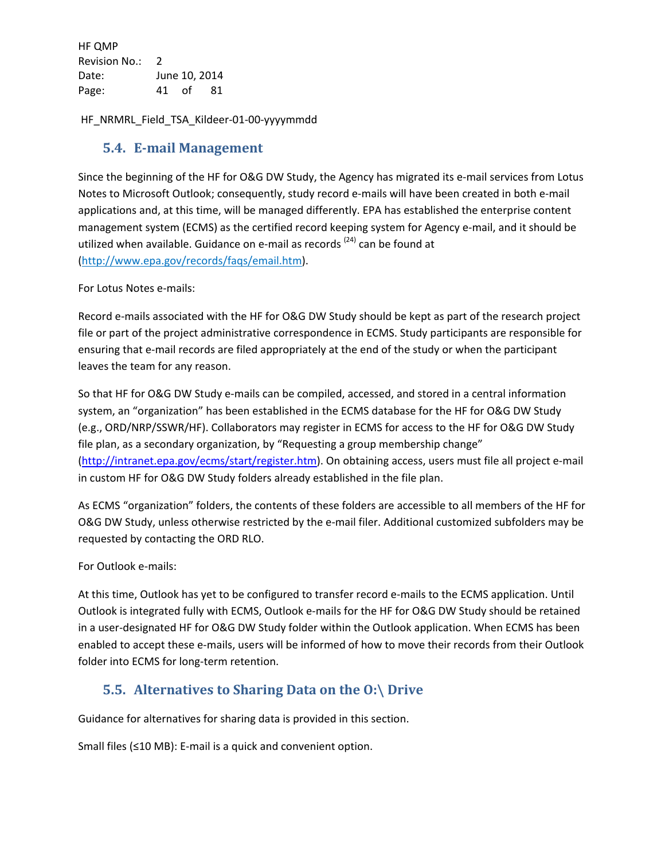HF QMP Revision No.: 2 Date: June 10, 2014 Page: 41 of 81

HF\_NRMRL\_Field\_TSA\_Kildeer-01-00-yyyymmdd

### **5.4. E-mail Management**

Since the beginning of the HF for O&G DW Study, the Agency has migrated its e-mail services from Lotus Notes to Microsoft Outlook; consequently, study record e-mails will have been created in both e-mail applications and, at this time, will be managed differently. EPA has established the enterprise content management system (ECMS) as the certified record keeping system for Agency e-mail, and it should be utilized when available. Guidance on e-mail as records <sup>(24)</sup> can be found at [\(http://www.epa.gov/records/faqs/email.htm\)](http://www.epa.gov/records/faqs/email.htm).

For Lotus Notes e-mails:

Record e-mails associated with the HF for O&G DW Study should be kept as part of the research project file or part of the project administrative correspondence in ECMS. Study participants are responsible for ensuring that e-mail records are filed appropriately at the end of the study or when the participant leaves the team for any reason.

So that HF for O&G DW Study e-mails can be compiled, accessed, and stored in a central information system, an "organization" has been established in the ECMS database for the HF for O&G DW Study (e.g., ORD/NRP/SSWR/HF). Collaborators may register in ECMS for access to the HF for O&G DW Study file plan, as a secondary organization, by "Requesting a group membership change" [\(http://intranet.epa.gov/ecms/start/register.htm\)](http://intranet.epa.gov/ecms/start/register.htm). On obtaining access, users must file all project e-mail in custom HF for O&G DW Study folders already established in the file plan.

As ECMS "organization" folders, the contents of these folders are accessible to all members of the HF for O&G DW Study, unless otherwise restricted by the e-mail filer. Additional customized subfolders may be requested by contacting the ORD RLO.

For Outlook e-mails:

At this time, Outlook has yet to be configured to transfer record e-mails to the ECMS application. Until Outlook is integrated fully with ECMS, Outlook e-mails for the HF for O&G DW Study should be retained in a user-designated HF for O&G DW Study folder within the Outlook application. When ECMS has been enabled to accept these e-mails, users will be informed of how to move their records from their Outlook folder into ECMS for long-term retention.

## **5.5. Alternatives to Sharing Data on the O:\ Drive**

Guidance for alternatives for sharing data is provided in this section.

Small files (≤10 MB): E-mail is a quick and convenient option.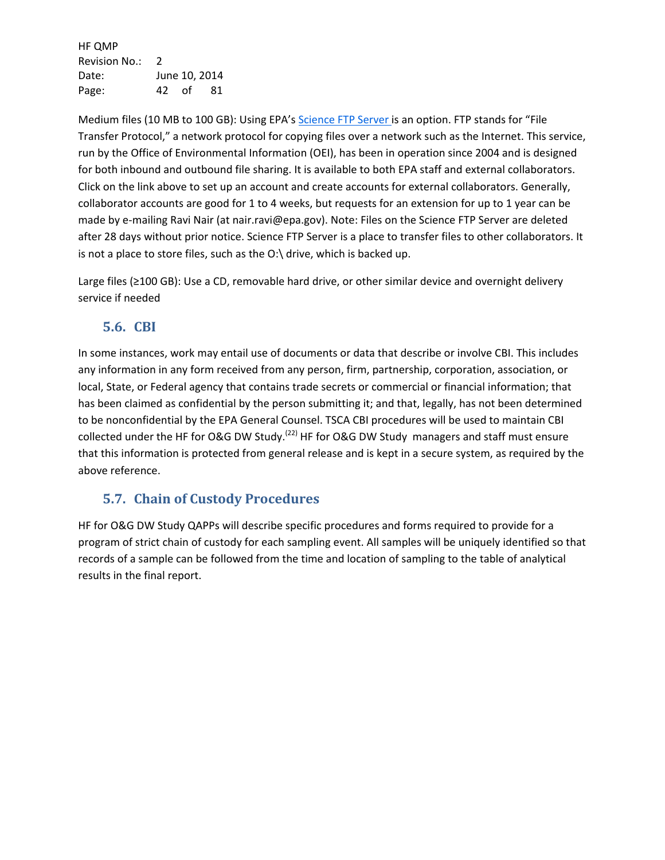HF QMP Revision No.: 2 Date: June 10, 2014 Page: 42 of 81

Medium files (10 MB to 100 GB): Using EPA's [Science FTP Server](http://scienceftp.epa.gov/) is an option. FTP stands for "File Transfer Protocol," a network protocol for copying files over a network such as the Internet. This service, run by the Office of Environmental Information (OEI), has been in operation since 2004 and is designed for both inbound and outbound file sharing. It is available to both EPA staff and external collaborators. Click on the link above to set up an account and create accounts for external collaborators. Generally, collaborator accounts are good for 1 to 4 weeks, but requests for an extension for up to 1 year can be made by e-mailing Ravi Nair (at [nair.ravi@epa.gov\). No](mailto:nair.ravi@epa.gov)te: Files on the Science FTP Server are deleted after 28 days without prior notice. Science FTP Server is a place to transfer files to other collaborators. It is not a place to store files, such as the O:\ drive, which is backed up.

Large files (≥100 GB): Use a CD, removable hard drive, or other similar device and overnight delivery service if needed

### **5.6. CBI**

In some instances, work may entail use of documents or data that describe or involve CBI. This includes any information in any form received from any person, firm, partnership, corporation, association, or local, State, or Federal agency that contains trade secrets or commercial or financial information; that has been claimed as confidential by the person submitting it; and that, legally, has not been determined to be nonconfidential by the EPA General Counsel. TSCA CBI procedures will be used to maintain CBI collected under the HF for O&G DW Study.<sup>(22)</sup> HF for O&G DW Study managers and staff must ensure that this information is protected from general release and is kept in a secure system, as required by the above reference.

## **5.7. Chain of Custody Procedures**

HF for O&G DW Study QAPPs will describe specific procedures and forms required to provide for a program of strict chain of custody for each sampling event. All samples will be uniquely identified so that records of a sample can be followed from the time and location of sampling to the table of analytical results in the final report.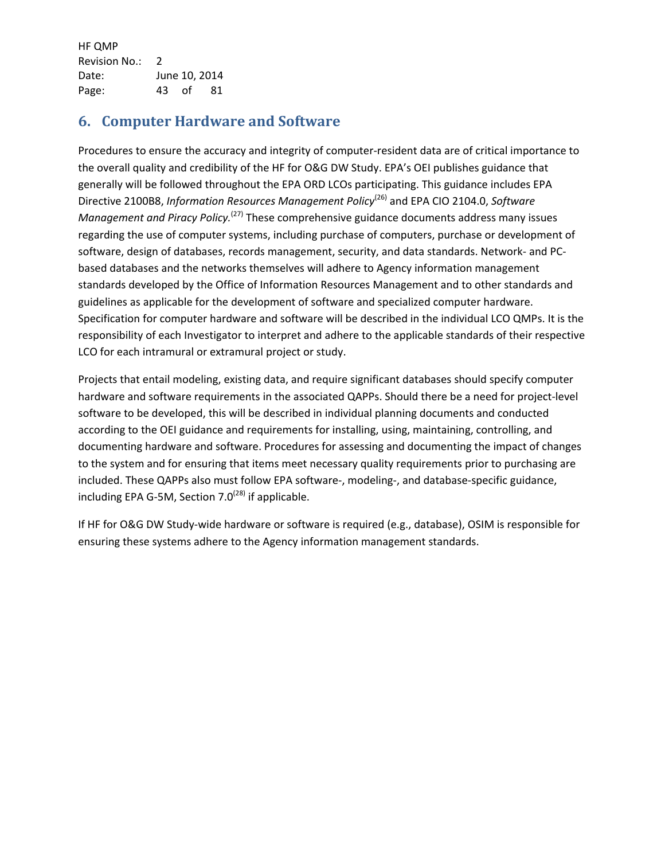HF QMP Revision No.: 2 Date: June 10, 2014 Page: 43 of 81

## **6. Computer Hardware and Software**

Procedures to ensure the accuracy and integrity of computer-resident data are of critical importance to the overall quality and credibility of the HF for O&G DW Study. EPA's OEI publishes guidance that generally will be followed throughout the EPA ORD LCOs participating. This guidance includes EPA Directive 2100B8, *Information Resources Management Policy*(26) and EPA CIO 2104.0, *Software*  Management and Piracy Policy.<sup>(27)</sup> These comprehensive guidance documents address many issues regarding the use of computer systems, including purchase of computers, purchase or development of software, design of databases, records management, security, and data standards. Network- and PCbased databases and the networks themselves will adhere to Agency information management standards developed by the Office of Information Resources Management and to other standards and guidelines as applicable for the development of software and specialized computer hardware. Specification for computer hardware and software will be described in the individual LCO QMPs. It is the responsibility of each Investigator to interpret and adhere to the applicable standards of their respective LCO for each intramural or extramural project or study.

Projects that entail modeling, existing data, and require significant databases should specify computer hardware and software requirements in the associated QAPPs. Should there be a need for project-level software to be developed, this will be described in individual planning documents and conducted according to the OEI guidance and requirements for installing, using, maintaining, controlling, and documenting hardware and software. Procedures for assessing and documenting the impact of changes to the system and for ensuring that items meet necessary quality requirements prior to purchasing are included. These QAPPs also must follow EPA software-, modeling-, and database-specific guidance, including EPA G-5M, Section  $7.0^{(28)}$  if applicable.

If HF for O&G DW Study-wide hardware or software is required (e.g., database), OSIM is responsible for ensuring these systems adhere to the Agency information management standards.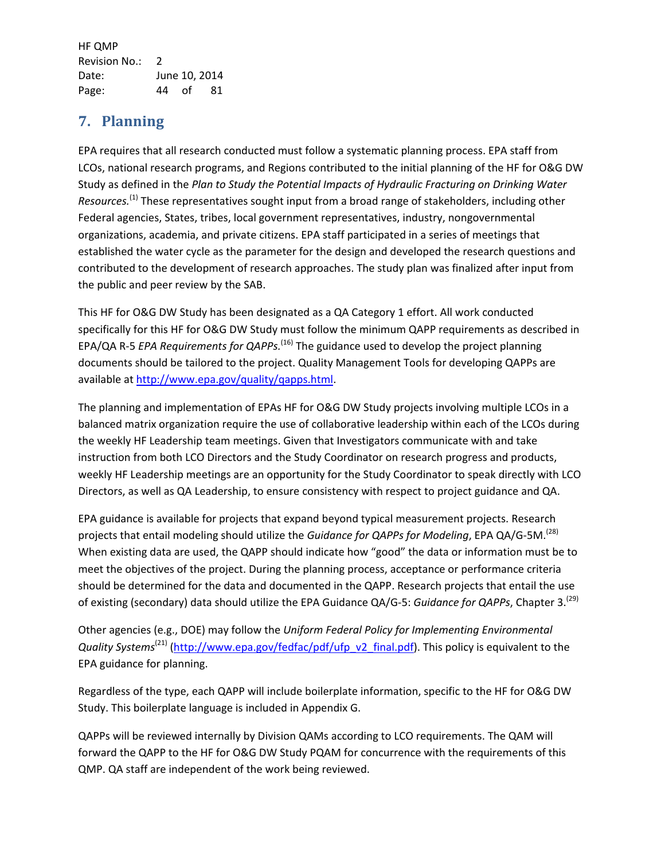HF QMP Revision No.: 2 Date: June 10, 2014 Page: 44 of 81

# **7. Planning**

EPA requires that all research conducted must follow a systematic planning process. EPA staff from LCOs, national research programs, and Regions contributed to the initial planning of the HF for O&G DW Study as defined in the *Plan to Study the Potential Impacts of Hydraulic Fracturing on Drinking Water*  Resources.<sup>(1)</sup> These representatives sought input from a broad range of stakeholders, including other Federal agencies, States, tribes, local government representatives, industry, nongovernmental organizations, academia, and private citizens. EPA staff participated in a series of meetings that established the water cycle as the parameter for the design and developed the research questions and contributed to the development of research approaches. The study plan was finalized after input from the public and peer review by the SAB.

This HF for O&G DW Study has been designated as a QA Category 1 effort. All work conducted specifically for this HF for O&G DW Study must follow the minimum QAPP requirements as described in EPA/QA R-5 *EPA Requirements for QAPPs.*(16) The guidance used to develop the project planning documents should be tailored to the project. Quality Management Tools for developing QAPPs are available a[t http://www.epa.gov/quality/qapps.html.](http://www.epa.gov/quality/qapps.html)

The planning and implementation of EPAs HF for O&G DW Study projects involving multiple LCOs in a balanced matrix organization require the use of collaborative leadership within each of the LCOs during the weekly HF Leadership team meetings. Given that Investigators communicate with and take instruction from both LCO Directors and the Study Coordinator on research progress and products, weekly HF Leadership meetings are an opportunity for the Study Coordinator to speak directly with LCO Directors, as well as QA Leadership, to ensure consistency with respect to project guidance and QA.

EPA guidance is available for projects that expand beyond typical measurement projects. Research projects that entail modeling should utilize the *Guidance for QAPPs for Modeling*, EPA QA/G-5M. (28) When existing data are used, the QAPP should indicate how "good" the data or information must be to meet the objectives of the project. During the planning process, acceptance or performance criteria should be determined for the data and documented in the QAPP. Research projects that entail the use of existing (secondary) data should utilize the EPA Guidance QA/G-5: *Guidance for QAPPs*, Chapter 3.<sup>(29)</sup>

Other agencies (e.g., DOE) may follow the *Uniform Federal Policy for Implementing Environmental*  Quality Systems<sup>(21)</sup> [\(http://www.epa.gov/fedfac/pdf/ufp\\_v2\\_final.pdf\)](http://www.epa.gov/fedfac/pdf/ufp_v2_final.pdf). This policy is equivalent to the EPA guidance for planning.

Regardless of the type, each QAPP will include boilerplate information, specific to the HF for O&G DW Study. This boilerplate language is included in Appendix G.

QAPPs will be reviewed internally by Division QAMs according to LCO requirements. The QAM will forward the QAPP to the HF for O&G DW Study PQAM for concurrence with the requirements of this QMP. QA staff are independent of the work being reviewed.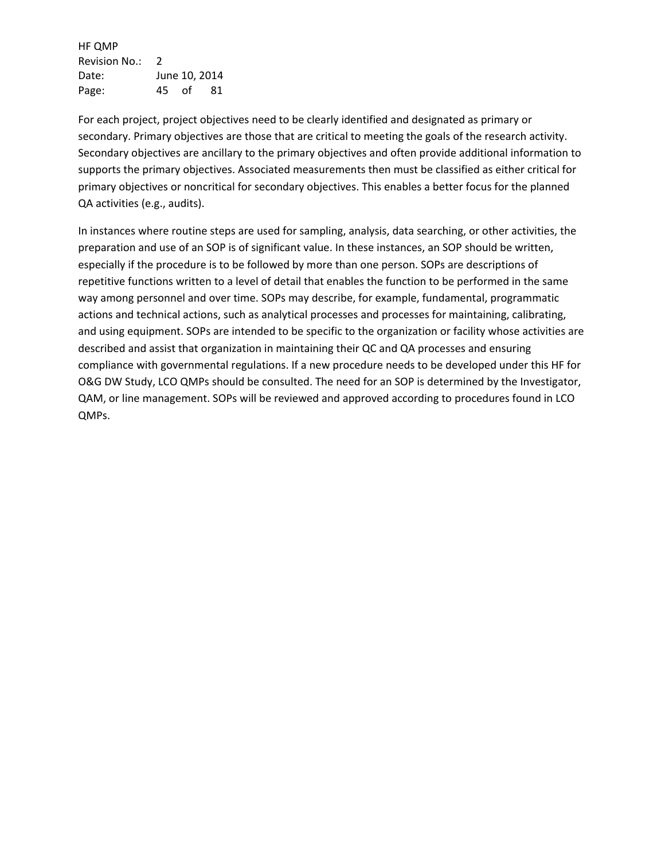HF QMP Revision No.: 2 Date: June 10, 2014 Page: 45 of 81

For each project, project objectives need to be clearly identified and designated as primary or secondary. Primary objectives are those that are critical to meeting the goals of the research activity. Secondary objectives are ancillary to the primary objectives and often provide additional information to supports the primary objectives. Associated measurements then must be classified as either critical for primary objectives or noncritical for secondary objectives. This enables a better focus for the planned QA activities (e.g., audits).

In instances where routine steps are used for sampling, analysis, data searching, or other activities, the preparation and use of an SOP is of significant value. In these instances, an SOP should be written, especially if the procedure is to be followed by more than one person. SOPs are descriptions of repetitive functions written to a level of detail that enables the function to be performed in the same way among personnel and over time. SOPs may describe, for example, fundamental, programmatic actions and technical actions, such as analytical processes and processes for maintaining, calibrating, and using equipment. SOPs are intended to be specific to the organization or facility whose activities are described and assist that organization in maintaining their QC and QA processes and ensuring compliance with governmental regulations. If a new procedure needs to be developed under this HF for O&G DW Study, LCO QMPs should be consulted. The need for an SOP is determined by the Investigator, QAM, or line management. SOPs will be reviewed and approved according to procedures found in LCO QMPs.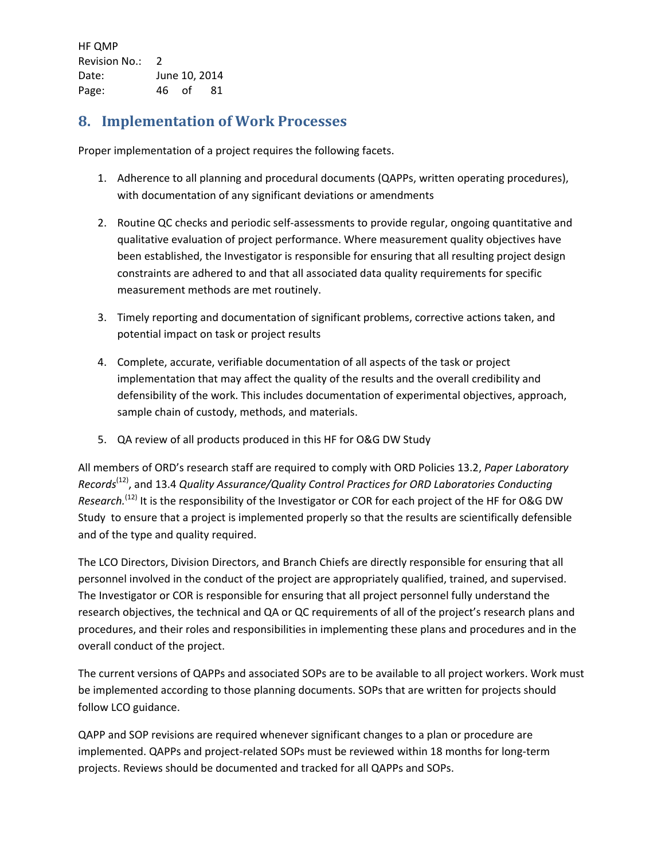HF QMP Revision No.: 2 Date: June 10, 2014 Page: 46 of 81

## **8. Implementation of Work Processes**

Proper implementation of a project requires the following facets.

- 1. Adherence to all planning and procedural documents (QAPPs, written operating procedures), with documentation of any significant deviations or amendments
- 2. Routine QC checks and periodic self-assessments to provide regular, ongoing quantitative and qualitative evaluation of project performance. Where measurement quality objectives have been established, the Investigator is responsible for ensuring that all resulting project design constraints are adhered to and that all associated data quality requirements for specific measurement methods are met routinely.
- 3. Timely reporting and documentation of significant problems, corrective actions taken, and potential impact on task or project results
- 4. Complete, accurate, verifiable documentation of all aspects of the task or project implementation that may affect the quality of the results and the overall credibility and defensibility of the work. This includes documentation of experimental objectives, approach, sample chain of custody, methods, and materials.
- 5. QA review of all products produced in this HF for O&G DW Study

All members of ORD's research staff are required to comply with ORD Policies 13.2, *Paper Laboratory Records*(12) , and 13.4 *Quality Assurance/Quality Control Practices for ORD Laboratories Conducting*  Research.<sup>(12)</sup> It is the responsibility of the Investigator or COR for each project of the HF for O&G DW Study to ensure that a project is implemented properly so that the results are scientifically defensible and of the type and quality required.

The LCO Directors, Division Directors, and Branch Chiefs are directly responsible for ensuring that all personnel involved in the conduct of the project are appropriately qualified, trained, and supervised. The Investigator or COR is responsible for ensuring that all project personnel fully understand the research objectives, the technical and QA or QC requirements of all of the project's research plans and procedures, and their roles and responsibilities in implementing these plans and procedures and in the overall conduct of the project.

The current versions of QAPPs and associated SOPs are to be available to all project workers. Work must be implemented according to those planning documents. SOPs that are written for projects should follow LCO guidance.

QAPP and SOP revisions are required whenever significant changes to a plan or procedure are implemented. QAPPs and project-related SOPs must be reviewed within 18 months for long-term projects. Reviews should be documented and tracked for all QAPPs and SOPs.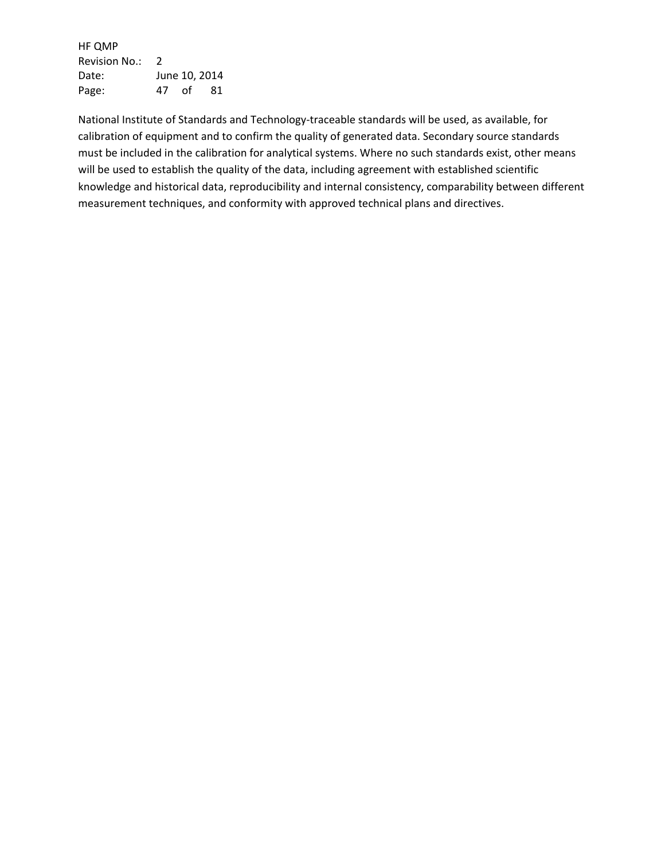HF QMP Revision No.: 2 Date: June 10, 2014 Page: 47 of 81

National Institute of Standards and Technology-traceable standards will be used, as available, for calibration of equipment and to confirm the quality of generated data. Secondary source standards must be included in the calibration for analytical systems. Where no such standards exist, other means will be used to establish the quality of the data, including agreement with established scientific knowledge and historical data, reproducibility and internal consistency, comparability between different measurement techniques, and conformity with approved technical plans and directives.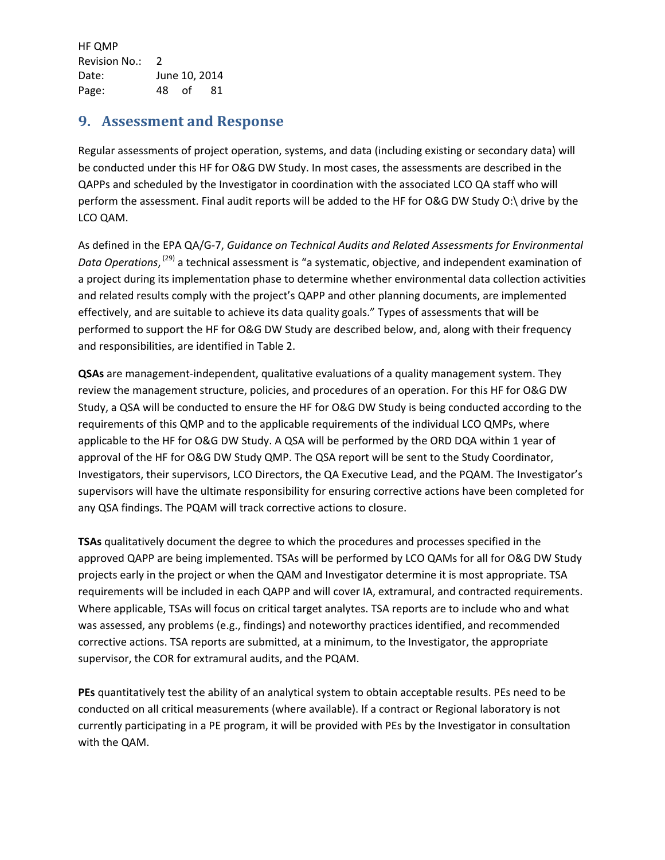HF QMP Revision No.: 2 Date: June 10, 2014 Page: 48 of 81

## **9. Assessment and Response**

Regular assessments of project operation, systems, and data (including existing or secondary data) will be conducted under this HF for O&G DW Study. In most cases, the assessments are described in the QAPPs and scheduled by the Investigator in coordination with the associated LCO QA staff who will perform the assessment. Final audit reports will be added to the HF for O&G DW Study O:\ drive by the LCO QAM.

As defined in the EPA QA/G-7, *Guidance on Technical Audits and Related Assessments for Environmental*  Data Operations, <sup>(29)</sup> a technical assessment is "a systematic, objective, and independent examination of a project during its implementation phase to determine whether environmental data collection activities and related results comply with the project's QAPP and other planning documents, are implemented effectively, and are suitable to achieve its data quality goals." Types of assessments that will be performed to support the HF for O&G DW Study are described below, and, along with their frequency and responsibilities, are identified in Table 2.

**QSAs** are management-independent, qualitative evaluations of a quality management system. They review the management structure, policies, and procedures of an operation. For this HF for O&G DW Study, a QSA will be conducted to ensure the HF for O&G DW Study is being conducted according to the requirements of this QMP and to the applicable requirements of the individual LCO QMPs, where applicable to the HF for O&G DW Study. A QSA will be performed by the ORD DQA within 1 year of approval of the HF for O&G DW Study QMP. The QSA report will be sent to the Study Coordinator, Investigators, their supervisors, LCO Directors, the QA Executive Lead, and the PQAM. The Investigator's supervisors will have the ultimate responsibility for ensuring corrective actions have been completed for any QSA findings. The PQAM will track corrective actions to closure.

**TSAs** qualitatively document the degree to which the procedures and processes specified in the approved QAPP are being implemented. TSAs will be performed by LCO QAMs for all for O&G DW Study projects early in the project or when the QAM and Investigator determine it is most appropriate. TSA requirements will be included in each QAPP and will cover IA, extramural, and contracted requirements. Where applicable, TSAs will focus on critical target analytes. TSA reports are to include who and what was assessed, any problems (e.g., findings) and noteworthy practices identified, and recommended corrective actions. TSA reports are submitted, at a minimum, to the Investigator, the appropriate supervisor, the COR for extramural audits, and the PQAM.

**PEs** quantitatively test the ability of an analytical system to obtain acceptable results. PEs need to be conducted on all critical measurements (where available). If a contract or Regional laboratory is not currently participating in a PE program, it will be provided with PEs by the Investigator in consultation with the QAM.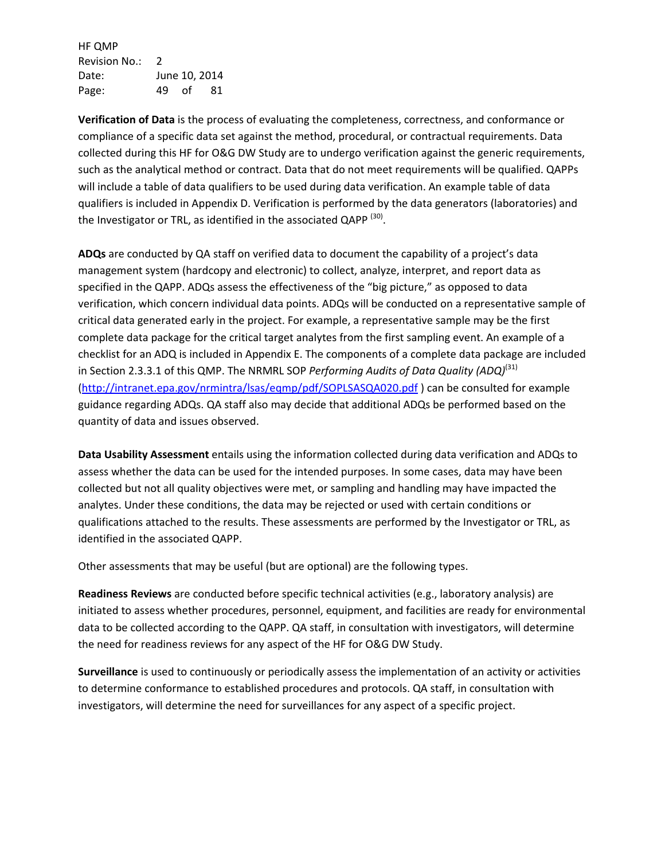HF QMP Revision No.: 2 Date: June 10, 2014 Page: 49 of 81

**Verification of Data** is the process of evaluating the completeness, correctness, and conformance or compliance of a specific data set against the method, procedural, or contractual requirements. Data collected during this HF for O&G DW Study are to undergo verification against the generic requirements, such as the analytical method or contract. Data that do not meet requirements will be qualified. QAPPs will include a table of data qualifiers to be used during data verification. An example table of data qualifiers is included in Appendix D. Verification is performed by the data generators (laboratories) and the Investigator or TRL, as identified in the associated QAPP<sup>(30)</sup>.

**ADQs** are conducted by QA staff on verified data to document the capability of a project's data management system (hardcopy and electronic) to collect, analyze, interpret, and report data as specified in the QAPP. ADQs assess the effectiveness of the "big picture," as opposed to data verification, which concern individual data points. ADQs will be conducted on a representative sample of critical data generated early in the project. For example, a representative sample may be the first complete data package for the critical target analytes from the first sampling event. An example of a checklist for an ADQ is included in Appendix E. The components of a complete data package are included in Section 2.3.3.1 of this QMP. The NRMRL SOP *Performing Audits of Data Quality (ADQ)*<sup>(31)</sup> [\(http://intranet.epa.gov/nrmintra/lsas/eqmp/pdf/SOPLSASQA020.pdf](http://intranet.epa.gov/nrmintra/lsas/eqmp/pdf/SOPLSASQA020.pdf) ) can be consulted for example guidance regarding ADQs. QA staff also may decide that additional ADQs be performed based on the quantity of data and issues observed.

**Data Usability Assessment** entails using the information collected during data verification and ADQs to assess whether the data can be used for the intended purposes. In some cases, data may have been collected but not all quality objectives were met, or sampling and handling may have impacted the analytes. Under these conditions, the data may be rejected or used with certain conditions or qualifications attached to the results. These assessments are performed by the Investigator or TRL, as identified in the associated QAPP.

Other assessments that may be useful (but are optional) are the following types.

**Readiness Reviews** are conducted before specific technical activities (e.g., laboratory analysis) are initiated to assess whether procedures, personnel, equipment, and facilities are ready for environmental data to be collected according to the QAPP. QA staff, in consultation with investigators, will determine the need for readiness reviews for any aspect of the HF for O&G DW Study.

**Surveillance** is used to continuously or periodically assess the implementation of an activity or activities to determine conformance to established procedures and protocols. QA staff, in consultation with investigators, will determine the need for surveillances for any aspect of a specific project.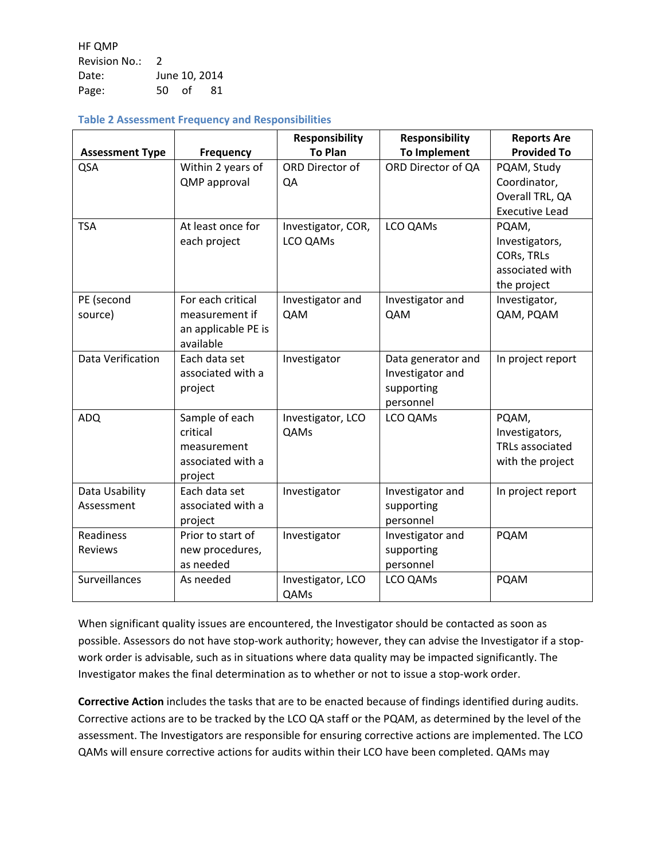HF QMP Revision No.: 2 Date: June 10, 2014 Page: 50 of 81

### **Table 2 Assessment Frequency and Responsibilities**

|                        |                     | <b>Responsibility</b> | <b>Responsibility</b> | <b>Reports Are</b>    |
|------------------------|---------------------|-----------------------|-----------------------|-----------------------|
| <b>Assessment Type</b> | <b>Frequency</b>    | <b>To Plan</b>        | <b>To Implement</b>   | <b>Provided To</b>    |
| QSA                    | Within 2 years of   | ORD Director of       | ORD Director of QA    | PQAM, Study           |
|                        | QMP approval        | QA                    |                       | Coordinator,          |
|                        |                     |                       |                       | Overall TRL, QA       |
|                        |                     |                       |                       | <b>Executive Lead</b> |
| <b>TSA</b>             | At least once for   | Investigator, COR,    | LCO QAMs              | PQAM,                 |
|                        | each project        | LCO QAMs              |                       | Investigators,        |
|                        |                     |                       |                       | CORs, TRLs            |
|                        |                     |                       |                       | associated with       |
|                        |                     |                       |                       | the project           |
| PE (second             | For each critical   | Investigator and      | Investigator and      | Investigator,         |
| source)                | measurement if      | QAM                   | QAM                   | QAM, PQAM             |
|                        | an applicable PE is |                       |                       |                       |
|                        | available           |                       |                       |                       |
| Data Verification      | Each data set       | Investigator          | Data generator and    | In project report     |
|                        | associated with a   |                       | Investigator and      |                       |
|                        | project             |                       | supporting            |                       |
|                        |                     |                       | personnel             |                       |
| <b>ADQ</b>             | Sample of each      | Investigator, LCO     | LCO QAMs              | PQAM,                 |
|                        | critical            | QAMs                  |                       | Investigators,        |
|                        | measurement         |                       |                       | TRLs associated       |
|                        | associated with a   |                       |                       | with the project      |
|                        | project             |                       |                       |                       |
| Data Usability         | Each data set       | Investigator          | Investigator and      | In project report     |
| Assessment             | associated with a   |                       | supporting            |                       |
|                        | project             |                       | personnel             |                       |
| Readiness              | Prior to start of   | Investigator          | Investigator and      | <b>PQAM</b>           |
| Reviews                | new procedures,     |                       | supporting            |                       |
|                        | as needed           |                       | personnel             |                       |
| Surveillances          | As needed           | Investigator, LCO     | LCO QAMs              | <b>PQAM</b>           |
|                        |                     | QAMs                  |                       |                       |

When significant quality issues are encountered, the Investigator should be contacted as soon as possible. Assessors do not have stop-work authority; however, they can advise the Investigator if a stopwork order is advisable, such as in situations where data quality may be impacted significantly. The Investigator makes the final determination as to whether or not to issue a stop-work order.

**Corrective Action** includes the tasks that are to be enacted because of findings identified during audits. Corrective actions are to be tracked by the LCO QA staff or the PQAM, as determined by the level of the assessment. The Investigators are responsible for ensuring corrective actions are implemented. The LCO QAMs will ensure corrective actions for audits within their LCO have been completed. QAMs may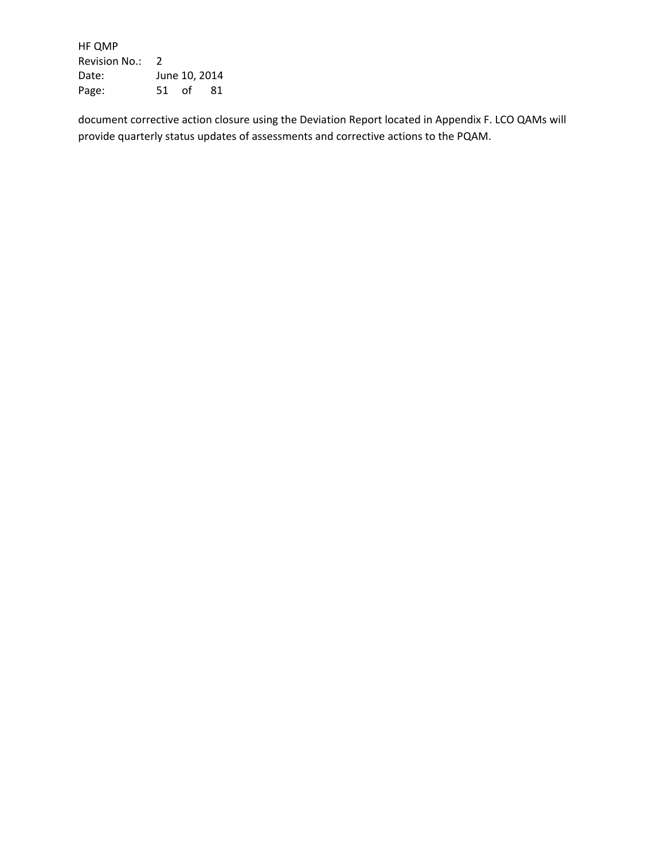HF QMP Revision No.: 2 Date: June 10, 2014 Page: 51 of 81

document corrective action closure using the Deviation Report located in Appendix F. LCO QAMs will provide quarterly status updates of assessments and corrective actions to the PQAM.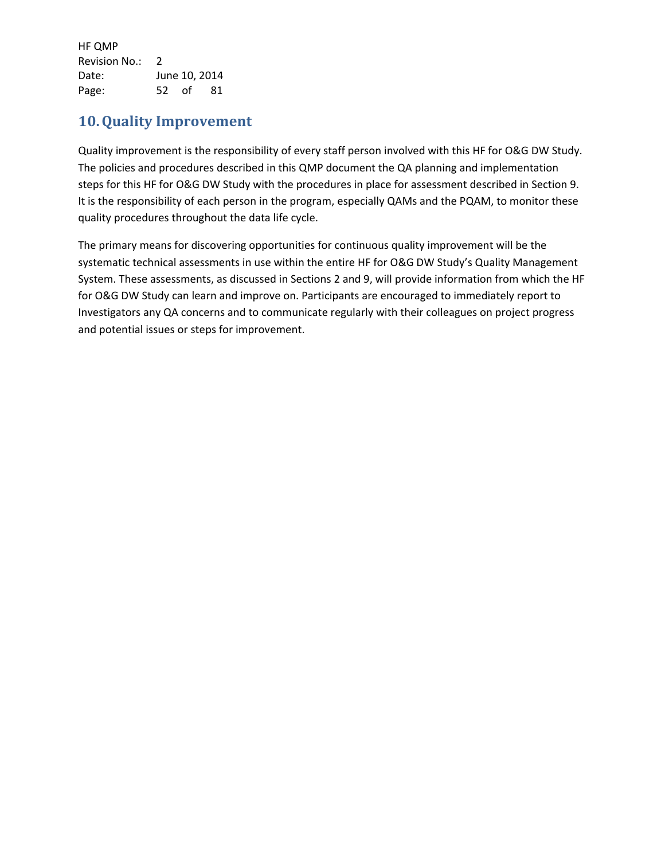HF QMP Revision No.: 2 Date: June 10, 2014 Page: 52 of 81

# **10.Quality Improvement**

Quality improvement is the responsibility of every staff person involved with this HF for O&G DW Study. The policies and procedures described in this QMP document the QA planning and implementation steps for this HF for O&G DW Study with the procedures in place for assessment described in Section 9. It is the responsibility of each person in the program, especially QAMs and the PQAM, to monitor these quality procedures throughout the data life cycle.

The primary means for discovering opportunities for continuous quality improvement will be the systematic technical assessments in use within the entire HF for O&G DW Study's Quality Management System. These assessments, as discussed in Sections 2 and 9, will provide information from which the HF for O&G DW Study can learn and improve on. Participants are encouraged to immediately report to Investigators any QA concerns and to communicate regularly with their colleagues on project progress and potential issues or steps for improvement.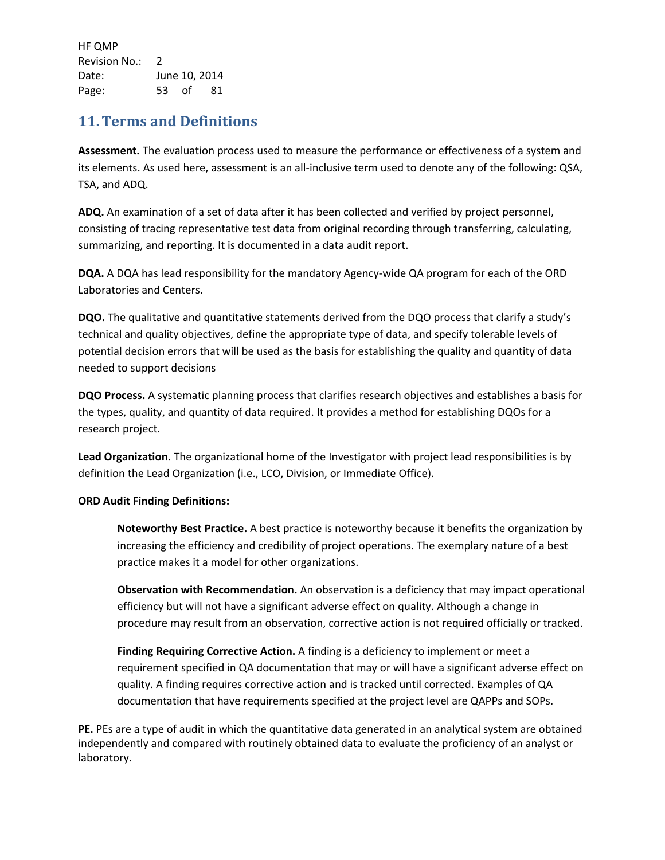HF QMP Revision No.: 2 Date: June 10, 2014 Page: 53 of 81

# **11.Terms and Definitions**

**Assessment.** The evaluation process used to measure the performance or effectiveness of a system and its elements. As used here, assessment is an all-inclusive term used to denote any of the following: QSA, TSA, and ADQ.

**ADQ.** An examination of a set of data after it has been collected and verified by project personnel, consisting of tracing representative test data from original recording through transferring, calculating, summarizing, and reporting. It is documented in a data audit report.

**DQA.** A DQA has lead responsibility for the mandatory Agency-wide QA program for each of the ORD Laboratories and Centers.

**DQO.** The qualitative and quantitative statements derived from the DQO process that clarify a study's technical and quality objectives, define the appropriate type of data, and specify tolerable levels of potential decision errors that will be used as the basis for establishing the quality and quantity of data needed to support decisions

**DQO Process.** A systematic planning process that clarifies research objectives and establishes a basis for the types, quality, and quantity of data required. It provides a method for establishing DQOs for a research project.

**Lead Organization.** The organizational home of the Investigator with project lead responsibilities is by definition the Lead Organization (i.e., LCO, Division, or Immediate Office).

### **ORD Audit Finding Definitions:**

**Noteworthy Best Practice.** A best practice is noteworthy because it benefits the organization by increasing the efficiency and credibility of project operations. The exemplary nature of a best practice makes it a model for other organizations.

**Observation with Recommendation.** An observation is a deficiency that may impact operational efficiency but will not have a significant adverse effect on quality. Although a change in procedure may result from an observation, corrective action is not required officially or tracked.

**Finding Requiring Corrective Action.** A finding is a deficiency to implement or meet a requirement specified in QA documentation that may or will have a significant adverse effect on quality. A finding requires corrective action and is tracked until corrected. Examples of QA documentation that have requirements specified at the project level are QAPPs and SOPs.

**PE.** PEs are a type of audit in which the quantitative data generated in an analytical system are obtained independently and compared with routinely obtained data to evaluate the proficiency of an analyst or laboratory.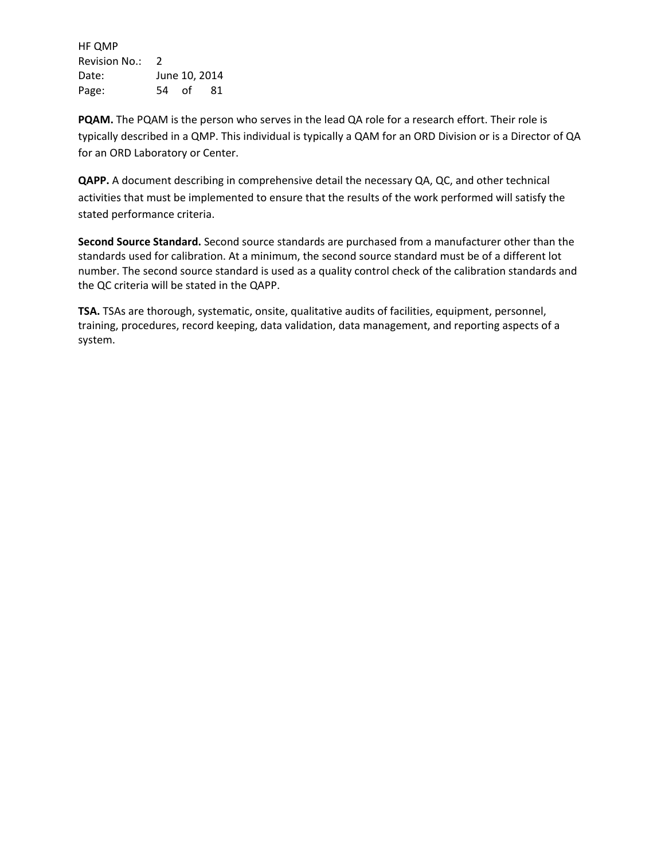HF QMP Revision No.: 2 Date: June 10, 2014 Page: 54 of 81

**PQAM.** The PQAM is the person who serves in the lead QA role for a research effort. Their role is typically described in a QMP. This individual is typically a QAM for an ORD Division or is a Director of QA for an ORD Laboratory or Center.

**QAPP.** A document describing in comprehensive detail the necessary QA, QC, and other technical activities that must be implemented to ensure that the results of the work performed will satisfy the stated performance criteria.

**Second Source Standard.** Second source standards are purchased from a manufacturer other than the standards used for calibration. At a minimum, the second source standard must be of a different lot number. The second source standard is used as a quality control check of the calibration standards and the QC criteria will be stated in the QAPP.

**TSA.** TSAs are thorough, systematic, onsite, qualitative audits of facilities, equipment, personnel, training, procedures, record keeping, data validation, data management, and reporting aspects of a system.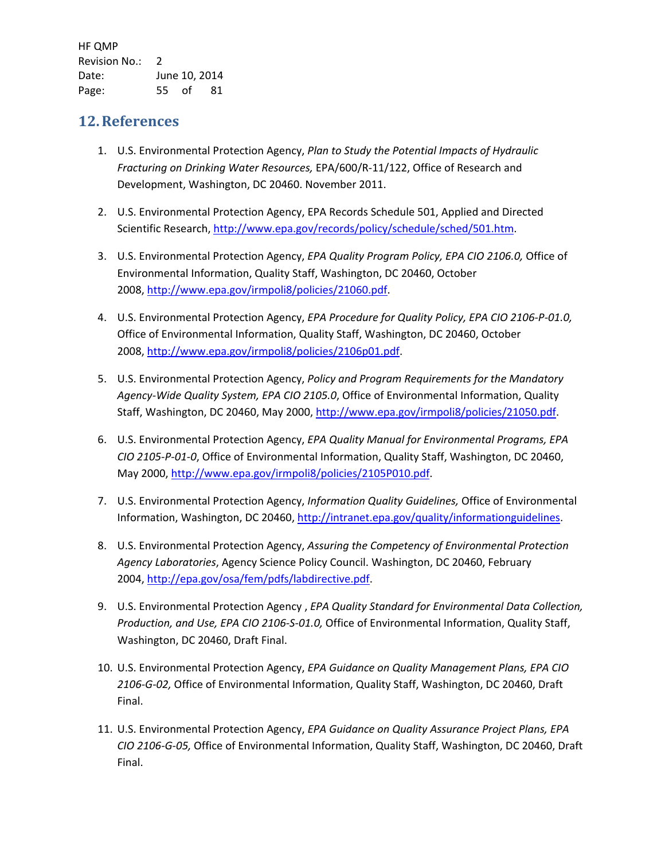HF QMP Revision No.: 2 Date: June 10, 2014 Page: 55 of 81

### **12.References**

- 1. U.S. Environmental Protection Agency, *Plan to Study the Potential Impacts of Hydraulic Fracturing on Drinking Water Resources,* EPA/600/R-11/122, Office of Research and Development, Washington, DC 20460. November 2011.
- 2. U.S. Environmental Protection Agency, EPA Records Schedule 501, Applied and Directed Scientific Research[, http://www.epa.gov/records/policy/schedule/sched/501.htm.](http://www.epa.gov/records/policy/schedule/sched/501.htm)
- 3. U.S. Environmental Protection Agency, *EPA Quality Program Policy, EPA CIO 2106.0,* Office of Environmental Information, Quality Staff, Washington, DC 20460, October 2008[, http://www.epa.gov/irmpoli8/policies/21060.pdf.](http://www.epa.gov/irmpoli8/policies/21060.pdf)
- 4. U.S. Environmental Protection Agency, *EPA Procedure for Quality Policy, EPA CIO 2106-P-01.0,* Office of Environmental Information, Quality Staff, Washington, DC 20460, October 2008[, http://www.epa.gov/irmpoli8/policies/2106p01.pdf.](http://www.epa.gov/irmpoli8/policies/2106p01.pdf)
- 5. U.S. Environmental Protection Agency, *Policy and Program Requirements for the Mandatory Agency-Wide Quality System, EPA CIO 2105.0*, Office of Environmental Information, Quality Staff, Washington, DC 20460, May 2000, [http://www.epa.gov/irmpoli8/policies/21050.pdf.](http://www.epa.gov/irmpoli8/policies/21050.pdf)
- 6. U.S. Environmental Protection Agency, *EPA Quality Manual for Environmental Programs, EPA CIO 2105-P-01-0*, Office of Environmental Information, Quality Staff, Washington, DC 20460, May 2000[, http://www.epa.gov/irmpoli8/policies/2105P010.pdf.](http://www.epa.gov/irmpoli8/policies/2105P010.pdf)
- 7. U.S. Environmental Protection Agency, *Information Quality Guidelines,* Office of Environmental Information, Washington, DC 20460, [http://intranet.epa.gov/quality/informationguidelines.](http://intranet.epa.gov/quality/informationguidelines)
- 8. U.S. Environmental Protection Agency, *Assuring the Competency of Environmental Protection Agency Laboratories*, Agency Science Policy Council. Washington, DC 20460, February 2004[, http://epa.gov/osa/fem/pdfs/labdirective.pdf.](http://epa.gov/osa/fem/pdfs/labdirective.pdf)
- 9. U.S. Environmental Protection Agency , *EPA Quality Standard for Environmental Data Collection, Production, and Use, EPA CIO 2106-S-01.0,* Office of Environmental Information, Quality Staff, Washington, DC 20460, Draft Final.
- 10. U.S. Environmental Protection Agency, *EPA Guidance on Quality Management Plans, EPA CIO 2106-G-02,* Office of Environmental Information, Quality Staff, Washington, DC 20460, Draft Final.
- 11. U.S. Environmental Protection Agency, *EPA Guidance on Quality Assurance Project Plans, EPA CIO 2106-G-05,* Office of Environmental Information, Quality Staff, Washington, DC 20460, Draft Final.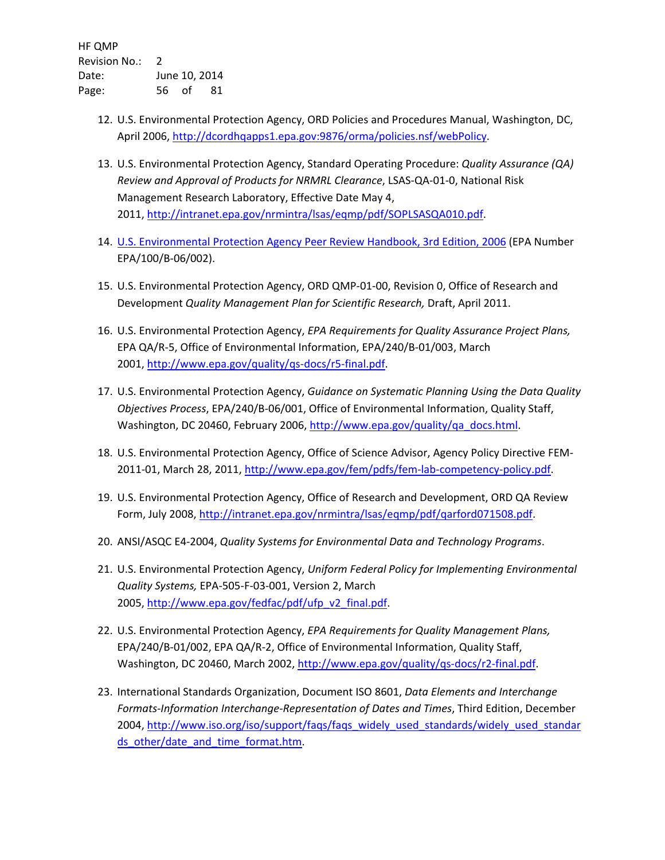- 12. U.S. Environmental Protection Agency, ORD Policies and Procedures Manual, Washington, DC, April 2006, [http://dcordhqapps1.epa.gov:9876/orma/policies.nsf/webPolicy.](http://dcordhqapps1.epa.gov:9876/orma/policies.nsf/webPolicy)
- 13. U.S. Environmental Protection Agency, Standard Operating Procedure: *Quality Assurance (QA) Review and Approval of Products for NRMRL Clearance*, LSAS-QA-01-0, National Risk Management Research Laboratory, Effective Date May 4, 2011[, http://intranet.epa.gov/nrmintra/lsas/eqmp/pdf/SOPLSASQA010.pdf.](http://intranet.epa.gov/nrmintra/lsas/eqmp/pdf/SOPLSASQA010.pdf)
- 14. [U.S. Environmental Protection Agency Peer Review Handbook, 3rd](http://www.epa.gov/peerreview/pdfs/Peer%20Review%20HandbookMay06.pdf) Edition, 2006 (EPA Number EPA/100/B-06/002).
- 15. U.S. Environmental Protection Agency, ORD QMP-01-00, Revision 0, Office of Research and Development *Quality Management Plan for Scientific Research,* Draft, April 2011.
- 16. U.S. Environmental Protection Agency, *EPA Requirements for Quality Assurance Project Plans,*  EPA QA/R-5, Office of Environmental Information, EPA/240/B-01/003, March 2001[, http://www.epa.gov/quality/qs-docs/r5-final.pdf.](http://www.epa.gov/quality/qs-docs/r5-final.pdf)
- 17. U.S. Environmental Protection Agency, *Guidance on Systematic Planning Using the Data Quality Objectives Process*, EPA/240/B-06/001, Office of Environmental Information, Quality Staff, Washington, DC 20460, February 2006, [http://www.epa.gov/quality/qa\\_docs.html.](http://www.epa.gov/quality/qa_docs.html)
- 18. U.S. Environmental Protection Agency, Office of Science Advisor, Agency Policy Directive FEM-2011-01, March 28, 2011, [http://www.epa.gov/fem/pdfs/fem-lab-competency-policy.pdf.](http://www.epa.gov/fem/pdfs/fem-lab-competency-policy.pdf)
- 19. U.S. Environmental Protection Agency, Office of Research and Development, ORD QA Review Form, July 2008[, http://intranet.epa.gov/nrmintra/lsas/eqmp/pdf/qarford071508.pdf.](http://intranet.epa.gov/nrmintra/lsas/eqmp/pdf/qarford071508.pdf)
- 20. ANSI/ASQC E4-2004, *Quality Systems for Environmental Data and Technology Programs*.
- 21. U.S. Environmental Protection Agency, *Uniform Federal Policy for Implementing Environmental Quality Systems,* EPA-505-F-03-001, Version 2, March 2005[, http://www.epa.gov/fedfac/pdf/ufp\\_v2\\_final.pdf.](http://www.epa.gov/fedfac/pdf/ufp_v2_final.pdf)
- 22. U.S. Environmental Protection Agency, *EPA Requirements for Quality Management Plans,* EPA/240/B-01/002, EPA QA/R-2, Office of Environmental Information, Quality Staff, Washington, DC 20460, March 2002, [http://www.epa.gov/quality/qs-docs/r2-final.pdf.](http://www.epa.gov/quality/qs-docs/r2-final.pdf)
- 23. International Standards Organization, Document ISO 8601, *Data Elements and Interchange Formats-Information Interchange-Representation of Dates and Times*, Third Edition, December 2004[, http://www.iso.org/iso/support/faqs/faqs\\_widely\\_used\\_standards/widely\\_used\\_standar](http://www.iso.org/iso/support/faqs/faqs_widely_used_standards/widely_used_standards_other/date_and_time_format.htm) [ds\\_other/date\\_and\\_time\\_format.htm.](http://www.iso.org/iso/support/faqs/faqs_widely_used_standards/widely_used_standards_other/date_and_time_format.htm)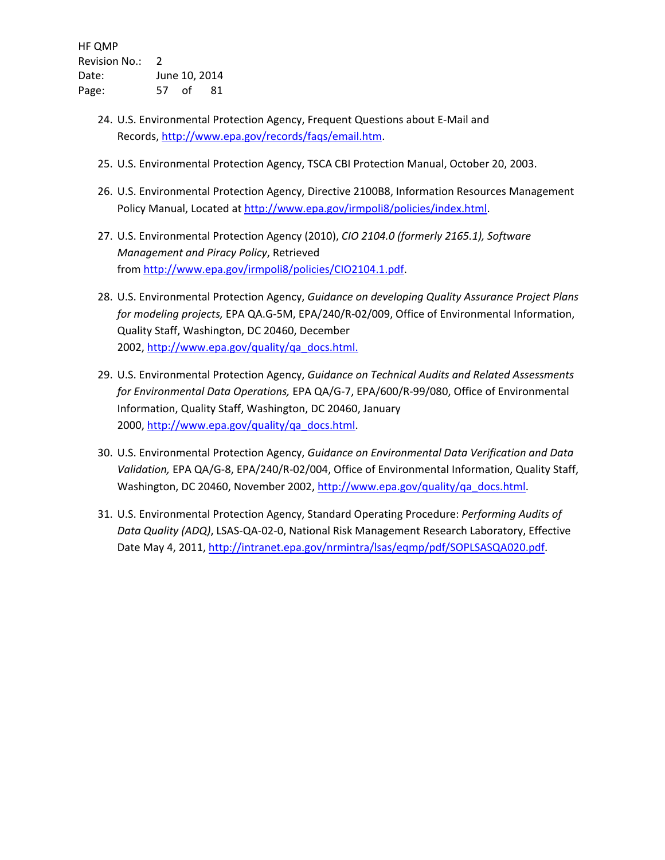- 24. U.S. Environmental Protection Agency, Frequent Questions about E-Mail and Records, [http://www.epa.gov/records/faqs/email.htm.](http://www.epa.gov/records/faqs/email.htm)
- 25. U.S. Environmental Protection Agency, TSCA CBI Protection Manual, October 20, 2003.
- 26. U.S. Environmental Protection Agency, Directive 2100B8, Information Resources Management Policy Manual, Located at [http://www.epa.gov/irmpoli8/policies/index.html.](http://www.epa.gov/irmpoli8/policies/index.html)
- 27. U.S. Environmental Protection Agency (2010), *CIO 2104.0 (formerly 2165.1), Software Management and Piracy Policy*, Retrieved from [http://www.epa.gov/irmpoli8/policies/CIO2104.1.pdf.](http://www.epa.gov/irmpoli8/policies/CIO2104.1.pdf)
- 28. U.S. Environmental Protection Agency, *Guidance on developing Quality Assurance Project Plans for modeling projects,* EPA QA.G-5M, EPA/240/R-02/009, Office of Environmental Information, Quality Staff, Washington, DC 20460, December 2002[, http://www.epa.gov/quality/qa\\_docs.html.](http://www.epa.gov/quality/qa_docs.html)
- 29. U.S. Environmental Protection Agency, *Guidance on Technical Audits and Related Assessments for Environmental Data Operations,* EPA QA/G-7, EPA/600/R-99/080, Office of Environmental Information, Quality Staff, Washington, DC 20460, January 2000[, http://www.epa.gov/quality/qa\\_docs.html.](http://www.epa.gov/quality/qa_docs.html)
- 30. U.S. Environmental Protection Agency, *Guidance on Environmental Data Verification and Data Validation,* EPA QA/G-8, EPA/240/R-02/004, Office of Environmental Information, Quality Staff, Washington, DC 20460, November 2002[, http://www.epa.gov/quality/qa\\_docs.html.](http://www.epa.gov/quality/qa_docs.html)
- 31. U.S. Environmental Protection Agency, Standard Operating Procedure: *Performing Audits of Data Quality (ADQ)*, LSAS-QA-02-0, National Risk Management Research Laboratory, Effective Date May 4, 2011, [http://intranet.epa.gov/nrmintra/lsas/eqmp/pdf/SOPLSASQA020.pdf.](http://intranet.epa.gov/nrmintra/lsas/eqmp/pdf/SOPLSASQA020.pdf)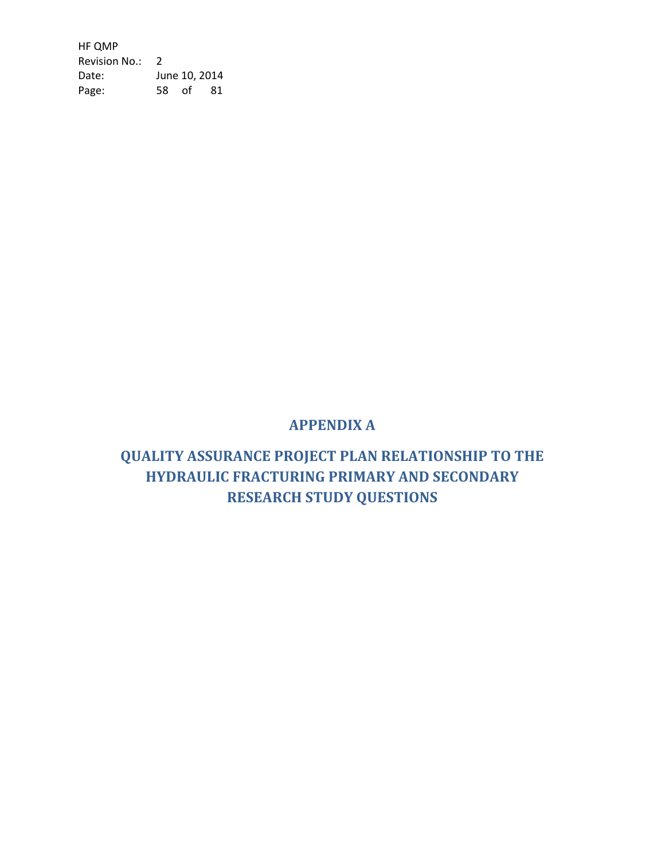HF QMP Revision No.: 2 Date: June 10, 2014 Page: 58 of 81

## **APPENDIX A**

# **QUALITY ASSURANCE PROJECT PLAN RELATIONSHIP TO THE HYDRAULIC FRACTURING PRIMARY AND SECONDARY RESEARCH STUDY QUESTIONS**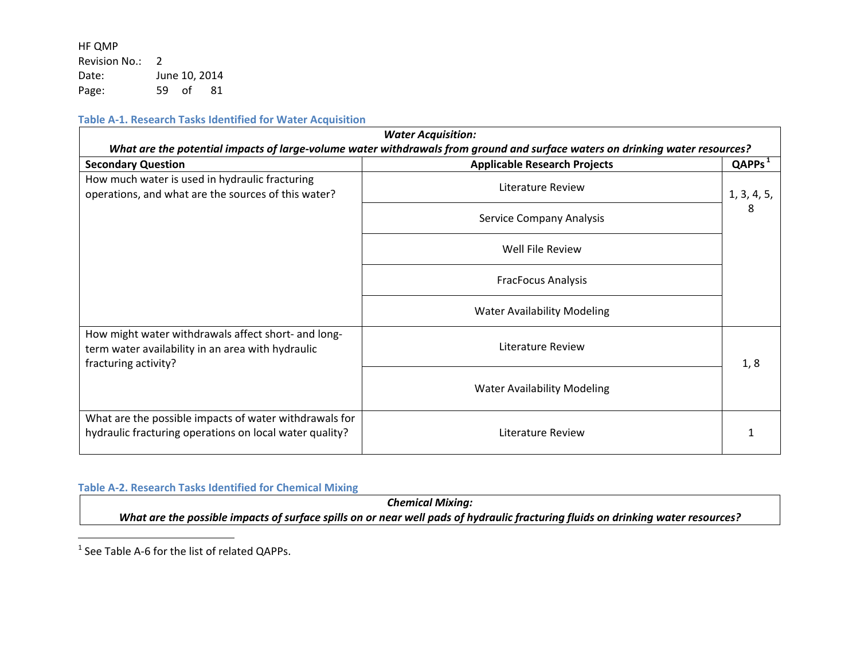<span id="page-58-0"></span>HF QMP Revision No.: 2 Date: June 10, 2014 Page: 59 of 81

### **Table A-1. Research Tasks Identified for Water Acquisition**

| <b>Water Acquisition:</b><br>What are the potential impacts of large-volume water withdrawals from ground and surface waters on drinking water resources? |                                     |                    |
|-----------------------------------------------------------------------------------------------------------------------------------------------------------|-------------------------------------|--------------------|
| <b>Secondary Question</b>                                                                                                                                 | <b>Applicable Research Projects</b> | QAPPs <sup>1</sup> |
| How much water is used in hydraulic fracturing<br>operations, and what are the sources of this water?                                                     | Literature Review                   | 1, 3, 4, 5,        |
|                                                                                                                                                           | Service Company Analysis            | 8                  |
|                                                                                                                                                           | Well File Review                    |                    |
|                                                                                                                                                           | <b>FracFocus Analysis</b>           |                    |
|                                                                                                                                                           | <b>Water Availability Modeling</b>  |                    |
| How might water withdrawals affect short- and long-<br>term water availability in an area with hydraulic<br>fracturing activity?                          | Literature Review                   | 1, 8               |
|                                                                                                                                                           | <b>Water Availability Modeling</b>  |                    |
| What are the possible impacts of water withdrawals for<br>hydraulic fracturing operations on local water quality?                                         | Literature Review                   |                    |

### **Table A-2. Research Tasks Identified for Chemical Mixing**

*Chemical Mixing: What are the possible impacts of surface spills on or near well pads of hydraulic fracturing fluids on drinking water resources?* 

 $\overline{\phantom{a}}$ 

 $1$  See Table A-6 for the list of related QAPPs.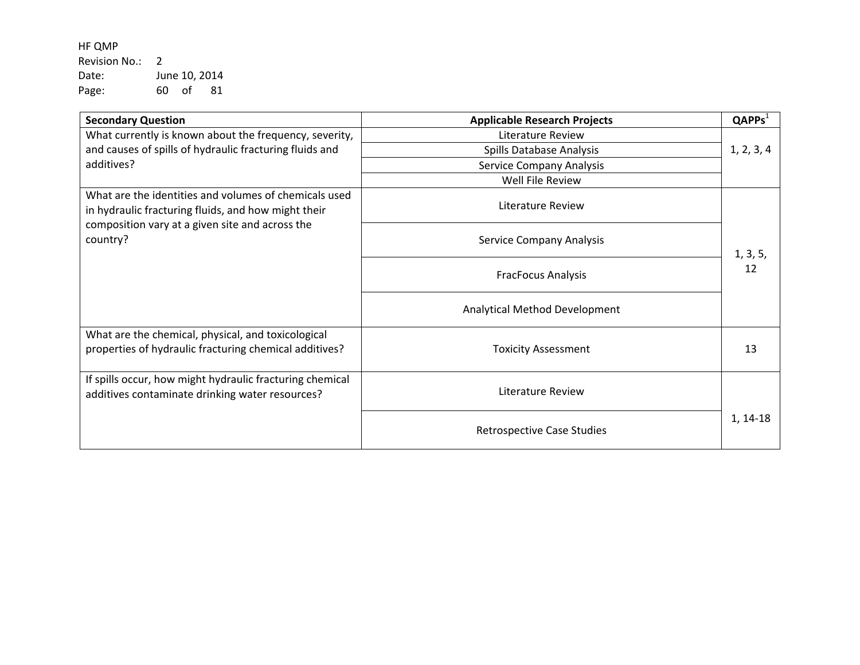### HF QMP Revision No.: 2 Date: June 10, 2014 Page: 60 of 81

| <b>Secondary Question</b>                                                                                    | <b>Applicable Research Projects</b> | QAPPs <sup>1</sup> |
|--------------------------------------------------------------------------------------------------------------|-------------------------------------|--------------------|
| What currently is known about the frequency, severity,                                                       | <b>Literature Review</b>            |                    |
| and causes of spills of hydraulic fracturing fluids and                                                      | Spills Database Analysis            | 1, 2, 3, 4         |
| additives?                                                                                                   | Service Company Analysis            |                    |
|                                                                                                              | Well File Review                    |                    |
| What are the identities and volumes of chemicals used<br>in hydraulic fracturing fluids, and how might their | Literature Review                   |                    |
| composition vary at a given site and across the<br>country?                                                  | Service Company Analysis            | 1, 3, 5,           |
|                                                                                                              | <b>FracFocus Analysis</b>           | 12                 |
|                                                                                                              | Analytical Method Development       |                    |
| What are the chemical, physical, and toxicological<br>properties of hydraulic fracturing chemical additives? | <b>Toxicity Assessment</b>          | 13                 |
| If spills occur, how might hydraulic fracturing chemical<br>additives contaminate drinking water resources?  | Literature Review                   |                    |
|                                                                                                              | <b>Retrospective Case Studies</b>   | 1, 14-18           |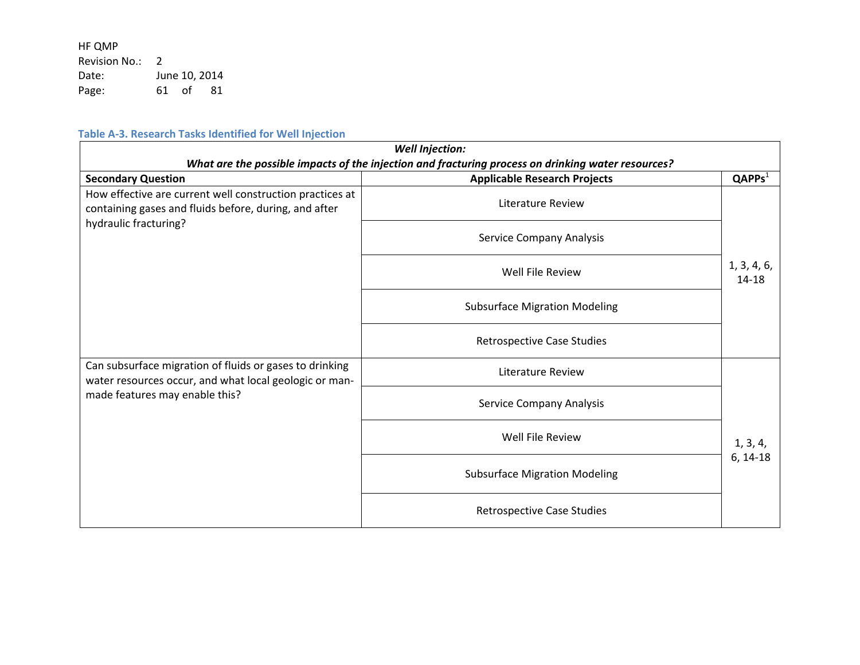HF QMP Revision No.: 2 Date: June 10, 2014 Page: 61 of 81

### **Table A-3. Research Tasks Identified for Well Injection**

| <b>Well Injection:</b><br>What are the possible impacts of the injection and fracturing process on drinking water resources?               |                                      |                          |
|--------------------------------------------------------------------------------------------------------------------------------------------|--------------------------------------|--------------------------|
| <b>Secondary Question</b>                                                                                                                  | <b>Applicable Research Projects</b>  | QAPPs <sup>1</sup>       |
| How effective are current well construction practices at<br>containing gases and fluids before, during, and after<br>hydraulic fracturing? | <b>Literature Review</b>             |                          |
|                                                                                                                                            | Service Company Analysis             |                          |
|                                                                                                                                            | Well File Review                     | 1, 3, 4, 6,<br>$14 - 18$ |
|                                                                                                                                            | <b>Subsurface Migration Modeling</b> |                          |
|                                                                                                                                            | Retrospective Case Studies           |                          |
| Can subsurface migration of fluids or gases to drinking<br>water resources occur, and what local geologic or man-                          | Literature Review                    |                          |
| made features may enable this?                                                                                                             | Service Company Analysis             |                          |
|                                                                                                                                            | Well File Review                     | 1, 3, 4,                 |
|                                                                                                                                            | <b>Subsurface Migration Modeling</b> | 6, 14-18                 |
|                                                                                                                                            | Retrospective Case Studies           |                          |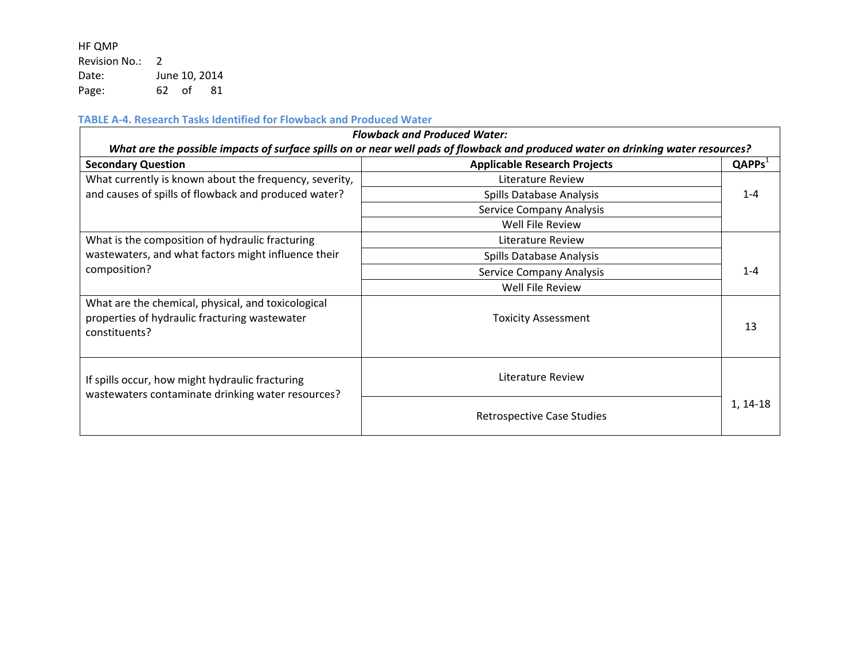HF QMP Revision No.: 2 Date: June 10, 2014 Page: 62 of 81

### **TABLE A-4. Research Tasks Identified for Flowback and Produced Water**

| <b>Flowback and Produced Water:</b>                                                                                  |                                                                                                                                  |                    |
|----------------------------------------------------------------------------------------------------------------------|----------------------------------------------------------------------------------------------------------------------------------|--------------------|
|                                                                                                                      | What are the possible impacts of surface spills on or near well pads of flowback and produced water on drinking water resources? |                    |
| <b>Secondary Question</b>                                                                                            | <b>Applicable Research Projects</b>                                                                                              | QAPPs <sup>1</sup> |
| What currently is known about the frequency, severity,                                                               | Literature Review                                                                                                                |                    |
| and causes of spills of flowback and produced water?                                                                 | Spills Database Analysis                                                                                                         | $1 - 4$            |
|                                                                                                                      | Service Company Analysis                                                                                                         |                    |
|                                                                                                                      | Well File Review                                                                                                                 |                    |
| What is the composition of hydraulic fracturing                                                                      | Literature Review                                                                                                                |                    |
| wastewaters, and what factors might influence their                                                                  | Spills Database Analysis                                                                                                         |                    |
| composition?                                                                                                         | Service Company Analysis                                                                                                         | $1 - 4$            |
|                                                                                                                      | Well File Review                                                                                                                 |                    |
| What are the chemical, physical, and toxicological<br>properties of hydraulic fracturing wastewater<br>constituents? | <b>Toxicity Assessment</b>                                                                                                       | 13                 |
| If spills occur, how might hydraulic fracturing<br>wastewaters contaminate drinking water resources?                 | Literature Review                                                                                                                |                    |
|                                                                                                                      | <b>Retrospective Case Studies</b>                                                                                                | 1, 14-18           |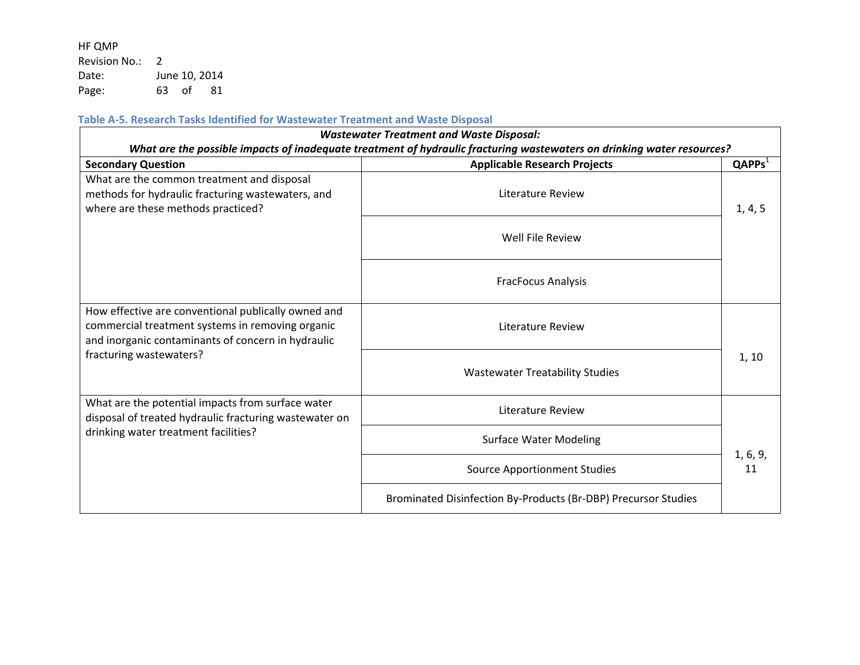HF QMP Revision No.: 2 Date: June 10, 2014 Page: 63 of 81

### **Table A-5. Research Tasks Identified for Wastewater Treatment and Waste Disposal**

| <b>Wastewater Treatment and Waste Disposal:</b>                                                                                                               |                                                                                                                                                               |                    |
|---------------------------------------------------------------------------------------------------------------------------------------------------------------|---------------------------------------------------------------------------------------------------------------------------------------------------------------|--------------------|
| <b>Secondary Question</b>                                                                                                                                     | What are the possible impacts of inadequate treatment of hydraulic fracturing wastewaters on drinking water resources?<br><b>Applicable Research Projects</b> | $\mathbf{QAPPs}^1$ |
| What are the common treatment and disposal<br>methods for hydraulic fracturing wastewaters, and<br>where are these methods practiced?                         | Literature Review                                                                                                                                             | 1, 4, 5            |
|                                                                                                                                                               | Well File Review                                                                                                                                              |                    |
|                                                                                                                                                               | <b>FracFocus Analysis</b>                                                                                                                                     |                    |
| How effective are conventional publically owned and<br>commercial treatment systems in removing organic<br>and inorganic contaminants of concern in hydraulic | <b>Literature Review</b>                                                                                                                                      |                    |
| fracturing wastewaters?                                                                                                                                       | <b>Wastewater Treatability Studies</b>                                                                                                                        | 1, 10              |
| What are the potential impacts from surface water<br>disposal of treated hydraulic fracturing wastewater on                                                   | Literature Review                                                                                                                                             |                    |
| drinking water treatment facilities?                                                                                                                          | <b>Surface Water Modeling</b>                                                                                                                                 |                    |
|                                                                                                                                                               | Source Apportionment Studies                                                                                                                                  | 1, 6, 9,<br>11     |
|                                                                                                                                                               | Brominated Disinfection By-Products (Br-DBP) Precursor Studies                                                                                                |                    |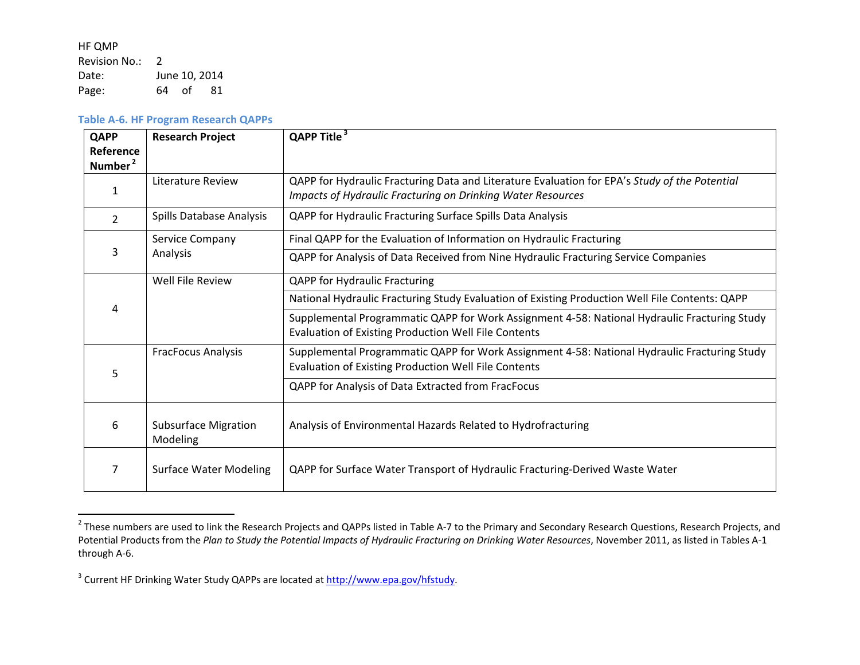### <span id="page-63-1"></span><span id="page-63-0"></span>HF QMP

 $\overline{\phantom{a}}$ 

Revision No.: 2 Date: June 10, 2014 Page: 64 of 81

### **Table A-6. HF Program Research QAPPs**

| QAPP                             | <b>Research Project</b>                 | QAPP Title <sup>3</sup>                                                                                                                                      |
|----------------------------------|-----------------------------------------|--------------------------------------------------------------------------------------------------------------------------------------------------------------|
| Reference<br>Number <sup>2</sup> |                                         |                                                                                                                                                              |
| 1                                | Literature Review                       | QAPP for Hydraulic Fracturing Data and Literature Evaluation for EPA's Study of the Potential<br>Impacts of Hydraulic Fracturing on Drinking Water Resources |
| $\overline{2}$                   | Spills Database Analysis                | QAPP for Hydraulic Fracturing Surface Spills Data Analysis                                                                                                   |
|                                  | Service Company                         | Final QAPP for the Evaluation of Information on Hydraulic Fracturing                                                                                         |
| 3                                | Analysis                                | QAPP for Analysis of Data Received from Nine Hydraulic Fracturing Service Companies                                                                          |
|                                  | Well File Review                        | <b>QAPP for Hydraulic Fracturing</b>                                                                                                                         |
| 4                                |                                         | National Hydraulic Fracturing Study Evaluation of Existing Production Well File Contents: QAPP                                                               |
|                                  |                                         | Supplemental Programmatic QAPP for Work Assignment 4-58: National Hydraulic Fracturing Study<br>Evaluation of Existing Production Well File Contents         |
| 5                                | <b>FracFocus Analysis</b>               | Supplemental Programmatic QAPP for Work Assignment 4-58: National Hydraulic Fracturing Study<br>Evaluation of Existing Production Well File Contents         |
|                                  |                                         | QAPP for Analysis of Data Extracted from FracFocus                                                                                                           |
| 6                                | <b>Subsurface Migration</b><br>Modeling | Analysis of Environmental Hazards Related to Hydrofracturing                                                                                                 |
| 7                                | <b>Surface Water Modeling</b>           | QAPP for Surface Water Transport of Hydraulic Fracturing-Derived Waste Water                                                                                 |

 $^2$  These numbers are used to link the Research Projects and QAPPs listed in Table A-7 to the Primary and Secondary Research Questions, Research Projects, and Potential Products from the *Plan to Study the Potential Impacts of Hydraulic Fracturing on Drinking Water Resources*, November 2011, as listed in Tables A-1 through A-6.

<sup>&</sup>lt;sup>3</sup> Current HF Drinking Water Study QAPPs are located a[t http://www.epa.gov/hfstudy.](http://www.epa.gov/hfstudy)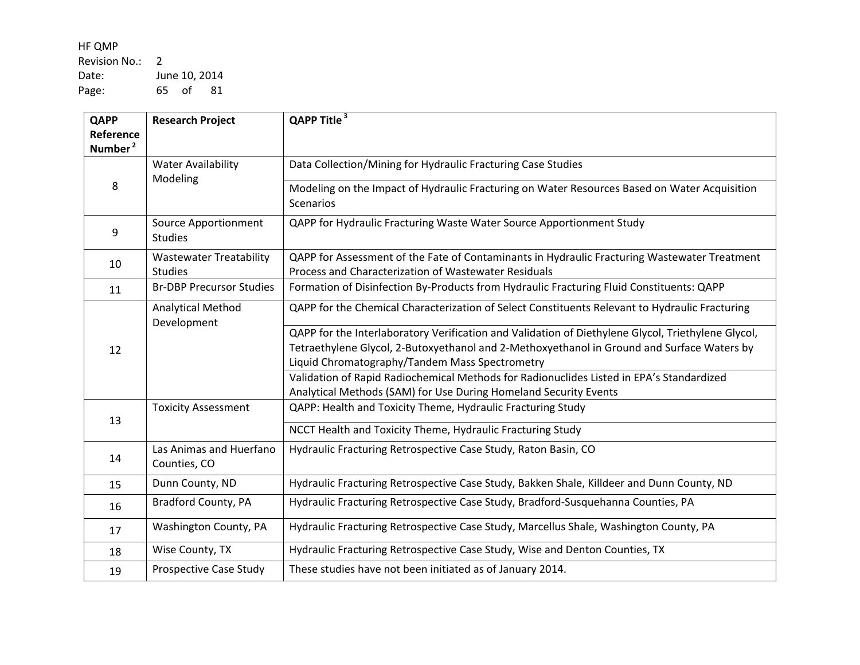### HF QMP

Revision No.: 2 Date: June 10, 2014 Page: 65 of 81

| QAPP<br>Reference<br>Number <sup>2</sup> | <b>Research Project</b>                          | <b>QAPP Title<sup>3</sup></b>                                                                                                                                                                                                                                                                                                                                                                                      |
|------------------------------------------|--------------------------------------------------|--------------------------------------------------------------------------------------------------------------------------------------------------------------------------------------------------------------------------------------------------------------------------------------------------------------------------------------------------------------------------------------------------------------------|
|                                          | <b>Water Availability</b>                        | Data Collection/Mining for Hydraulic Fracturing Case Studies                                                                                                                                                                                                                                                                                                                                                       |
| 8                                        | Modeling                                         | Modeling on the Impact of Hydraulic Fracturing on Water Resources Based on Water Acquisition<br><b>Scenarios</b>                                                                                                                                                                                                                                                                                                   |
| 9                                        | Source Apportionment<br><b>Studies</b>           | QAPP for Hydraulic Fracturing Waste Water Source Apportionment Study                                                                                                                                                                                                                                                                                                                                               |
| 10                                       | <b>Wastewater Treatability</b><br><b>Studies</b> | QAPP for Assessment of the Fate of Contaminants in Hydraulic Fracturing Wastewater Treatment<br>Process and Characterization of Wastewater Residuals                                                                                                                                                                                                                                                               |
| 11                                       | <b>Br-DBP Precursor Studies</b>                  | Formation of Disinfection By-Products from Hydraulic Fracturing Fluid Constituents: QAPP                                                                                                                                                                                                                                                                                                                           |
|                                          | <b>Analytical Method</b><br>Development          | QAPP for the Chemical Characterization of Select Constituents Relevant to Hydraulic Fracturing                                                                                                                                                                                                                                                                                                                     |
| 12                                       |                                                  | QAPP for the Interlaboratory Verification and Validation of Diethylene Glycol, Triethylene Glycol,<br>Tetraethylene Glycol, 2-Butoxyethanol and 2-Methoxyethanol in Ground and Surface Waters by<br>Liquid Chromatography/Tandem Mass Spectrometry<br>Validation of Rapid Radiochemical Methods for Radionuclides Listed in EPA's Standardized<br>Analytical Methods (SAM) for Use During Homeland Security Events |
|                                          | <b>Toxicity Assessment</b>                       | QAPP: Health and Toxicity Theme, Hydraulic Fracturing Study                                                                                                                                                                                                                                                                                                                                                        |
| 13                                       |                                                  | NCCT Health and Toxicity Theme, Hydraulic Fracturing Study                                                                                                                                                                                                                                                                                                                                                         |
| 14                                       | Las Animas and Huerfano<br>Counties, CO          | Hydraulic Fracturing Retrospective Case Study, Raton Basin, CO                                                                                                                                                                                                                                                                                                                                                     |
| 15                                       | Dunn County, ND                                  | Hydraulic Fracturing Retrospective Case Study, Bakken Shale, Killdeer and Dunn County, ND                                                                                                                                                                                                                                                                                                                          |
| 16                                       | Bradford County, PA                              | Hydraulic Fracturing Retrospective Case Study, Bradford-Susquehanna Counties, PA                                                                                                                                                                                                                                                                                                                                   |
| 17                                       | Washington County, PA                            | Hydraulic Fracturing Retrospective Case Study, Marcellus Shale, Washington County, PA                                                                                                                                                                                                                                                                                                                              |
| 18                                       | Wise County, TX                                  | Hydraulic Fracturing Retrospective Case Study, Wise and Denton Counties, TX                                                                                                                                                                                                                                                                                                                                        |
| 19                                       | Prospective Case Study                           | These studies have not been initiated as of January 2014.                                                                                                                                                                                                                                                                                                                                                          |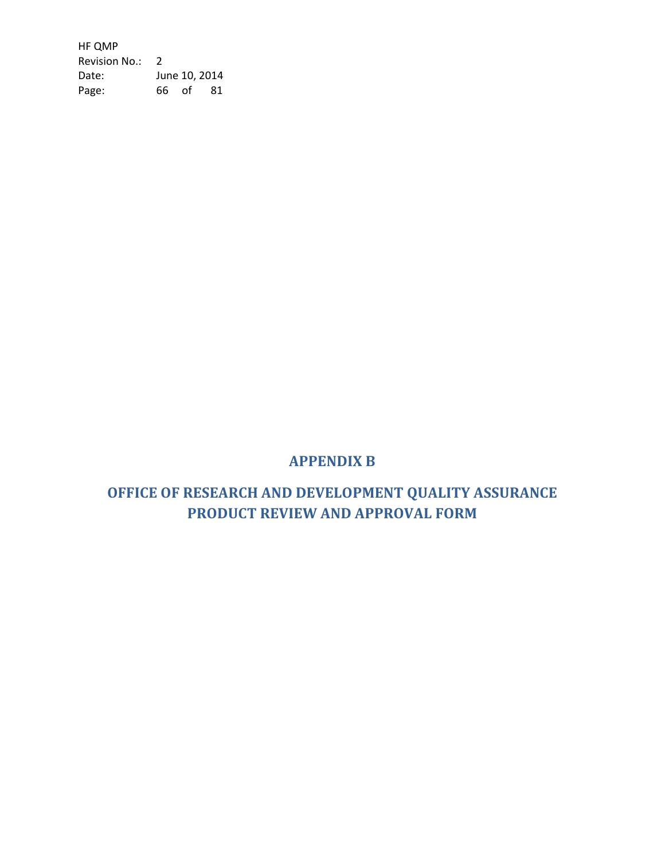HF QMP Revision No.: 2 Date: June 10, 2014 Page: 66 of 81

# **APPENDIX B**

# **OFFICE OF RESEARCH AND DEVELOPMENT QUALITY ASSURANCE PRODUCT REVIEW AND APPROVAL FORM**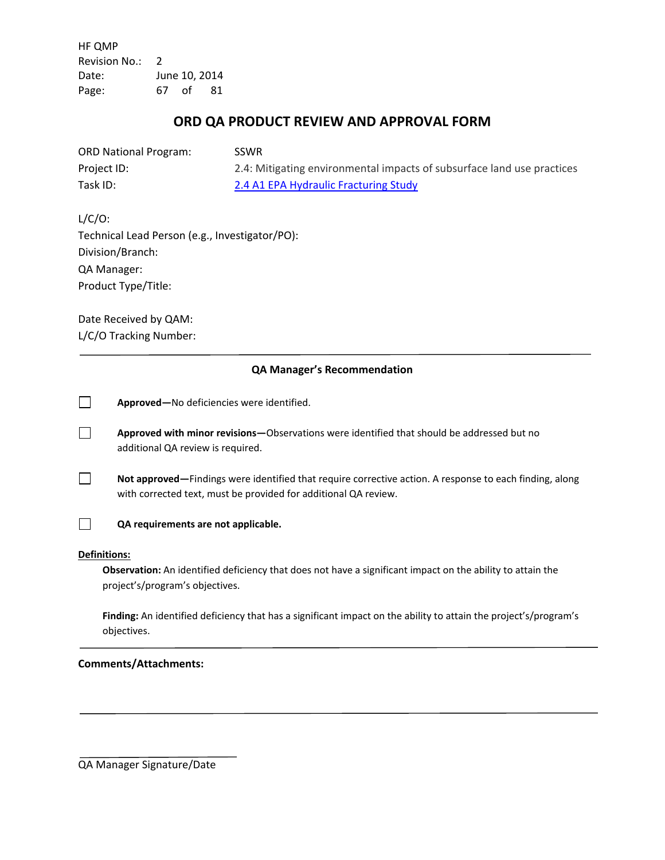HF QMP Revision No.: 2 Date: June 10, 2014 Page: 67 of 81

### **ORD QA PRODUCT REVIEW AND APPROVAL FORM**

| <b>ORD National Program:</b> | <b>SSWR</b>                                                            |
|------------------------------|------------------------------------------------------------------------|
| Project ID:                  | 2.4: Mitigating environmental impacts of subsurface land use practices |
| Task ID:                     | 2.4 A1 EPA Hydraulic Fracturing Study                                  |

L/C/O: Technical Lead Person (e.g., Investigator/PO): Division/Branch: QA Manager: Product Type/Title:

Date Received by QAM: L/C/O Tracking Number:

### **QA Manager's Recommendation**

| $\Box$ | Approved-No deficiencies were identified.                                                                                                                                  |
|--------|----------------------------------------------------------------------------------------------------------------------------------------------------------------------------|
| $\Box$ | Approved with minor revisions—Observations were identified that should be addressed but no<br>additional QA review is required.                                            |
| $\Box$ | Not approved—Findings were identified that require corrective action. A response to each finding, along<br>with corrected text, must be provided for additional QA review. |
| П      | QA requirements are not applicable.                                                                                                                                        |
|        | <b>Definitions:</b>                                                                                                                                                        |
|        | <b>Observation:</b> An identified deficiency that does not have a significant impact on the ability to attain the                                                          |

**Finding:** An identified deficiency that has a significant impact on the ability to attain the project's/program's objectives.

**Comments/Attachments:**

project's/program's objectives.

QA Manager Signature/Date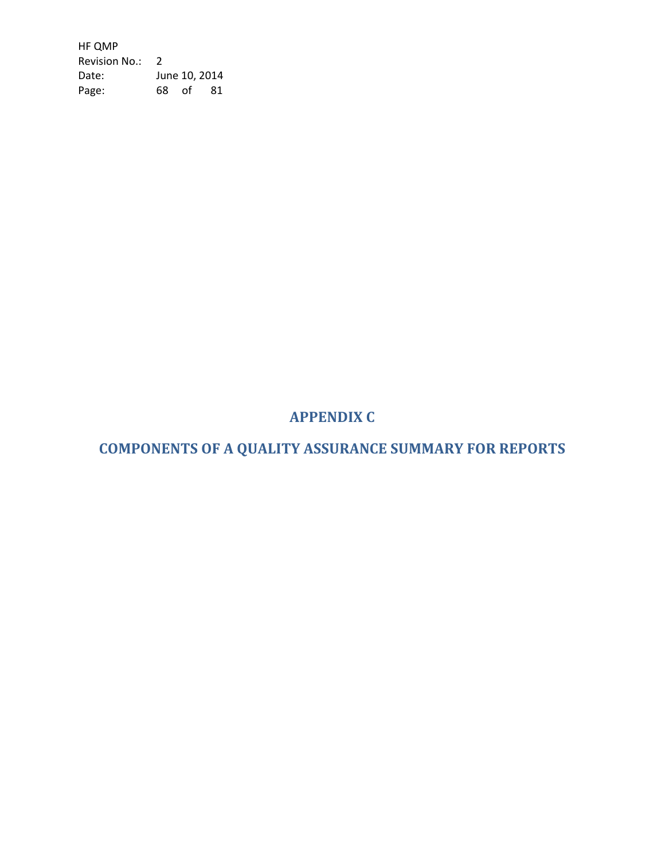HF QMP Revision No.: 2 Date: June 10, 2014 Page: 68 of 81

# **APPENDIX C**

**COMPONENTS OF A QUALITY ASSURANCE SUMMARY FOR REPORTS**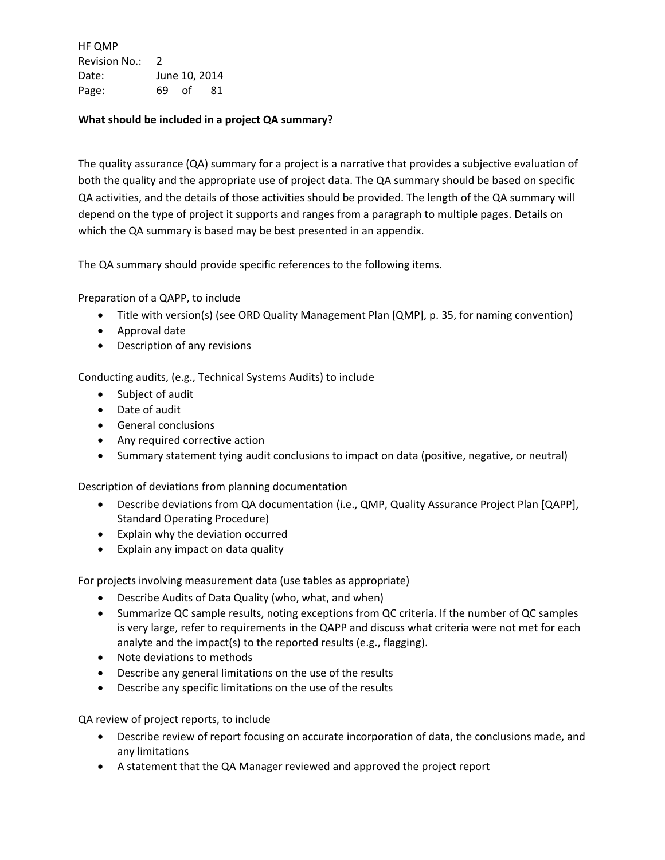HF QMP Revision No.: 2 Date: June 10, 2014 Page: 69 of 81

### **What should be included in a project QA summary?**

The quality assurance (QA) summary for a project is a narrative that provides a subjective evaluation of both the quality and the appropriate use of project data. The QA summary should be based on specific QA activities, and the details of those activities should be provided. The length of the QA summary will depend on the type of project it supports and ranges from a paragraph to multiple pages. Details on which the QA summary is based may be best presented in an appendix.

The QA summary should provide specific references to the following items.

Preparation of a QAPP, to include

- Title with version(s) (see ORD Quality Management Plan [QMP], p. 35, for naming convention)
- Approval date
- Description of any revisions

Conducting audits, (e.g., Technical Systems Audits) to include

- Subject of audit
- Date of audit
- General conclusions
- Any required corrective action
- Summary statement tying audit conclusions to impact on data (positive, negative, or neutral)

Description of deviations from planning documentation

- Describe deviations from QA documentation (i.e., QMP, Quality Assurance Project Plan [QAPP], Standard Operating Procedure)
- Explain why the deviation occurred
- Explain any impact on data quality

For projects involving measurement data (use tables as appropriate)

- Describe Audits of Data Quality (who, what, and when)
- Summarize QC sample results, noting exceptions from QC criteria. If the number of QC samples is very large, refer to requirements in the QAPP and discuss what criteria were not met for each analyte and the impact(s) to the reported results (e.g., flagging).
- Note deviations to methods
- Describe any general limitations on the use of the results
- Describe any specific limitations on the use of the results

QA review of project reports, to include

- Describe review of report focusing on accurate incorporation of data, the conclusions made, and any limitations
- A statement that the QA Manager reviewed and approved the project report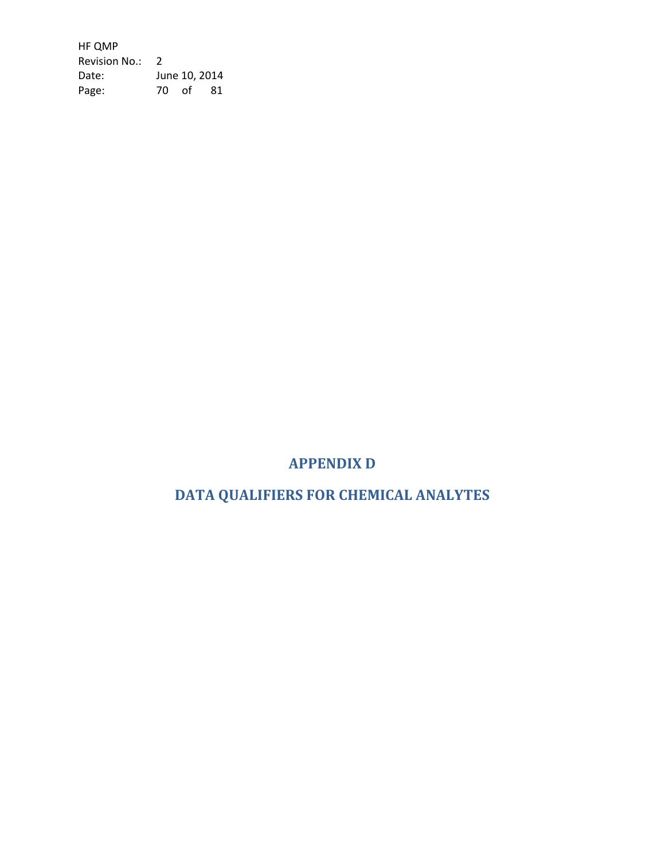HF QMP Revision No.: 2 Date: June 10, 2014 Page: 70 of 81

# **APPENDIX D**

# **DATA QUALIFIERS FOR CHEMICAL ANALYTES**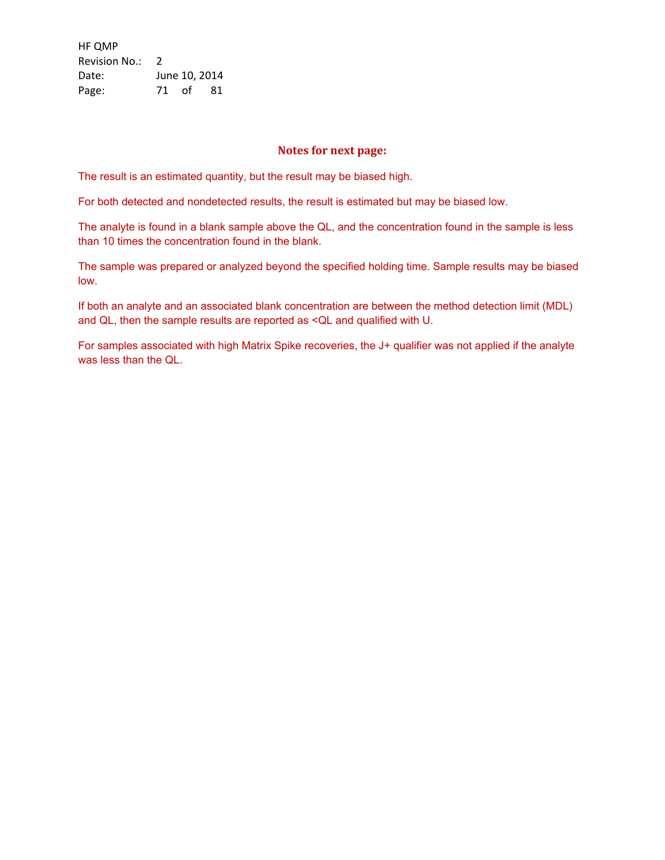HF QMP Revision No.: 2 Date: June 10, 2014 Page: 71 of 81

### **Notes for next page:**

The result is an estimated quantity, but the result may be biased high.

For both detected and nondetected results, the result is estimated but may be biased low.

The analyte is found in a blank sample above the QL, and the concentration found in the sample is less than 10 times the concentration found in the blank.

The sample was prepared or analyzed beyond the specified holding time. Sample results may be biased low.

If both an analyte and an associated blank concentration are between the method detection limit (MDL) and QL, then the sample results are reported as <QL and qualified with U.

For samples associated with high Matrix Spike recoveries, the J+ qualifier was not applied if the analyte was less than the QL.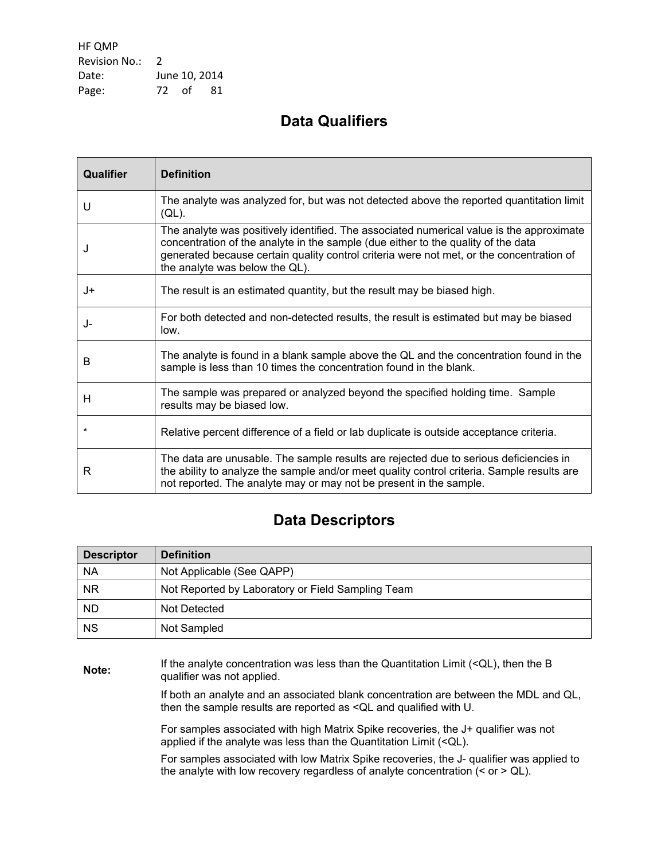HF QMP Revision No.: 2 Date: June 10, 2014 Page: 72 of 81

# **Data Qualifiers**

| <b>Qualifier</b> | <b>Definition</b>                                                                                                                                                                                                                                                                                           |
|------------------|-------------------------------------------------------------------------------------------------------------------------------------------------------------------------------------------------------------------------------------------------------------------------------------------------------------|
| U                | The analyte was analyzed for, but was not detected above the reported quantitation limit<br>(QL).                                                                                                                                                                                                           |
| J                | The analyte was positively identified. The associated numerical value is the approximate<br>concentration of the analyte in the sample (due either to the quality of the data<br>generated because certain quality control criteria were not met, or the concentration of<br>the analyte was below the QL). |
| J+               | The result is an estimated quantity, but the result may be biased high.                                                                                                                                                                                                                                     |
| . J –            | For both detected and non-detected results, the result is estimated but may be biased<br>low.                                                                                                                                                                                                               |
| B                | The analyte is found in a blank sample above the QL and the concentration found in the<br>sample is less than 10 times the concentration found in the blank.                                                                                                                                                |
| н                | The sample was prepared or analyzed beyond the specified holding time. Sample<br>results may be biased low.                                                                                                                                                                                                 |
| $\star$          | Relative percent difference of a field or lab duplicate is outside acceptance criteria.                                                                                                                                                                                                                     |
| R                | The data are unusable. The sample results are rejected due to serious deficiencies in<br>the ability to analyze the sample and/or meet quality control criteria. Sample results are<br>not reported. The analyte may or may not be present in the sample.                                                   |

# **Data Descriptors**

| <b>Descriptor</b> | <b>Definition</b>                                 |
|-------------------|---------------------------------------------------|
| ΝA                | Not Applicable (See QAPP)                         |
| <b>NR</b>         | Not Reported by Laboratory or Field Sampling Team |
| <b>ND</b>         | Not Detected                                      |
| <b>NS</b>         | Not Sampled                                       |

**Note:** If the analyte concentration was less than the Quantitation Limit (<QL), then the B qualifier was not applied.

> If both an analyte and an associated blank concentration are between the MDL and QL, then the sample results are reported as <QL and qualified with U.

For samples associated with high Matrix Spike recoveries, the J+ qualifier was not applied if the analyte was less than the Quantitation Limit (<QL).

For samples associated with low Matrix Spike recoveries, the J- qualifier was applied to the analyte with low recovery regardless of analyte concentration (< or > QL).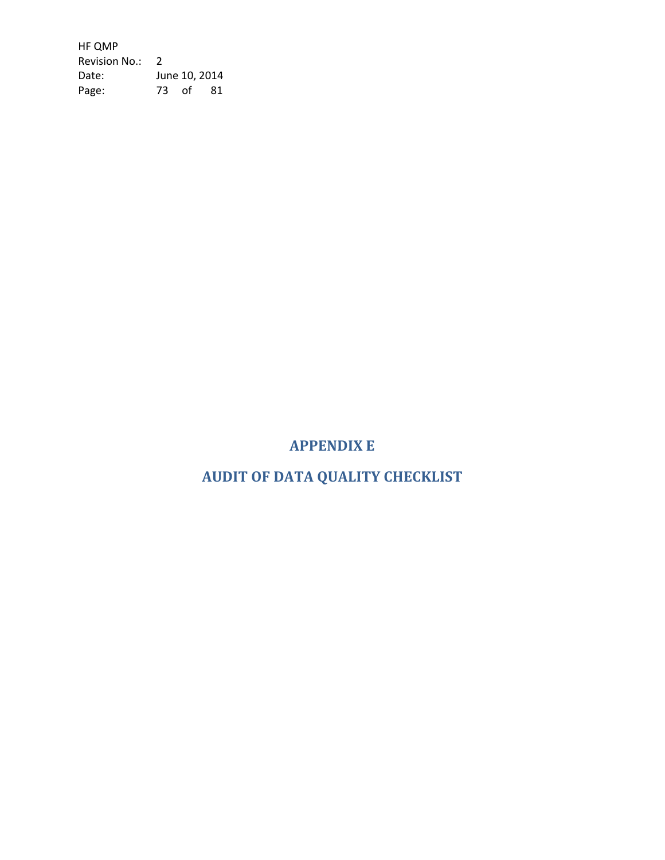HF QMP Revision No.: 2 Date: June 10, 2014 Page: 73 of 81

### **APPENDIX E**

# **AUDIT OF DATA QUALITY CHECKLIST**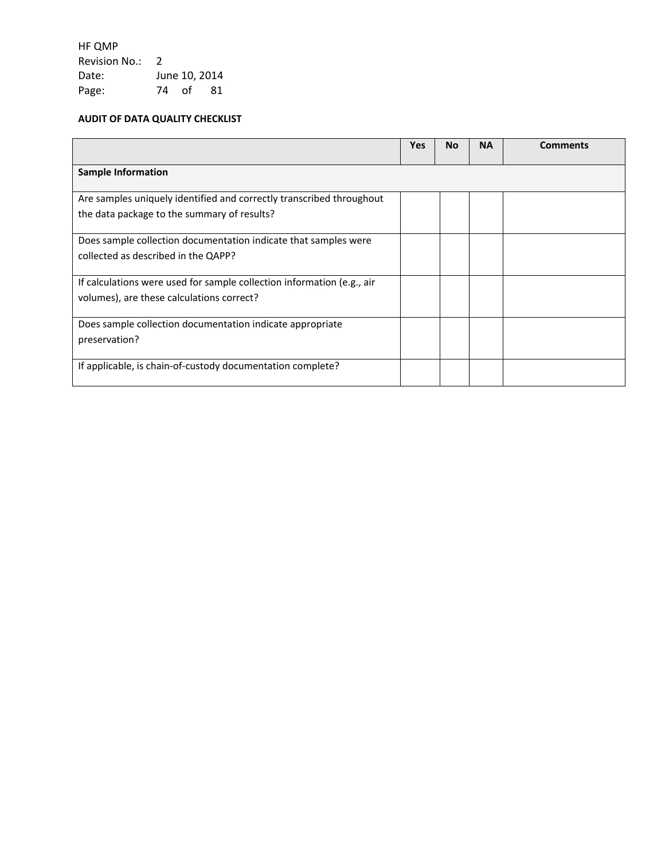HF QMP Revision No.: 2 Date: June 10, 2014 Page: 74 of 81

#### **AUDIT OF DATA QUALITY CHECKLIST**

|                                                                                                                     | Yes | <b>No</b> | <b>NA</b> | <b>Comments</b> |
|---------------------------------------------------------------------------------------------------------------------|-----|-----------|-----------|-----------------|
| Sample Information                                                                                                  |     |           |           |                 |
| Are samples uniquely identified and correctly transcribed throughout<br>the data package to the summary of results? |     |           |           |                 |
| Does sample collection documentation indicate that samples were<br>collected as described in the QAPP?              |     |           |           |                 |
| If calculations were used for sample collection information (e.g., air<br>volumes), are these calculations correct? |     |           |           |                 |
| Does sample collection documentation indicate appropriate<br>preservation?                                          |     |           |           |                 |
| If applicable, is chain-of-custody documentation complete?                                                          |     |           |           |                 |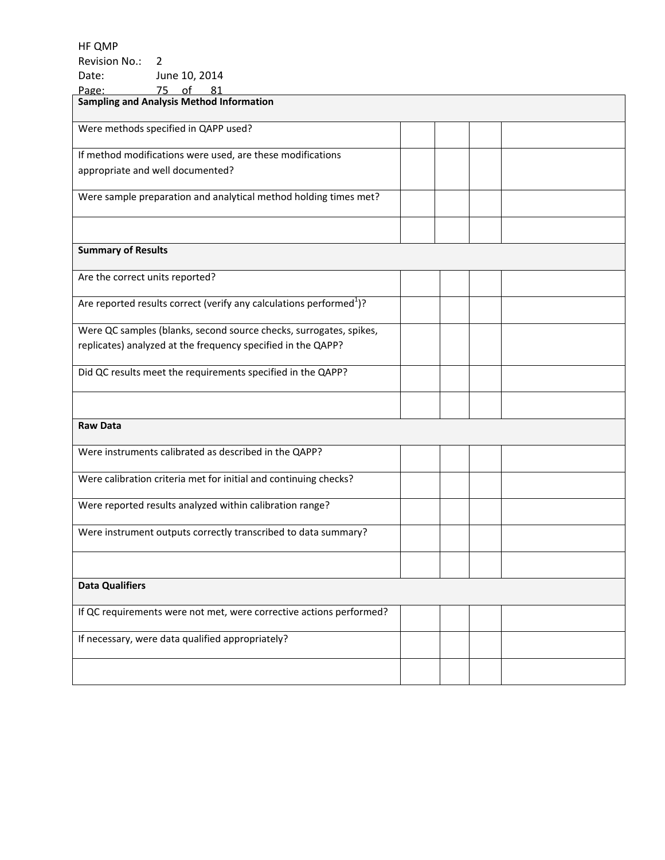HF QMP

Revision No.: 2

Date: June 10, 2014

| 75 of 81<br>Page:                                                               |  |  |
|---------------------------------------------------------------------------------|--|--|
| <b>Sampling and Analysis Method Information</b>                                 |  |  |
|                                                                                 |  |  |
|                                                                                 |  |  |
| Were methods specified in QAPP used?                                            |  |  |
|                                                                                 |  |  |
| If method modifications were used, are these modifications                      |  |  |
| appropriate and well documented?                                                |  |  |
|                                                                                 |  |  |
| Were sample preparation and analytical method holding times met?                |  |  |
|                                                                                 |  |  |
|                                                                                 |  |  |
|                                                                                 |  |  |
| <b>Summary of Results</b>                                                       |  |  |
|                                                                                 |  |  |
|                                                                                 |  |  |
| Are the correct units reported?                                                 |  |  |
|                                                                                 |  |  |
| Are reported results correct (verify any calculations performed <sup>1</sup> )? |  |  |
|                                                                                 |  |  |
| Were QC samples (blanks, second source checks, surrogates, spikes,              |  |  |
| replicates) analyzed at the frequency specified in the QAPP?                    |  |  |
|                                                                                 |  |  |
| Did QC results meet the requirements specified in the QAPP?                     |  |  |
|                                                                                 |  |  |
|                                                                                 |  |  |
|                                                                                 |  |  |
|                                                                                 |  |  |
| <b>Raw Data</b>                                                                 |  |  |
|                                                                                 |  |  |
| Were instruments calibrated as described in the QAPP?                           |  |  |
|                                                                                 |  |  |
| Were calibration criteria met for initial and continuing checks?                |  |  |
|                                                                                 |  |  |
| Were reported results analyzed within calibration range?                        |  |  |
|                                                                                 |  |  |
| Were instrument outputs correctly transcribed to data summary?                  |  |  |
|                                                                                 |  |  |
|                                                                                 |  |  |
|                                                                                 |  |  |
| <b>Data Qualifiers</b>                                                          |  |  |
|                                                                                 |  |  |
|                                                                                 |  |  |
| If QC requirements were not met, were corrective actions performed?             |  |  |
|                                                                                 |  |  |
| If necessary, were data qualified appropriately?                                |  |  |
|                                                                                 |  |  |
|                                                                                 |  |  |
|                                                                                 |  |  |
|                                                                                 |  |  |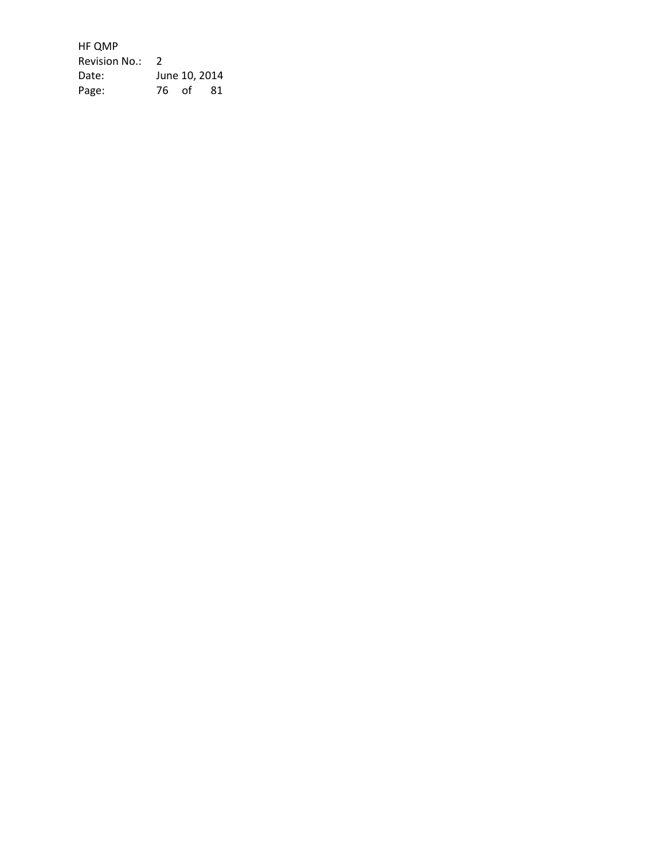HF QMP Revision No.: 2 Date: June 10, 2014 Page: 76 of 81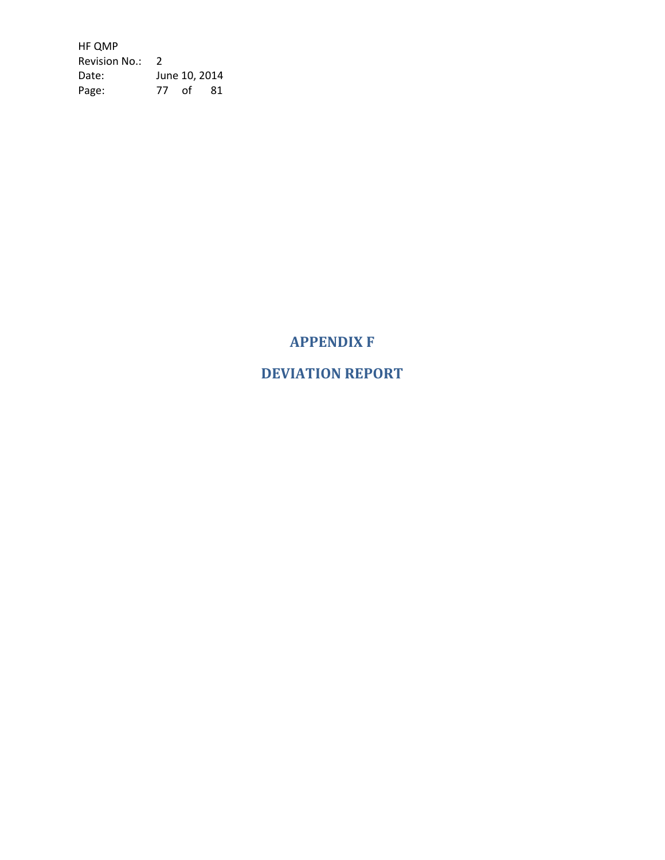HF QMP Revision No.: 2 Date: June 10, 2014 Page: 77 of 81

## **APPENDIX F**

# **DEVIATION REPORT**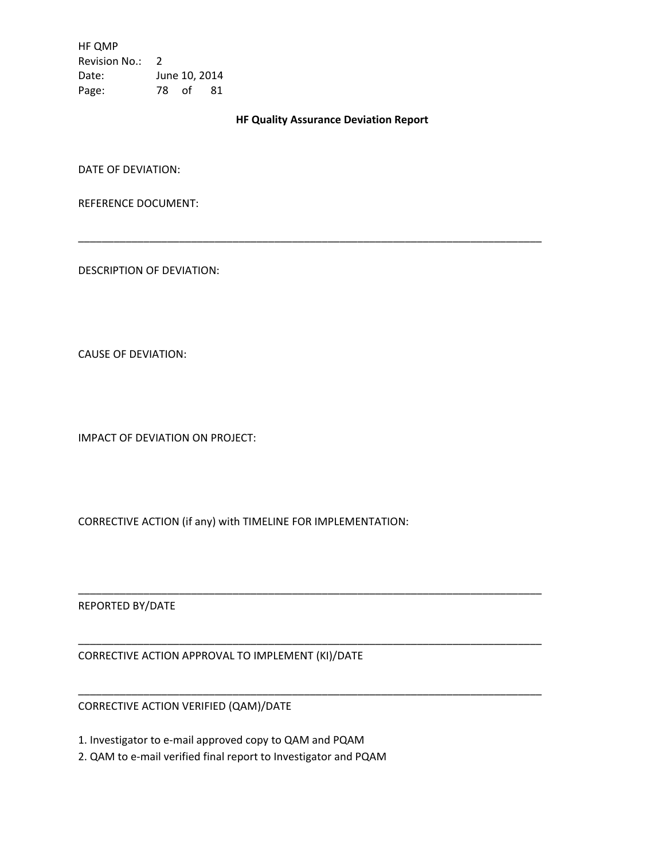HF QMP Revision No.: 2 Date: June 10, 2014 Page: 78 of 81

**HF Quality Assurance Deviation Report**

\_\_\_\_\_\_\_\_\_\_\_\_\_\_\_\_\_\_\_\_\_\_\_\_\_\_\_\_\_\_\_\_\_\_\_\_\_\_\_\_\_\_\_\_\_\_\_\_\_\_\_\_\_\_\_\_\_\_\_\_\_\_\_\_\_\_\_\_\_\_\_\_\_\_\_\_\_\_

\_\_\_\_\_\_\_\_\_\_\_\_\_\_\_\_\_\_\_\_\_\_\_\_\_\_\_\_\_\_\_\_\_\_\_\_\_\_\_\_\_\_\_\_\_\_\_\_\_\_\_\_\_\_\_\_\_\_\_\_\_\_\_\_\_\_\_\_\_\_\_\_\_\_\_\_\_\_

\_\_\_\_\_\_\_\_\_\_\_\_\_\_\_\_\_\_\_\_\_\_\_\_\_\_\_\_\_\_\_\_\_\_\_\_\_\_\_\_\_\_\_\_\_\_\_\_\_\_\_\_\_\_\_\_\_\_\_\_\_\_\_\_\_\_\_\_\_\_\_\_\_\_\_\_\_\_

\_\_\_\_\_\_\_\_\_\_\_\_\_\_\_\_\_\_\_\_\_\_\_\_\_\_\_\_\_\_\_\_\_\_\_\_\_\_\_\_\_\_\_\_\_\_\_\_\_\_\_\_\_\_\_\_\_\_\_\_\_\_\_\_\_\_\_\_\_\_\_\_\_\_\_\_\_\_

DATE OF DEVIATION:

REFERENCE DOCUMENT:

DESCRIPTION OF DEVIATION:

CAUSE OF DEVIATION:

IMPACT OF DEVIATION ON PROJECT:

CORRECTIVE ACTION (if any) with TIMELINE FOR IMPLEMENTATION:

REPORTED BY/DATE

CORRECTIVE ACTION APPROVAL TO IMPLEMENT (KI)/DATE

CORRECTIVE ACTION VERIFIED (QAM)/DATE

1. Investigator to e-mail approved copy to QAM and PQAM

2. QAM to e-mail verified final report to Investigator and PQAM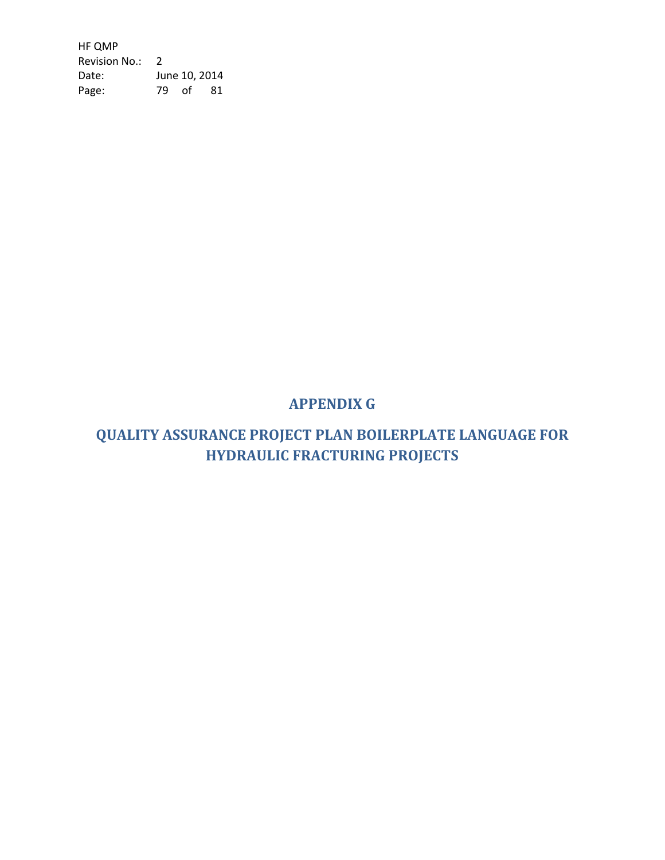HF QMP Revision No.: 2 Date: June 10, 2014 Page: 79 of 81

## **APPENDIX G**

# **QUALITY ASSURANCE PROJECT PLAN BOILERPLATE LANGUAGE FOR HYDRAULIC FRACTURING PROJECTS**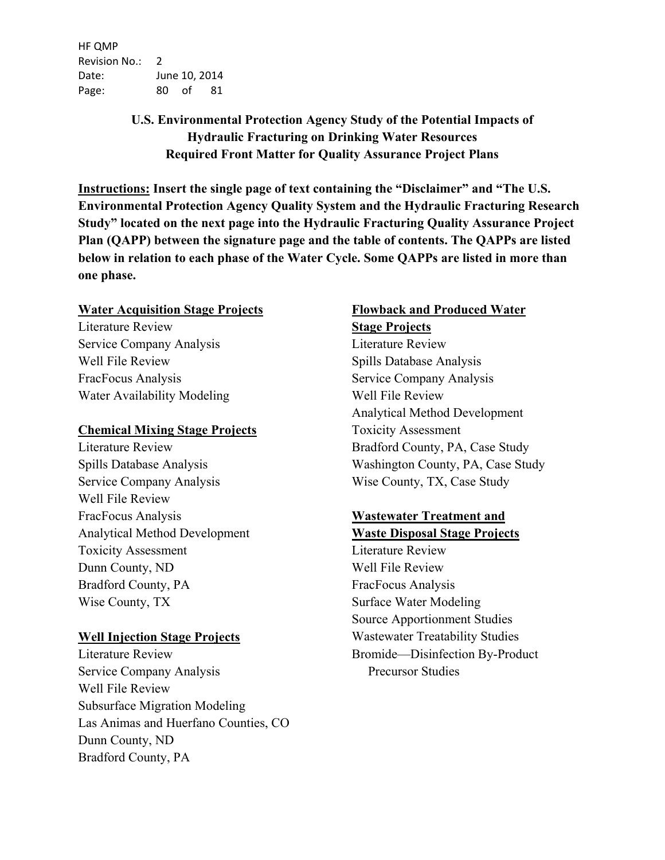HF QMP Revision No.: 2 Date: June 10, 2014 Page: 80 of 81

## **U.S. Environmental Protection Agency Study of the Potential Impacts of Hydraulic Fracturing on Drinking Water Resources Required Front Matter for Quality Assurance Project Plans**

**Instructions: Insert the single page of text containing the "Disclaimer" and "The U.S. Environmental Protection Agency Quality System and the Hydraulic Fracturing Research Study" located on the next page into the Hydraulic Fracturing Quality Assurance Project Plan (QAPP) between the signature page and the table of contents. The QAPPs are listed below in relation to each phase of the Water Cycle. Some QAPPs are listed in more than one phase.**

#### **Water Acquisition Stage Projects**

Literature Review Service Company Analysis Well File Review FracFocus Analysis Water Availability Modeling

#### **Chemical Mixing Stage Projects**

Literature Review Spills Database Analysis Service Company Analysis Well File Review FracFocus Analysis Analytical Method Development Toxicity Assessment Dunn County, ND Bradford County, PA Wise County, TX

#### **Well Injection Stage Projects**

Literature Review Service Company Analysis Well File Review Subsurface Migration Modeling Las Animas and Huerfano Counties, CO Dunn County, ND Bradford County, PA

### **Flowback and Produced Water Stage Projects**

Literature Review Spills Database Analysis Service Company Analysis Well File Review Analytical Method Development Toxicity Assessment Bradford County, PA, Case Study Washington County, PA, Case Study Wise County, TX, Case Study

#### **Wastewater Treatment and Waste Disposal Stage Projects**

Literature Review Well File Review FracFocus Analysis Surface Water Modeling Source Apportionment Studies Wastewater Treatability Studies Bromide—Disinfection By-Product Precursor Studies